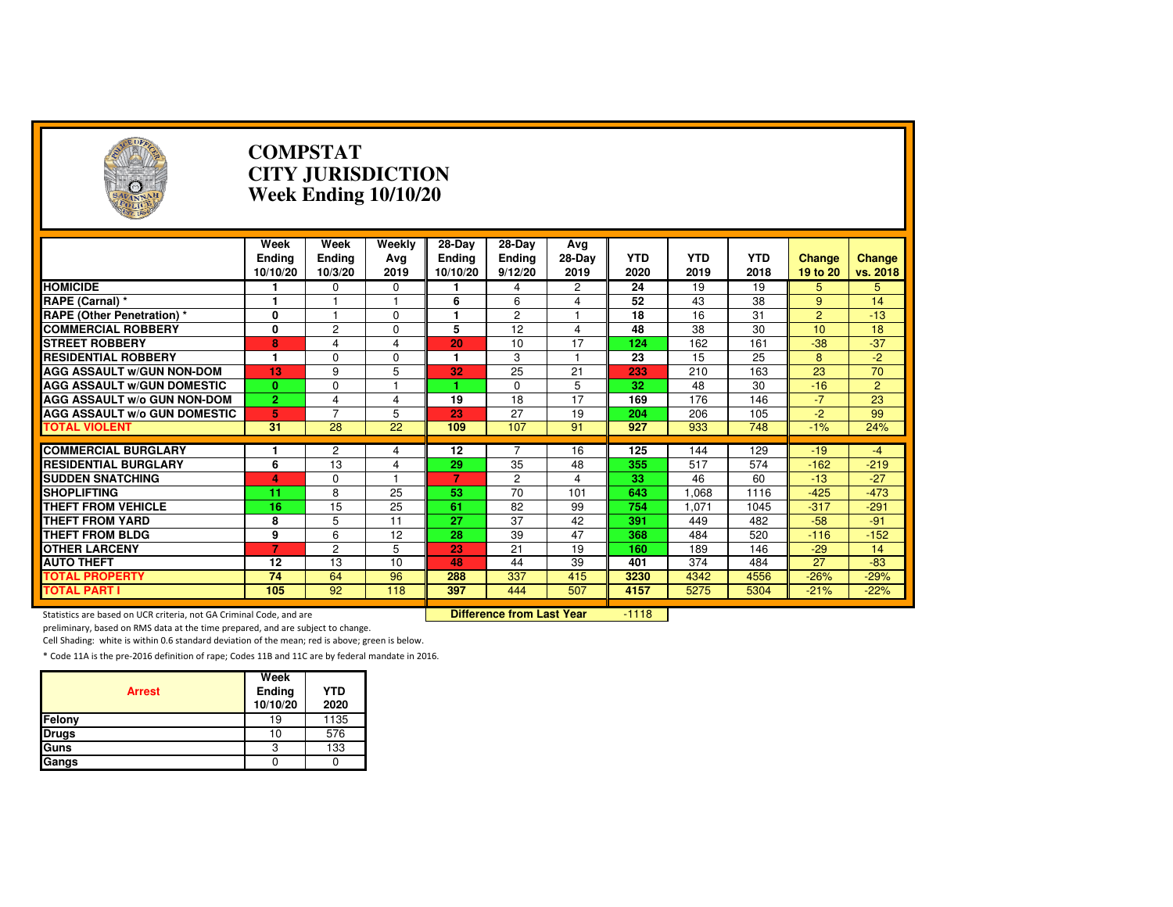| $(\neg)$                                                            |                                   | <b>COMPSTAT</b>           | <b>CITY JURISDICTION</b><br>Week Ending 10/10/20 |                                     |                                    |                          |                    |                    |                    |                           |                    |
|---------------------------------------------------------------------|-----------------------------------|---------------------------|--------------------------------------------------|-------------------------------------|------------------------------------|--------------------------|--------------------|--------------------|--------------------|---------------------------|--------------------|
|                                                                     | Week<br><b>Ending</b><br>10/10/20 | Week<br>Ending<br>10/3/20 | Weekly<br>Avg<br>2019                            | 28-Day<br><b>Ending</b><br>10/10/20 | 28-Day<br><b>Ending</b><br>9/12/20 | Avg<br>28-Day<br>2019    | <b>YTD</b><br>2020 | <b>YTD</b><br>2019 | <b>YTD</b><br>2018 | <b>Change</b><br>19 to 20 | Change<br>vs. 2018 |
| <b>HOMICIDE</b>                                                     |                                   | 0                         | 0                                                |                                     | 4                                  | $\mathbf{2}$             | $\overline{24}$    | 19                 | 19                 | 5                         | 5                  |
| RAPE (Carnal) *                                                     | 1                                 |                           |                                                  | 6                                   | 6                                  | $\overline{4}$           | 52                 | 43                 | 38                 | 9                         | 14                 |
| <b>RAPE (Other Penetration) *</b>                                   | 0                                 | 1                         | $\Omega$                                         | 1                                   | 2                                  | 1                        | 18                 | 16                 | 31                 | $\overline{2}$            | $-13$              |
| <b>COMMERCIAL ROBBERY</b>                                           | $\overline{\mathbf{0}}$           | $\overline{c}$            | $\Omega$                                         | 5                                   | $\overline{12}$                    | $\overline{4}$           | 48                 | 38                 | $\overline{30}$    | 10                        | 18                 |
| <b>STREET ROBBERY</b>                                               | 8                                 | 4                         | 4                                                | 20                                  | 10                                 | 17                       | 124                | 162                | 161                | $-38$                     | $-37$              |
| <b>RESIDENTIAL ROBBERY</b>                                          | 1                                 | $\Omega$                  | $\Omega$                                         | 1                                   | 3                                  | $\overline{\phantom{a}}$ | 23                 | 15                 | 25                 | 8                         | $-2$               |
| <b>AGG ASSAULT W/GUN NON-DOM</b>                                    | 13                                | 9                         | 5                                                | 32                                  | $\overline{25}$                    | 21                       | 233                | 210                | 163                | $\overline{23}$           | 70                 |
| <b>AGG ASSAULT W/GUN DOMESTIC</b>                                   | $\mathbf{0}$                      | $\mathbf 0$               |                                                  |                                     | $\Omega$                           | 5                        | 32                 | 48                 | 30                 | $-16$                     | $\overline{2}$     |
| <b>AGG ASSAULT W/o GUN NON-DOM</b>                                  | $\overline{2}$                    | 4                         | 4                                                | 19                                  | 18                                 | 17                       | 169                | 176                | 146                | $-7$                      | 23                 |
| <b>AGG ASSAULT W/o GUN DOMESTIC</b>                                 | 5                                 | $\overline{7}$            | 5                                                | 23                                  | 27                                 | 19                       | 204                | 206                | 105                | $-2$                      | 99                 |
| <b>TOTAL VIOLENT</b>                                                | 31                                | 28                        | 22                                               | 109                                 | 107                                | 91                       | 927                | 933                | 748                | $-1%$                     | 24%                |
|                                                                     |                                   |                           |                                                  |                                     |                                    |                          |                    |                    |                    |                           |                    |
| <b>COMMERCIAL BURGLARY</b>                                          | 1.                                | $\overline{c}$            | 4                                                | 12                                  |                                    | 16                       | 125                | 144                | 129                | $-19$                     | $-4$               |
| <b>RESIDENTIAL BURGLARY</b>                                         | 6                                 | 13                        | 4                                                | 29                                  | 35                                 | 48                       | 355                | 517                | 574                | $-162$                    | $-219$             |
| <b>SUDDEN SNATCHING</b>                                             | 4                                 | $\Omega$                  |                                                  | 7                                   | $\overline{2}$                     | $\overline{4}$           | 33                 | 46                 | 60                 | $-13$                     | $-27$              |
| <b>SHOPLIFTING</b>                                                  | 11                                | 8                         | 25                                               | 53                                  | $\overline{70}$                    | 101                      | 643                | 1,068              | 1116               | $-425$                    | $-473$             |
| <b>THEFT FROM VEHICLE</b>                                           | 16                                | 15                        | 25                                               | 61                                  | 82                                 | 99                       | 754                | 1.071              | 1045               | $-317$                    | $-291$             |
| <b>THEFT FROM YARD</b>                                              | 8                                 | 5                         | 11                                               | 27                                  | 37                                 | 42                       | 391                | 449                | 482                | $-58$                     | $-91$              |
| <b>THEFT FROM BLDG</b>                                              | 9                                 | 6                         | 12                                               | $\overline{28}$                     | 39                                 | 47                       | 368                | 484                | 520                | $-116$                    | $-152$             |
| <b>OTHER LARCENY</b>                                                | $\overline{7}$                    | $\overline{c}$            | 5                                                | 23                                  | 21                                 | 19                       | 160                | 189                | 146                | $-29$                     | 14                 |
| <b>AUTO THEFT</b>                                                   | 12                                | 13                        | 10                                               | 48                                  | 44                                 | 39                       | 401                | 374                | 484                | 27                        | $-83$              |
| <b>TOTAL PROPERTY</b>                                               | 74                                | 64                        | 96                                               | 288                                 | 337                                | 415                      | 3230               | 4342               | 4556               | $-26%$                    | $-29%$             |
| <b>TOTAL PART I</b>                                                 | 105                               | 92                        | 118                                              | 397                                 | 444                                | 507                      | 4157               | 5275               | 5304               | $-21%$                    | $-22%$             |
| Statistics are based on UCR criteria, not GA Criminal Code, and are |                                   |                           |                                                  |                                     | <b>Difference from Last Year</b>   |                          | $-1118$            |                    |                    |                           |                    |

preliminary, based on RMS data at the time prepared, and are subject to change.

Cell Shading: white is within 0.6 standard deviation of the mean; red is above; green is below.

| <b>Arrest</b> | Week<br>Ending<br>10/10/20 | <b>YTD</b><br>2020 |
|---------------|----------------------------|--------------------|
| Felony        | 19                         | 1135               |
| <b>Drugs</b>  | 10                         | 576                |
| Guns          |                            | 133                |
| Gangs         |                            |                    |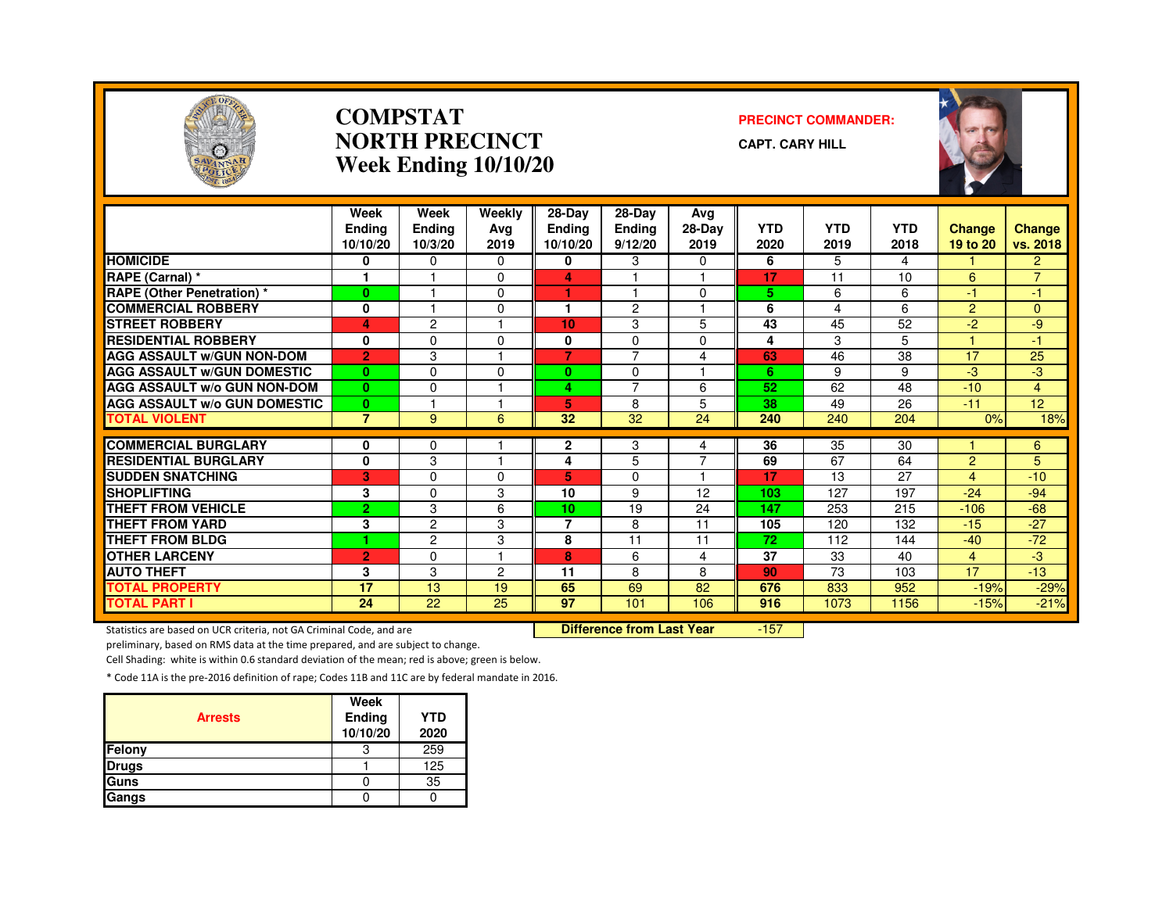

#### **COMPSTATNORTH PRECINCTWeek Ending 10/10/20**

#### **PRECINCT COMMANDER:**

**CAPT. CARY HILL**



|                                              | Week<br><b>Endina</b> | Week<br>Ending  | Weekly<br>Ava | $28-Dav$<br><b>Ending</b> | $28-Dav$<br>Ending | Avg<br>28-Day       | <b>YTD</b> | <b>YTD</b>      | <b>YTD</b> | <b>Change</b>    | <b>Change</b>    |
|----------------------------------------------|-----------------------|-----------------|---------------|---------------------------|--------------------|---------------------|------------|-----------------|------------|------------------|------------------|
|                                              | 10/10/20              | 10/3/20         | 2019          | 10/10/20                  | 9/12/20            | 2019                | 2020       | 2019            | 2018       | 19 to 20         | vs. 2018         |
| <b>HOMICIDE</b>                              | 0                     | $\Omega$        | $\Omega$      | 0                         | 3                  | 0                   | 6          | 5               | 4          |                  | $\overline{2}$   |
| <b>RAPE (Carnal) *</b>                       |                       |                 | $\Omega$      | 4                         |                    |                     | 17         | 11              | 10         | 6                | $\overline{7}$   |
| <b>RAPE (Other Penetration) *</b>            | $\bf{0}$              |                 | $\Omega$      | и                         |                    | $\Omega$            | 5          | 6               | 6          | $-1$             | $-1$             |
| <b>COMMERCIAL ROBBERY</b>                    | 0                     |                 | $\Omega$      |                           | $\overline{2}$     |                     | 6          | 4               | 6          | $\overline{2}$   | $\Omega$         |
| <b>STREET ROBBERY</b>                        | 4                     | $\overline{c}$  |               | 10                        | 3                  | 5                   | 43         | 45              | 52         | $-2$             | -9               |
| <b>RESIDENTIAL ROBBERY</b>                   | 0                     | $\Omega$        | $\Omega$      | 0                         | $\Omega$           | $\Omega$            | 4          | 3               | 5          |                  | -1               |
| <b>AGG ASSAULT W/GUN NON-DOM</b>             | $\overline{2}$        | 3               |               | $\overline{7}$            | $\overline{7}$     | 4                   | 63         | 46              | 38         | 17               | 25               |
| <b>AGG ASSAULT w/GUN DOMESTIC</b>            | $\bf{0}$              | $\Omega$        | $\Omega$      | 0                         | $\Omega$           | 1                   | 6          | 9               | 9          | $-3$             | $-3$             |
| <b>AGG ASSAULT w/o GUN NON-DOM</b>           | $\bf{0}$              | $\Omega$        |               | 4                         | $\overline{7}$     | 6                   | 52         | 62              | 48         | $-10$            | 4                |
| <b>AGG ASSAULT W/o GUN DOMESTIC</b>          | $\mathbf{0}$          |                 |               | 5                         | 8                  | 5                   | 38         | 49              | 26         | $-11$            | 12 <sub>2</sub>  |
| <b>TOTAL VIOLENT</b>                         | $\overline{7}$        | 9               | 6             | 32                        | 32                 | 24                  | 240        | 240             | 204        | 0%               | 18%              |
| <b>COMMERCIAL BURGLARY</b>                   |                       |                 |               |                           |                    |                     | 36         | $\overline{35}$ | 30         |                  |                  |
| <b>RESIDENTIAL BURGLARY</b>                  | 0<br>$\bf{0}$         | 0<br>3          | н             | 2<br>4                    | 3<br>5             | 4<br>$\overline{7}$ | 69         | 67              | 64         | $\overline{2}$   | 6<br>5           |
| <b>SUDDEN SNATCHING</b>                      | 3                     | $\Omega$        | $\Omega$      | 5.                        | $\Omega$           | 1                   | 17         | 13              | 27         | $\overline{4}$   | $-10$            |
| <b>SHOPLIFTING</b>                           | 3                     | $\Omega$        | 3             | 10                        | 9                  | 12                  | 103        | 127             | 197        | $-24$            | $-94$            |
| <b>THEFT FROM VEHICLE</b>                    | $\overline{2}$        | 3               | 6             | 10                        | 19                 | 24                  | 147        | 253             | 215        | $-106$           | $-68$            |
| <b>THEFT FROM YARD</b>                       |                       | $\overline{c}$  | 3             | 7                         | 8                  | 11                  | 105        | 120             | 132        | $-15$            | $-27$            |
| <b>THEFT FROM BLDG</b>                       | 3<br>٠                | $\overline{c}$  | 3             | 8                         | 11                 | 11                  | 72         | 112             | 144        | $-40$            | $-72$            |
| <b>OTHER LARCENY</b>                         |                       | $\Omega$        |               | 8                         | 6                  |                     | 37         | 33              | 40         | 4                | $-3$             |
| <b>AUTO THEFT</b>                            | $\overline{2}$<br>3   | 3               | 2             | 11                        | 8                  | 4<br>8              | 90         | 73              | 103        | 17               | $-13$            |
|                                              | 17                    | 13              | 19            | 65                        | 69                 | 82                  | 676        |                 | 952        |                  |                  |
| <b>TOTAL PROPERTY</b><br><b>TOTAL PART I</b> | 24                    | $\overline{22}$ | 25            | 97                        | 101                | 106                 | 916        | 833<br>1073     | 1156       | $-19%$<br>$-15%$ | $-29%$<br>$-21%$ |
|                                              |                       |                 |               |                           |                    |                     |            |                 |            |                  |                  |

Statistics are based on UCR criteria, not GA Criminal Code, and are **Difference from Last Year** 

-157

preliminary, based on RMS data at the time prepared, and are subject to change.

Cell Shading: white is within 0.6 standard deviation of the mean; red is above; green is below.

| <b>Arrests</b> | Week<br>Ending<br>10/10/20 | <b>YTD</b><br>2020 |
|----------------|----------------------------|--------------------|
| Felony         | З                          | 259                |
| <b>Drugs</b>   |                            | 125                |
| Guns           |                            | 35                 |
| Gangs          |                            |                    |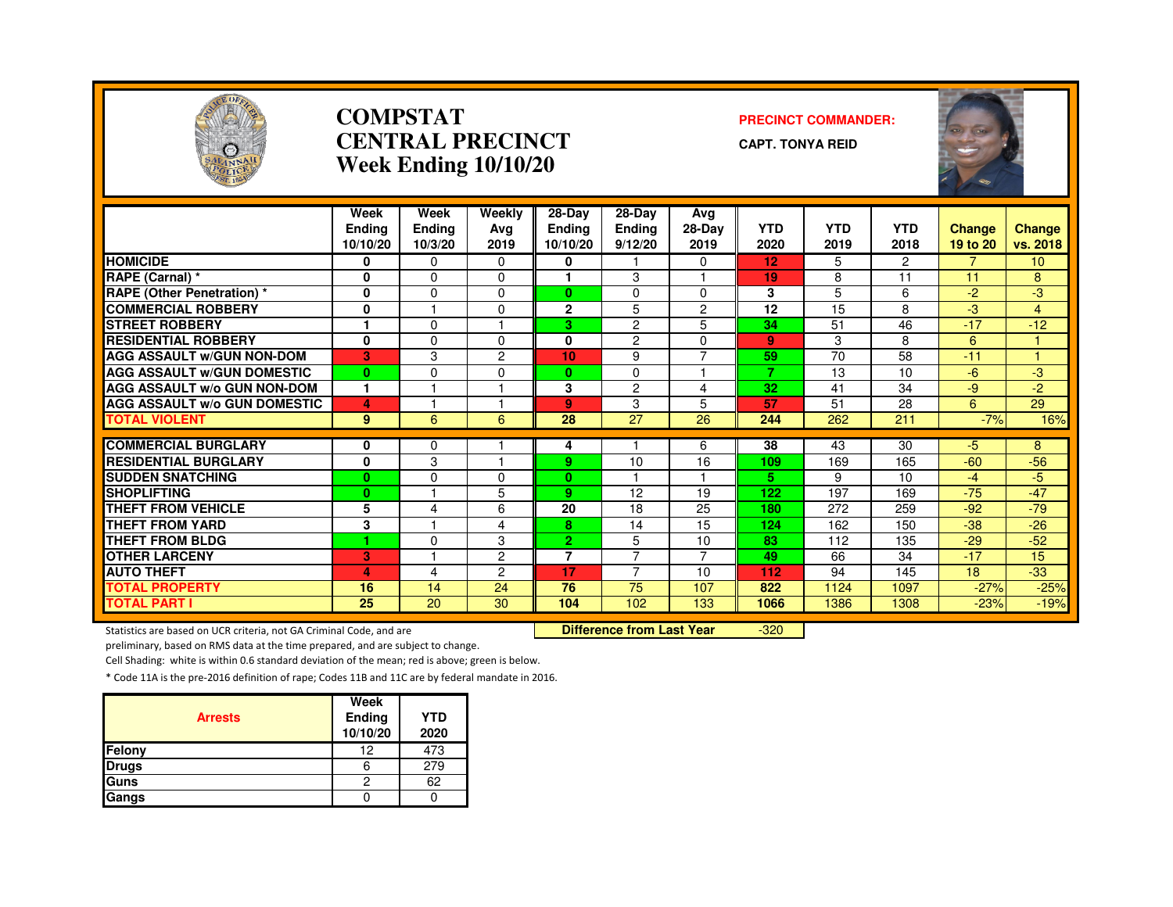

#### **COMPSTATCENTRAL PRECINCTWeek Ending 10/10/20**

#### **PRECINCT COMMANDER:**

**CAPT. TONYA REID**



|                                                                     | Week<br><b>Ending</b> | Week<br><b>Ending</b> | Weekly<br>Avg                    | 28-Day<br>Endina | $28-Dav$<br>Ending | Avg<br>28-Day        | <b>YTD</b> | <b>YTD</b> | <b>YTD</b>     | Change   | <b>Change</b>   |
|---------------------------------------------------------------------|-----------------------|-----------------------|----------------------------------|------------------|--------------------|----------------------|------------|------------|----------------|----------|-----------------|
|                                                                     | 10/10/20              | 10/3/20               | 2019                             | 10/10/20         | 9/12/20            | 2019                 | 2020       | 2019       | 2018           | 19 to 20 | vs. 2018        |
| <b>HOMICIDE</b>                                                     | 0                     | 0                     | 0                                | 0                |                    | 0                    | 12         | 5          | $\overline{c}$ |          | 10 <sup>°</sup> |
| <b>RAPE (Carnal) *</b>                                              | $\mathbf{0}$          | $\Omega$              | 0                                |                  | 3                  |                      | 19         | 8          | 11             | 11       | 8               |
| <b>RAPE (Other Penetration) *</b>                                   | 0                     | $\Omega$              | $\Omega$                         | 0                | 0                  | 0                    | 3          | 5          | 6              | $-2$     | $-3$            |
| <b>COMMERCIAL ROBBERY</b>                                           | 0                     |                       | $\Omega$                         | $\mathbf{2}$     | 5                  | $\overline{2}$       | 12         | 15         | 8              | -3       | 4               |
| <b>STREET ROBBERY</b>                                               |                       | $\Omega$              |                                  | 3                | $\overline{2}$     | 5                    | 34         | 51         | 46             | $-17$    | $-12$           |
| <b>RESIDENTIAL ROBBERY</b>                                          | 0                     | 0                     | $\Omega$                         | 0                | 2                  | 0                    | 9          | 3          | 8              | 6        |                 |
| <b>AGG ASSAULT W/GUN NON-DOM</b>                                    | 3                     | 3                     | $\overline{2}$                   | 10               | 9                  | $\overline{7}$       | 59         | 70         | 58             | $-11$    |                 |
| <b>AGG ASSAULT W/GUN DOMESTIC</b>                                   | $\bf{0}$              | $\Omega$              | $\Omega$                         | $\mathbf{0}$     | $\Omega$           | $\blacktriangleleft$ | 7          | 13         | 10             | $-6$     | $-3$            |
| <b>AGG ASSAULT W/o GUN NON-DOM</b>                                  | $\mathbf{1}$          |                       |                                  | 3                | $\overline{2}$     | 4                    | 32         | 41         | 34             | $-9$     | $-2$            |
| <b>AGG ASSAULT W/o GUN DOMESTIC</b>                                 | 4                     |                       |                                  | 9                | 3                  | 5                    | 57         | 51         | 28             | 6        | 29              |
| <b>TOTAL VIOLENT</b>                                                | 9                     | 6                     | 6                                | 28               | 27                 | 26                   | 244        | 262        | 211            | $-7%$    | 16%             |
| <b>COMMERCIAL BURGLARY</b>                                          |                       |                       |                                  |                  |                    |                      | 38         |            | 30             | $-5$     |                 |
|                                                                     | 0                     | $\Omega$              |                                  | 4                |                    | 6                    |            | 43         |                |          | 8               |
| <b>RESIDENTIAL BURGLARY</b>                                         | 0                     | 3                     |                                  | 9.               | 10                 | 16                   | 109        | 169        | 165            | $-60$    | $-56$           |
| <b>SUDDEN SNATCHING</b>                                             | $\bf{0}$              | $\Omega$              | $\Omega$                         | 0                |                    |                      | 5.         | 9          | 10             | $-4$     | $-5$            |
| <b>SHOPLIFTING</b>                                                  | $\bf{0}$              |                       | 5                                | 9                | 12                 | 19                   | 122        | 197        | 169            | $-75$    | $-47$           |
| <b>THEFT FROM VEHICLE</b>                                           | 5                     | 4                     | 6                                | 20               | 18                 | 25                   | 180        | 272        | 259            | $-92$    | $-79$           |
| <b>THEFT FROM YARD</b>                                              | 3                     |                       | 4                                | 8                | 14                 | 15                   | 124        | 162        | 150            | $-38$    | $-26$           |
| <b>THEFT FROM BLDG</b>                                              | 1                     | $\Omega$              | 3                                | $\mathbf{2}^-$   | 5                  | 10                   | 83         | 112        | 135            | $-29$    | $-52$           |
| <b>OTHER LARCENY</b>                                                | 3                     |                       | $\overline{2}$                   | $\overline{7}$   | $\overline{7}$     | $\overline{7}$       | 49         | 66         | 34             | $-17$    | 15              |
| <b>AUTO THEFT</b>                                                   | 4                     | 4                     | $\overline{c}$                   | 17               | $\overline{7}$     | 10                   | 112        | 94         | 145            | 18       | $-33$           |
| <b>TOTAL PROPERTY</b>                                               | 16                    | 14                    | 24                               | 76               | 75                 | 107                  | 822        | 1124       | 1097           | $-27%$   | $-25%$          |
| <b>TOTAL PART I</b>                                                 | 25                    | 20                    | 30                               | 104              | 102                | 133                  | 1066       | 1386       | 1308           | $-23%$   | $-19%$          |
| Statistics are based on UCR criteria, not GA Criminal Code, and are |                       |                       | <b>Difference from Last Year</b> |                  | $-320$             |                      |            |            |                |          |                 |

Statistics are based on UCR criteria, not GA Criminal Code, and are **Difference from Last Year** 

preliminary, based on RMS data at the time prepared, and are subject to change.

Cell Shading: white is within 0.6 standard deviation of the mean; red is above; green is below.

| <b>Arrests</b> | Week<br>Ending<br>10/10/20 | <b>YTD</b><br>2020 |
|----------------|----------------------------|--------------------|
| Felony         | 12                         | 473                |
| <b>Drugs</b>   |                            | 279                |
| <b>Guns</b>    | 2                          | 62                 |
| Gangs          |                            |                    |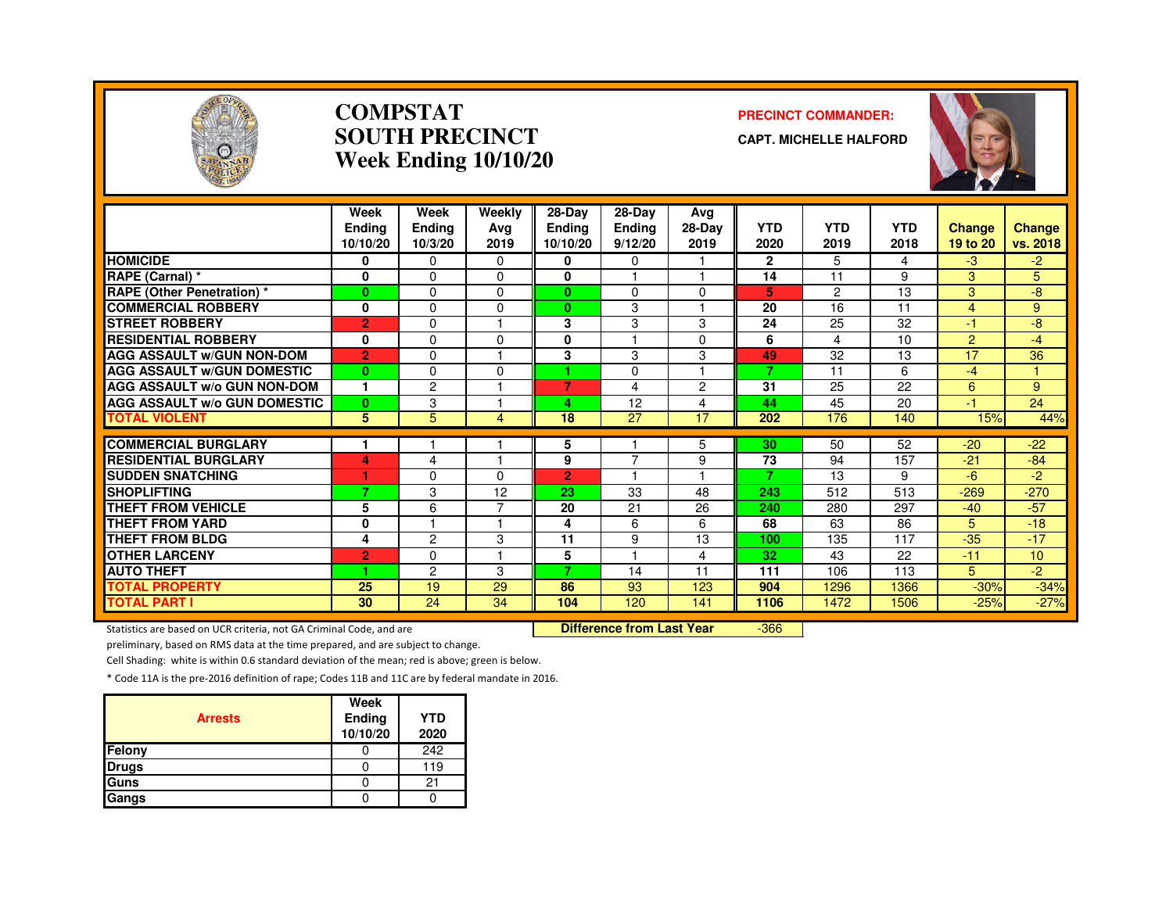

#### **COMPSTATSOUTH PRECINCTWeek Ending 10/10/20**

#### **PRECINCT COMMANDER:**

**CAPT. MICHELLE HALFORD**



|                                               | Week<br><b>Endina</b><br>10/10/20 | Week<br>Ending<br>10/3/20 | Weekly<br>Ava<br>2019 | $28-Dav$<br><b>Ending</b><br>10/10/20 | $28$ -Day<br><b>Ending</b><br>9/12/20 | Avg<br>28-Day<br>2019 | <b>YTD</b><br>2020 | <b>YTD</b><br>2019 | <b>YTD</b><br>2018 | <b>Change</b><br>19 to 20 | <b>Change</b><br>vs. 2018 |
|-----------------------------------------------|-----------------------------------|---------------------------|-----------------------|---------------------------------------|---------------------------------------|-----------------------|--------------------|--------------------|--------------------|---------------------------|---------------------------|
| <b>HOMICIDE</b>                               | 0                                 | $\Omega$                  | 0                     | 0                                     | 0                                     |                       | $\mathbf{2}$       | 5                  | 4                  | $-3$                      | $-2$                      |
| RAPE (Carnal) *                               | 0                                 | $\Omega$                  | $\Omega$              | $\bf{0}$                              |                                       |                       | 14                 | 11                 | 9                  | 3                         | 5                         |
| <b>RAPE (Other Penetration) *</b>             | $\bf{0}$                          | $\Omega$                  | 0                     | $\mathbf{0}$                          | $\Omega$                              | 0                     | 5.                 | 2                  | 13                 | 3                         | -8                        |
| <b>COMMERCIAL ROBBERY</b>                     | 0                                 | $\Omega$                  | 0                     | $\mathbf{0}$                          | 3                                     |                       | 20                 | 16                 | 11                 | $\overline{4}$            | 9                         |
| <b>STREET ROBBERY</b>                         | $\overline{2}$                    | $\Omega$                  |                       | 3                                     | 3                                     | 3                     | 24                 | 25                 | 32                 | $-1$                      | -8                        |
| <b>RESIDENTIAL ROBBERY</b>                    | 0                                 | $\Omega$                  | 0                     | 0                                     |                                       | 0                     | 6                  | 4                  | 10                 | 2                         | $-4$                      |
| <b>AGG ASSAULT W/GUN NON-DOM</b>              | $\overline{2}$                    | $\Omega$                  |                       | 3                                     | 3                                     | 3                     | 49                 | 32                 | 13                 | 17                        | 36                        |
| <b>AGG ASSAULT W/GUN DOMESTIC</b>             | $\bf{0}$                          | $\Omega$                  | 0                     | 4.                                    | $\Omega$                              |                       | 7                  | 11                 | 6                  | $-4$                      | 1                         |
| <b>AGG ASSAULT w/o GUN NON-DOM</b>            | 1                                 | $\overline{c}$            |                       | $\overline{7}$                        | 4                                     | $\overline{c}$        | 31                 | 25                 | 22                 | 6                         | 9                         |
| <b>AGG ASSAULT w/o GUN DOMESTIC</b>           | $\bf{0}$                          | 3                         |                       | 4                                     | 12                                    | 4                     | 44                 | 45                 | 20                 | $-1$                      | 24                        |
| <b>TOTAL VIOLENT</b>                          | 5                                 | 5                         | 4                     | 18                                    | 27                                    | 17                    | 202                | 176                | 140                | 15%                       | 44%                       |
|                                               |                                   |                           |                       |                                       |                                       |                       |                    |                    |                    |                           |                           |
| <b>COMMERCIAL BURGLARY</b>                    |                                   |                           |                       | 5                                     | $\overline{7}$                        | 5                     | 30                 | 50                 | 52                 | $-20$                     | $-22$                     |
| <b>RESIDENTIAL BURGLARY</b>                   | 4                                 | 4                         |                       | 9                                     |                                       | 9                     | 73<br>7            | 94                 | 157                | $-21$                     | $-84$                     |
| <b>SUDDEN SNATCHING</b><br><b>SHOPLIFTING</b> |                                   | 0                         | 0                     | $\overline{2}$                        |                                       |                       |                    | 13                 | 9                  | -6                        | -2                        |
|                                               | 7                                 | 3                         | 12<br>7               | 23                                    | 33                                    | 48                    | 243                | 512                | 513                | $-269$                    | $-270$                    |
| <b>THEFT FROM VEHICLE</b>                     | 5                                 | 6                         |                       | 20                                    | 21                                    | 26                    | 240                | 280                | 297                | $-40$                     | $-57$                     |
| <b>THEFT FROM YARD</b>                        | 0                                 |                           |                       | 4                                     | 6                                     | 6                     | 68                 | 63                 | 86                 | 5                         | $-18$                     |
| <b>THEFT FROM BLDG</b>                        | 4                                 | $\overline{c}$            | 3                     | 11                                    | 9                                     | 13                    | 100                | 135                | 117                | $-35$                     | $-17$                     |
| <b>OTHER LARCENY</b>                          | $\overline{2}$                    | $\Omega$                  |                       | 5                                     | $\overline{ }$                        | 4                     | 32                 | 43                 | 22                 | $-11$                     | 10                        |
| <b>AUTO THEFT</b>                             | 4                                 | $\overline{c}$            | 3                     | 7                                     | 14                                    | 11                    | 111                | 106                | 113                | 5                         | $-2$                      |
| <b>TOTAL PROPERTY</b>                         | 25                                | 19                        | 29                    | 86                                    | 93                                    | 123                   | 904                | 1296               | 1366               | $-30%$                    | $-34%$                    |
| <b>TOTAL PART I</b>                           | 30                                | 24                        | 34                    | 104                                   | 120                                   | 141                   | 1106               | 1472               | 1506               | $-25%$                    | $-27%$                    |

Statistics are based on UCR criteria, not GA Criminal Code, and are **Difference from Last Year** 

-366

preliminary, based on RMS data at the time prepared, and are subject to change.

Cell Shading: white is within 0.6 standard deviation of the mean; red is above; green is below.

| <b>Arrests</b> | Week<br>Ending<br>10/10/20 | <b>YTD</b><br>2020 |
|----------------|----------------------------|--------------------|
| Felony         |                            | 242                |
| <b>Drugs</b>   |                            | 119                |
| Guns           |                            | 21                 |
| Gangs          |                            |                    |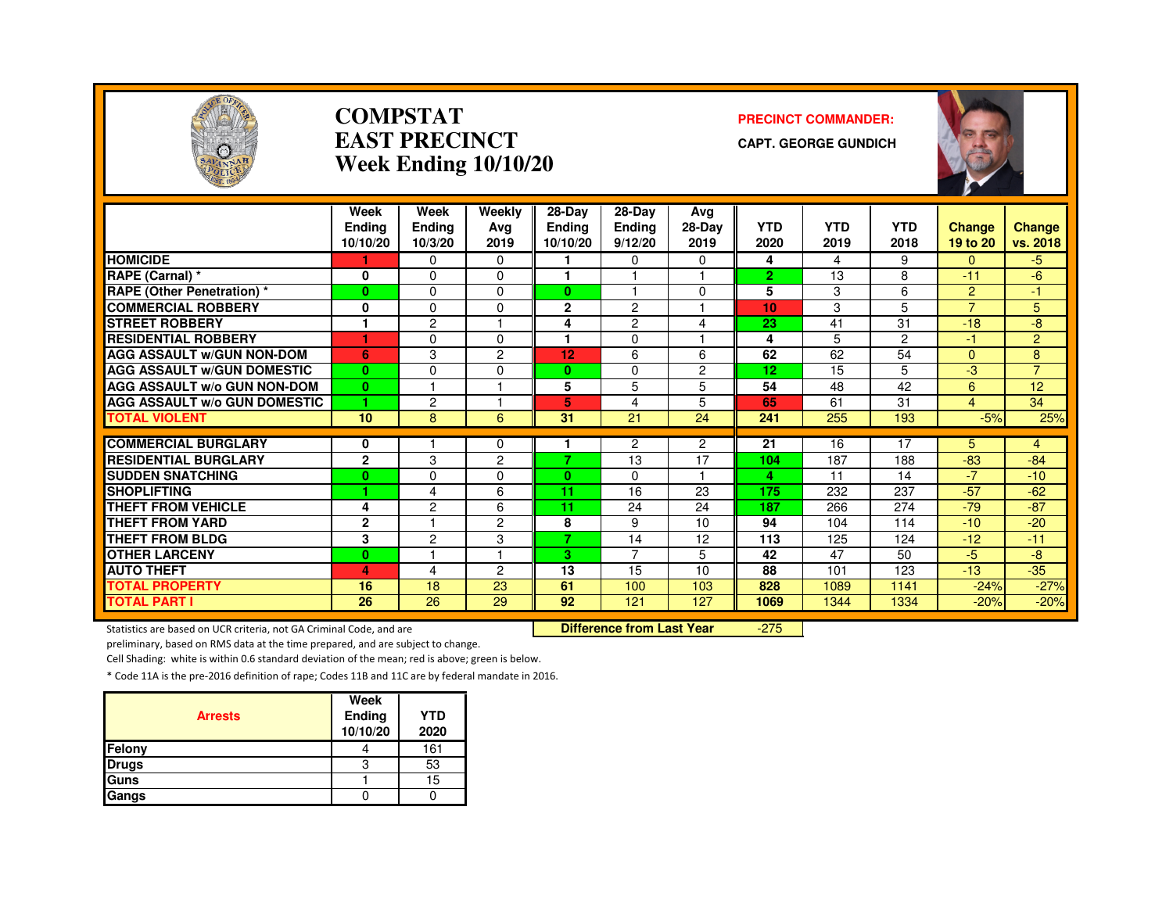

#### **COMPSTATEAST PRECINCTWeek Ending 10/10/20**

#### **PRECINCT COMMANDER:**

**CAPT. GEORGE GUNDICH**



|                                               | Week<br>Endina          | Week<br><b>Ending</b> | Weekly<br>Ava  | $28-Dav$<br><b>Endina</b> | 28-Day<br><b>Ending</b> | Avg<br>28-Day        | <b>YTD</b>     | <b>YTD</b> | <b>YTD</b> | <b>Change</b>  | Change         |
|-----------------------------------------------|-------------------------|-----------------------|----------------|---------------------------|-------------------------|----------------------|----------------|------------|------------|----------------|----------------|
|                                               | 10/10/20                | 10/3/20               | 2019           | 10/10/20                  | 9/12/20                 | 2019                 | 2020           | 2019       | 2018       | 19 to 20       | vs. 2018       |
| <b>HOMICIDE</b>                               |                         | $\Omega$              | $\Omega$       |                           | 0                       | $\Omega$             | 4              | 4          | 9          | $\Omega$       | $-5$           |
| RAPE (Carnal) *                               | 0                       | $\Omega$              | $\Omega$       |                           |                         |                      | $\overline{2}$ | 13         | 8          | $-11$          | $-6$           |
| <b>RAPE (Other Penetration) *</b>             | $\bf{0}$                | $\Omega$              | $\Omega$       | $\mathbf{0}$              |                         | $\Omega$             | 5              | 3          | 6          | $\overline{2}$ | 47             |
| <b>COMMERCIAL ROBBERY</b>                     | 0                       | $\Omega$              | $\Omega$       | $\overline{2}$            | 2                       |                      | 10             | 3          | 5          | $\overline{7}$ | 5              |
| <b>STREET ROBBERY</b>                         |                         | 2                     |                | 4                         | 2                       | 4                    | 23             | 41         | 31         | $-18$          | -8             |
| <b>RESIDENTIAL ROBBERY</b>                    | ٠                       | $\Omega$              | $\Omega$       |                           | $\Omega$                |                      | 4              | 5          | 2          | -1             | $\overline{2}$ |
| <b>AGG ASSAULT w/GUN NON-DOM</b>              | 6                       | 3                     | $\overline{c}$ | 12                        | 6                       | 6                    | 62             | 62         | 54         | $\Omega$       | 8              |
| <b>AGG ASSAULT W/GUN DOMESTIC</b>             | $\mathbf{0}$            | $\Omega$              | $\Omega$       | $\mathbf{0}$              | $\Omega$                | $\overline{2}$       | 12             | 15         | 5          | -3             | $\overline{7}$ |
| <b>AGG ASSAULT W/o GUN NON-DOM</b>            | $\bf{0}$                |                       |                | 5                         | 5                       | 5                    | 54             | 48         | 42         | 6              | 12             |
| <b>AGG ASSAULT W/o GUN DOMESTIC</b>           | 1                       | $\overline{c}$        |                | 5.                        | 4                       | 5                    | 65             | 61         | 31         | $\overline{4}$ | 34             |
| <b>TOTAL VIOLENT</b>                          | 10                      | 8                     | 6              | 31                        | 21                      | 24                   | 241            | 255        | 193        | $-5%$          | 25%            |
|                                               |                         |                       |                |                           |                         |                      |                |            |            |                |                |
| <b>COMMERCIAL BURGLARY</b>                    | 0                       |                       | $\Omega$       | 7.                        | 2                       | $\overline{2}$<br>17 | 21             | 16         | 17         | 5              | $\overline{4}$ |
| <b>RESIDENTIAL BURGLARY</b>                   | $\mathbf{2}$            | 3                     | $\overline{c}$ |                           | 13                      |                      | 104            | 187        | 188        | $-83$<br>$-7$  | $-84$          |
| <b>SUDDEN SNATCHING</b><br><b>SHOPLIFTING</b> | $\bf{0}$<br>и           | $\Omega$              | $\Omega$       | $\mathbf{0}$              | 0                       |                      | 4              | 11         | 14         |                | $-10$          |
|                                               |                         | 4                     | 6              | 11                        | 16                      | 23                   | 175            | 232        | 237        | $-57$          | $-62$          |
| <b>THEFT FROM VEHICLE</b>                     | 4                       | $\overline{c}$        | 6              | 11                        | 24                      | 24                   | 187            | 266        | 274        | $-79$          | $-87$          |
| <b>THEFT FROM YARD</b>                        | $\overline{\mathbf{c}}$ |                       | $\overline{c}$ | 8<br>$\overline{z}$       | 9                       | 10                   | 94             | 104        | 114        | $-10$          | $-20$          |
| <b>THEFT FROM BLDG</b>                        | 3                       | $\overline{c}$        | 3              |                           | 14<br>$\overline{7}$    | 12                   | 113            | 125        | 124        | $-12$          | $-11$          |
| <b>OTHER LARCENY</b>                          | $\mathbf{0}$            |                       |                | 3                         |                         | 5                    | 42             | 47         | 50         | $-5$           | -8             |
| <b>AUTO THEFT</b>                             | 4                       | 4                     | 2              | 13                        | 15                      | 10                   | 88             | 101        | 123        | $-13$          | $-35$          |
| <b>TOTAL PROPERTY</b>                         | 16                      | 18                    | 23             | 61                        | 100                     | 103                  | 828            | 1089       | 1141       | $-24%$         | $-27%$         |
| <b>TOTAL PART I</b>                           | 26                      | 26                    | 29             | 92                        | 121                     | 127                  | 1069           | 1344       | 1334       | $-20%$         | $-20%$         |

Statistics are based on UCR criteria, not GA Criminal Code, and are **Difference from Last Year** 

-275

preliminary, based on RMS data at the time prepared, and are subject to change.

Cell Shading: white is within 0.6 standard deviation of the mean; red is above; green is below.

| <b>Arrests</b> | Week<br>Ending<br>10/10/20 | <b>YTD</b><br>2020 |
|----------------|----------------------------|--------------------|
| Felony         |                            | 161                |
| <b>Drugs</b>   | З                          | 53                 |
| Guns           |                            | 15                 |
| Gangs          |                            |                    |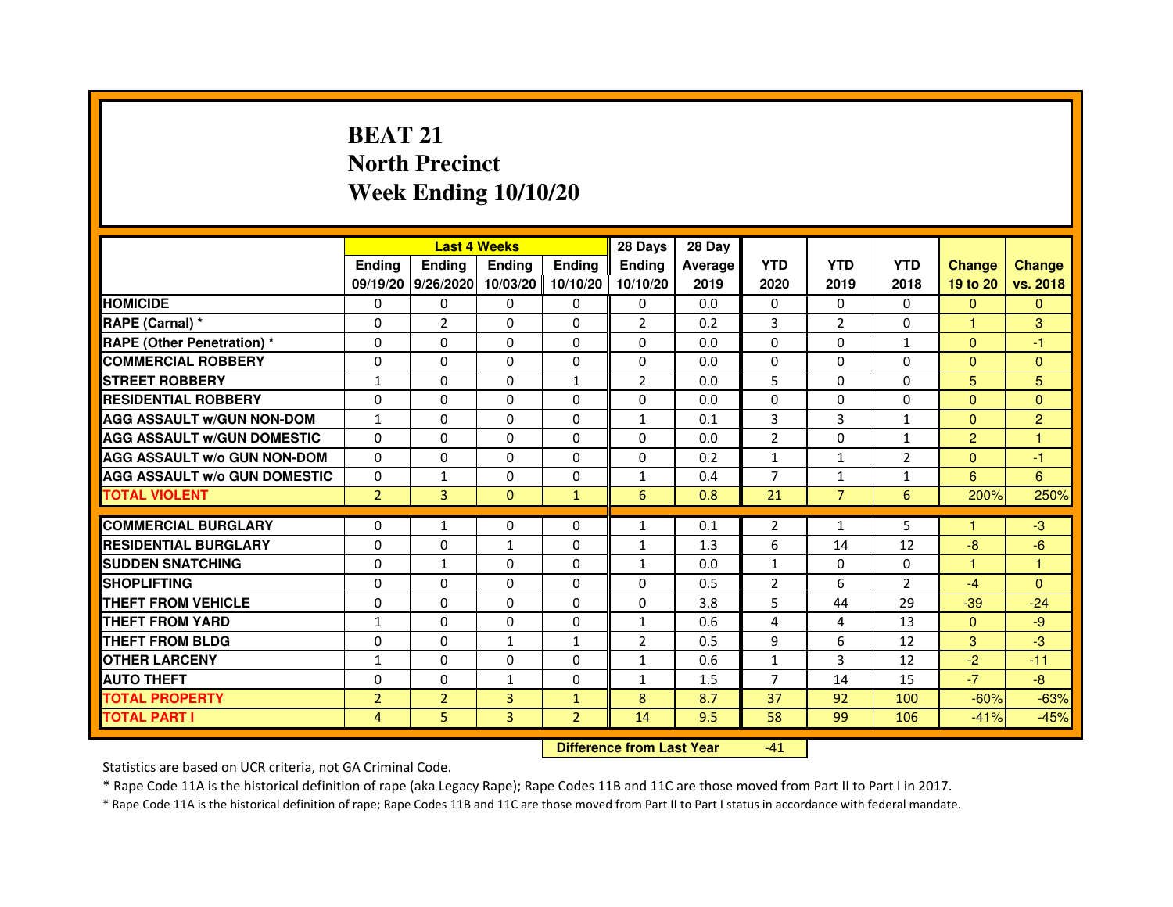# **BEAT 21 North PrecinctWeek Ending 10/10/20**

|                                               |                   | <b>Last 4 Weeks</b> |                      |                      | 28 Days                        | 28 Day     |                     |                |                |                   |                |
|-----------------------------------------------|-------------------|---------------------|----------------------|----------------------|--------------------------------|------------|---------------------|----------------|----------------|-------------------|----------------|
|                                               | <b>Endina</b>     | Ending              | <b>Endina</b>        | <b>Endina</b>        | <b>Endina</b>                  | Average    | <b>YTD</b>          | <b>YTD</b>     | <b>YTD</b>     | <b>Change</b>     | <b>Change</b>  |
|                                               |                   | 09/19/20 9/26/2020  |                      | 10/03/20   10/10/20  | 10/10/20                       | 2019       | 2020                | 2019           | 2018           | 19 to 20          | vs. 2018       |
| <b>HOMICIDE</b>                               | $\Omega$          | $\Omega$            | $\Omega$             | $\mathbf{0}$         | $\Omega$                       | 0.0        | $\mathbf{0}$        | $\Omega$       | $\Omega$       | $\mathbf{0}$      | $\mathbf{0}$   |
| RAPE (Carnal) *                               | $\Omega$          | $\overline{2}$      | $\Omega$             | $\mathbf{0}$         | $\overline{2}$                 | 0.2        | 3                   | $\overline{2}$ | $\Omega$       | $\mathbf{1}$      | 3              |
| <b>RAPE (Other Penetration)*</b>              | $\Omega$          | $\Omega$            | $\Omega$             | $\Omega$             | $\Omega$                       | 0.0        | $\Omega$            | $\Omega$       | $\mathbf{1}$   | $\Omega$          | $-1$           |
| <b>COMMERCIAL ROBBERY</b>                     | 0                 | 0                   | $\Omega$             | $\Omega$             | $\Omega$                       | 0.0        | $\Omega$            | $\Omega$       | $\Omega$       | $\Omega$          | $\Omega$       |
| <b>STREET ROBBERY</b>                         | $\mathbf{1}$      | 0                   | 0                    | 1                    | $\overline{2}$                 | 0.0        | 5                   | 0              | 0              | 5                 | 5              |
| <b>RESIDENTIAL ROBBERY</b>                    | 0                 | 0                   | $\Omega$             | $\Omega$             | $\Omega$                       | 0.0        | $\Omega$            | $\Omega$       | $\Omega$       | $\Omega$          | $\Omega$       |
| <b>AGG ASSAULT W/GUN NON-DOM</b>              | $\mathbf{1}$      | 0                   | 0                    | $\Omega$             | $\mathbf{1}$                   | 0.1        | 3                   | 3              | $\mathbf{1}$   | $\Omega$          | $\overline{c}$ |
| <b>AGG ASSAULT W/GUN DOMESTIC</b>             | $\Omega$          | $\Omega$            | $\Omega$             | $\mathbf{0}$         | $\Omega$                       | 0.0        | $\overline{2}$      | $\Omega$       | $\mathbf{1}$   | $\overline{2}$    | 1              |
| <b>AGG ASSAULT W/o GUN NON-DOM</b>            | $\Omega$          | $\Omega$            | $\Omega$             | $\Omega$             | $\Omega$                       | 0.2        | $\mathbf{1}$        | $\mathbf{1}$   | $\overline{2}$ | $\Omega$          | $-1$           |
| <b>AGG ASSAULT W/o GUN DOMESTIC</b>           | 0                 | 1                   | 0                    | 0                    | 1                              | 0.4        | $\overline{7}$      | 1              | $\mathbf{1}$   | 6                 | 6              |
| <b>TOTAL VIOLENT</b>                          | $\overline{2}$    | 3                   | $\mathbf{0}$         | $\mathbf{1}$         | 6                              | 0.8        | 21                  | $\overline{7}$ | 6              | 200%              | 250%           |
| <b>COMMERCIAL BURGLARY</b>                    |                   |                     |                      |                      |                                |            |                     |                |                |                   |                |
| <b>RESIDENTIAL BURGLARY</b>                   | 0                 | $\mathbf{1}$        | $\Omega$             | 0                    | $\mathbf{1}$                   | 0.1        | $\overline{2}$      | $\mathbf{1}$   | 5              | 1                 | -3             |
|                                               | 0                 | 0                   | 1                    | 0                    | 1                              | 1.3        | 6                   | 14             | 12             | $-8$              | $-6$           |
| <b>SUDDEN SNATCHING</b><br><b>SHOPLIFTING</b> | 0                 | $\mathbf{1}$        | 0                    | $\Omega$             | $\mathbf{1}$                   | 0.0        | $\mathbf{1}$        | 0              | $\Omega$       | 1                 | 1              |
| <b>THEFT FROM VEHICLE</b>                     | 0                 | 0                   | $\Omega$<br>$\Omega$ | $\Omega$<br>$\Omega$ | $\Omega$<br>$\Omega$           | 0.5        | $\overline{2}$      | 6<br>44        | $\overline{2}$ | $-4$              | $\Omega$       |
| <b>THEFT FROM YARD</b>                        | 0                 | 0                   | $\Omega$             |                      |                                | 3.8        | 5                   | 4              | 29<br>13       | $-39$<br>$\Omega$ | $-24$<br>$-9$  |
| <b>THEFT FROM BLDG</b>                        | $\mathbf{1}$<br>0 | $\Omega$<br>0       |                      | $\mathbf{0}$         | $\mathbf{1}$<br>$\overline{2}$ | 0.6<br>0.5 | 4<br>9              | 6              | 12             | 3                 | -3             |
|                                               |                   |                     | 1                    | $\mathbf{1}$         |                                |            |                     |                |                |                   |                |
| <b>OTHER LARCENY</b><br><b>AUTO THEFT</b>     | 1                 | 0                   | 0                    | 0                    | $\mathbf{1}$                   | 0.6<br>1.5 | 1<br>$\overline{7}$ | 3              | 12<br>15       | $-2$<br>$-7$      | $-11$<br>$-8$  |
|                                               | 0                 | 0                   | $\mathbf{1}$         | 0                    | 1                              |            |                     | 14             |                |                   |                |
| <b>TOTAL PROPERTY</b>                         | $\overline{2}$    | $\overline{2}$      | 3                    | $\mathbf{1}$         | 8                              | 8.7        | 37                  | 92             | 100            | $-60%$            | $-63%$         |
| <b>TOTAL PART I</b>                           | 4                 | 5                   | 3                    | $\overline{2}$       | 14                             | 9.5        | 58                  | 99             | 106            | $-41%$            | $-45%$         |

 **Difference from Last Year**

-41

Statistics are based on UCR criteria, not GA Criminal Code.

\* Rape Code 11A is the historical definition of rape (aka Legacy Rape); Rape Codes 11B and 11C are those moved from Part II to Part I in 2017.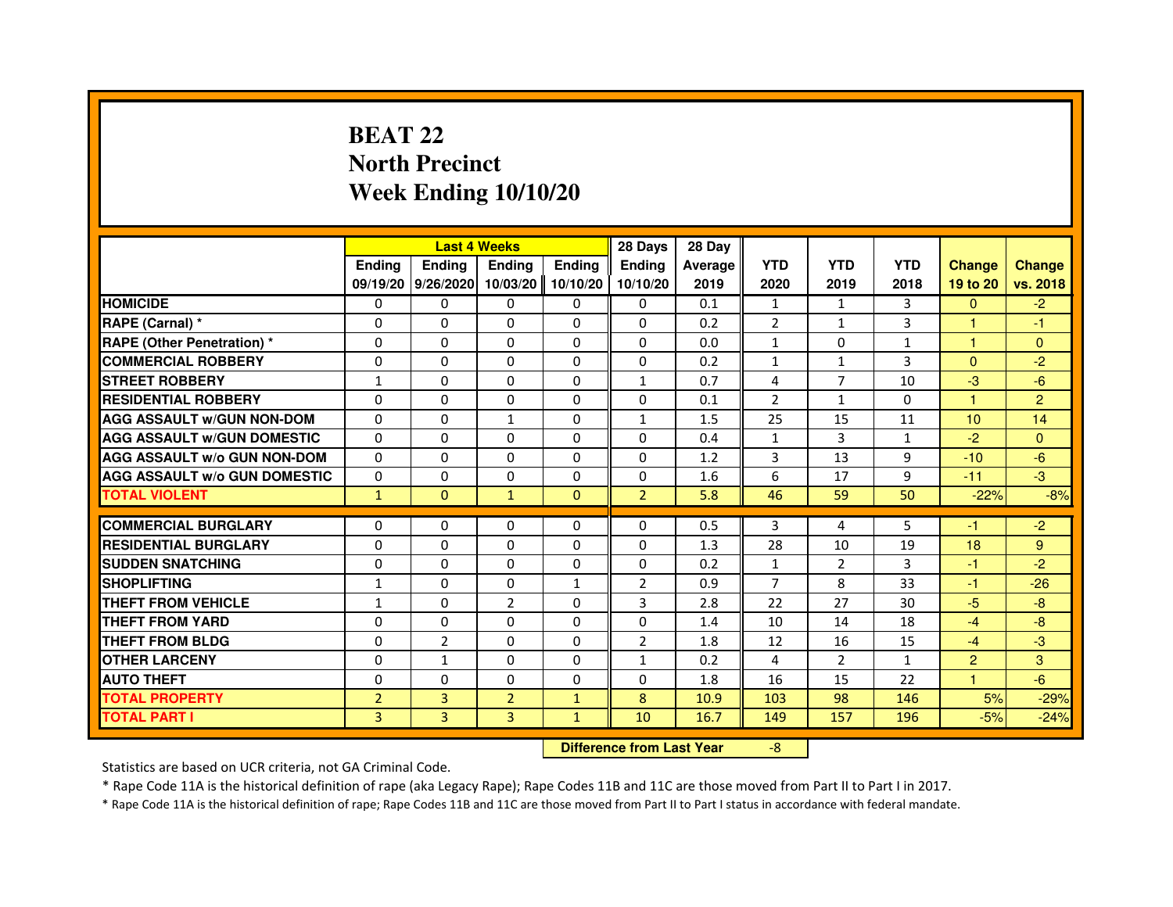## **BEAT 22 North PrecinctWeek Ending 10/10/20**

|                                     |                | <b>Last 4 Weeks</b> |                |               | 28 Days                          | 28 Day  |                |                |              |                |                |
|-------------------------------------|----------------|---------------------|----------------|---------------|----------------------------------|---------|----------------|----------------|--------------|----------------|----------------|
|                                     | <b>Ending</b>  | Ending              | <b>Ending</b>  | <b>Ending</b> | <b>Ending</b>                    | Average | <b>YTD</b>     | <b>YTD</b>     | <b>YTD</b>   | <b>Change</b>  | <b>Change</b>  |
|                                     |                | 09/19/20 9/26/2020  | 10/03/20       | 10/10/20      | 10/10/20                         | 2019    | 2020           | 2019           | 2018         | 19 to 20       | vs. 2018       |
| <b>HOMICIDE</b>                     | 0              | $\Omega$            | 0              | $\Omega$      | 0                                | 0.1     | $\mathbf{1}$   | $\mathbf{1}$   | 3            | $\Omega$       | $-2$           |
| RAPE (Carnal) *                     | 0              | 0                   | $\Omega$       | $\Omega$      | 0                                | 0.2     | 2              | $\mathbf{1}$   | 3            |                | $-1$           |
| <b>RAPE (Other Penetration) *</b>   | $\Omega$       | 0                   | 0              | 0             | 0                                | 0.0     | $\mathbf{1}$   | $\mathbf{0}$   | $\mathbf{1}$ | 1              | $\overline{0}$ |
| <b>COMMERCIAL ROBBERY</b>           | $\Omega$       | $\Omega$            | $\Omega$       | $\Omega$      | $\Omega$                         | 0.2     | $\mathbf{1}$   | $\mathbf{1}$   | 3            | $\Omega$       | $-2$           |
| <b>STREET ROBBERY</b>               | $\mathbf{1}$   | $\Omega$            | $\Omega$       | $\Omega$      | $\mathbf{1}$                     | 0.7     | 4              | $\overline{7}$ | 10           | $-3$           | $-6$           |
| <b>RESIDENTIAL ROBBERY</b>          | $\Omega$       | 0                   | $\Omega$       | 0             | $\Omega$                         | 0.1     | $\overline{2}$ | 1              | $\mathbf{0}$ | $\mathbf{1}$   | $\overline{2}$ |
| <b>AGG ASSAULT W/GUN NON-DOM</b>    | $\Omega$       | $\Omega$            | $\mathbf{1}$   | $\Omega$      | $\mathbf{1}$                     | 1.5     | 25             | 15             | 11           | 10             | 14             |
| <b>AGG ASSAULT w/GUN DOMESTIC</b>   | $\Omega$       | $\Omega$            | $\Omega$       | $\Omega$      | $\Omega$                         | 0.4     | $\mathbf{1}$   | 3              | $\mathbf{1}$ | $-2$           | $\Omega$       |
| <b>AGG ASSAULT W/o GUN NON-DOM</b>  | $\Omega$       | $\Omega$            | $\Omega$       | $\Omega$      | $\Omega$                         | 1.2     | 3              | 13             | 9            | $-10$          | $-6$           |
| <b>AGG ASSAULT W/o GUN DOMESTIC</b> | $\Omega$       | $\Omega$            | $\Omega$       | $\Omega$      | $\Omega$                         | 1.6     | 6              | 17             | 9            | $-11$          | $-3$           |
| <b>TOTAL VIOLENT</b>                | $\mathbf{1}$   | $\mathbf{0}$        | $\mathbf{1}$   | $\mathbf{0}$  | $\overline{2}$                   | 5.8     | 46             | 59             | 50           | $-22%$         | $-8%$          |
| <b>COMMERCIAL BURGLARY</b>          | 0              | 0                   | 0              | 0             | 0                                | 0.5     | 3              | 4              | 5            | $-1$           | $-2$           |
| <b>RESIDENTIAL BURGLARY</b>         | 0              | $\Omega$            | 0              | 0             | 0                                | 1.3     | 28             | 10             | 19           | 18             | 9              |
| <b>SUDDEN SNATCHING</b>             | $\Omega$       | $\Omega$            | $\Omega$       | $\Omega$      | $\Omega$                         | 0.2     | $\mathbf{1}$   | $\overline{2}$ | 3            | $-1$           | $-2$           |
| <b>SHOPLIFTING</b>                  | $\mathbf{1}$   | 0                   | 0              | $\mathbf{1}$  | $\overline{2}$                   | 0.9     | 7              | 8              | 33           | $-1$           | $-26$          |
| THEFT FROM VEHICLE                  | 1              | $\Omega$            | $\overline{2}$ | $\Omega$      | 3                                | 2.8     | 22             | 27             | 30           | $-5$           | $-8$           |
| <b>THEFT FROM YARD</b>              | $\Omega$       | $\Omega$            | $\Omega$       | $\Omega$      | $\Omega$                         | 1.4     | 10             | 14             | 18           | $-4$           | $-8$           |
| <b>THEFT FROM BLDG</b>              | $\Omega$       | $\overline{2}$      | $\Omega$       | $\Omega$      | $\overline{2}$                   | 1.8     | 12             | 16             | 15           | $-4$           | $-3$           |
| <b>OTHER LARCENY</b>                | 0              | $\mathbf{1}$        | $\Omega$       | $\Omega$      | $\mathbf{1}$                     | 0.2     | 4              | $\overline{2}$ | 1            | $\overline{2}$ | 3              |
| <b>AUTO THEFT</b>                   | $\Omega$       | $\Omega$            | $\Omega$       | $\Omega$      | $\Omega$                         | 1.8     | 16             | 15             | 22           | $\mathbf{1}$   | $-6$           |
| <b>TOTAL PROPERTY</b>               | $\overline{2}$ | 3                   | $\overline{2}$ | $\mathbf{1}$  | 8                                | 10.9    | 103            | 98             | 146          | 5%             | $-29%$         |
| <b>TOTAL PART I</b>                 | 3              | 3                   | $\overline{3}$ | $\mathbf{1}$  | 10                               | 16.7    | 149            | 157            | 196          | $-5%$          | $-24%$         |
|                                     |                |                     |                |               | <b>Difference from Last Year</b> |         | $-8$           |                |              |                |                |

 **Difference from Last Year**

Statistics are based on UCR criteria, not GA Criminal Code.

\* Rape Code 11A is the historical definition of rape (aka Legacy Rape); Rape Codes 11B and 11C are those moved from Part II to Part I in 2017.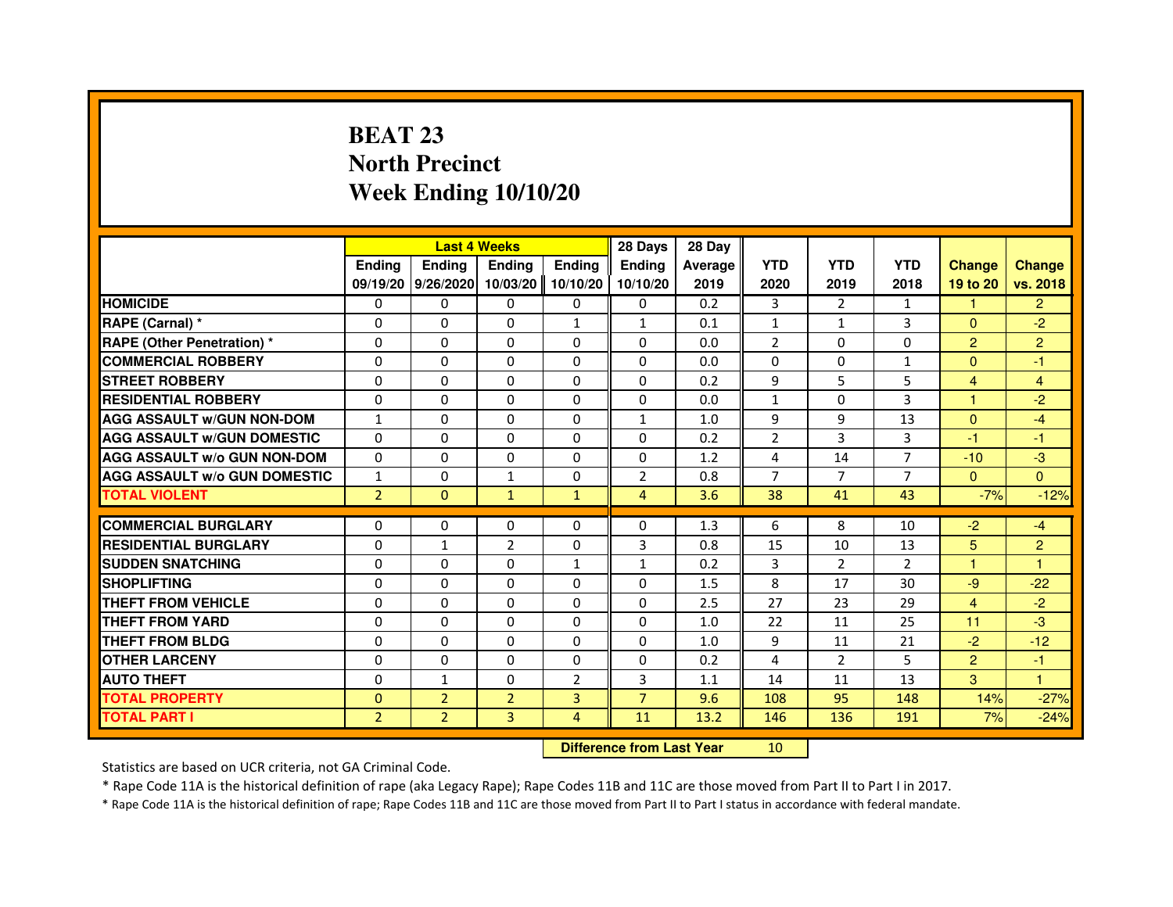# **BEAT 23 North PrecinctWeek Ending 10/10/20**

|                                     |                | <b>Last 4 Weeks</b> |                                  |                | 28 Days        | 28 Day  |                |                |                |                |                |
|-------------------------------------|----------------|---------------------|----------------------------------|----------------|----------------|---------|----------------|----------------|----------------|----------------|----------------|
|                                     | <b>Ending</b>  | <b>Ending</b>       | <b>Ending</b>                    | <b>Ending</b>  | <b>Ending</b>  | Average | <b>YTD</b>     | <b>YTD</b>     | <b>YTD</b>     | <b>Change</b>  | <b>Change</b>  |
|                                     |                | 09/19/20 9/26/2020  | 10/03/20                         | 10/10/20       | 10/10/20       | 2019    | 2020           | 2019           | 2018           | 19 to 20       | vs. 2018       |
| <b>HOMICIDE</b>                     | $\Omega$       | $\Omega$            | $\Omega$                         | 0              | 0              | 0.2     | 3              | $\overline{2}$ | $\mathbf{1}$   | $\mathbf{1}$   | $\overline{2}$ |
| RAPE (Carnal) *                     | 0              | 0                   | 0                                | 1              | $\mathbf{1}$   | 0.1     | $\mathbf{1}$   | $\mathbf{1}$   | 3              | $\Omega$       | $-2$           |
| RAPE (Other Penetration) *          | $\Omega$       | 0                   | $\Omega$                         | $\Omega$       | $\Omega$       | 0.0     | $\overline{2}$ | $\Omega$       | $\Omega$       | $\overline{2}$ | $\overline{2}$ |
| <b>COMMERCIAL ROBBERY</b>           | $\Omega$       | $\Omega$            | $\Omega$                         | $\Omega$       | $\Omega$       | 0.0     | $\Omega$       | $\Omega$       | $\mathbf{1}$   | $\Omega$       | $-1$           |
| <b>STREET ROBBERY</b>               | $\Omega$       | $\Omega$            | $\Omega$                         | $\Omega$       | $\Omega$       | 0.2     | 9              | 5              | 5              | $\overline{4}$ | $\overline{4}$ |
| <b>RESIDENTIAL ROBBERY</b>          | 0              | 0                   | $\Omega$                         | 0              | 0              | 0.0     | $\mathbf{1}$   | 0              | 3              | 1              | $-2$           |
| <b>AGG ASSAULT W/GUN NON-DOM</b>    | $\mathbf{1}$   | $\Omega$            | $\Omega$                         | $\Omega$       | $\mathbf{1}$   | 1.0     | 9              | 9              | 13             | $\Omega$       | $-4$           |
| <b>AGG ASSAULT W/GUN DOMESTIC</b>   | $\Omega$       | $\Omega$            | $\Omega$                         | $\Omega$       | $\Omega$       | 0.2     | $\overline{2}$ | 3              | 3              | $-1$           | $-1$           |
| <b>AGG ASSAULT W/o GUN NON-DOM</b>  | $\Omega$       | $\Omega$            | $\Omega$                         | $\Omega$       | $\Omega$       | 1.2     | 4              | 14             | $\overline{7}$ | $-10$          | $-3$           |
| <b>AGG ASSAULT W/o GUN DOMESTIC</b> | $\mathbf{1}$   | $\Omega$            | $\mathbf{1}$                     | $\Omega$       | 2              | 0.8     | $\overline{7}$ | $\overline{7}$ | 7              | $\mathbf{0}$   | $\Omega$       |
| <b>TOTAL VIOLENT</b>                | $\overline{2}$ | $\mathbf{0}$        | $\mathbf{1}$                     | $\mathbf{1}$   | $\overline{4}$ | 3.6     | 38             | 41             | 43             | $-7%$          | $-12%$         |
| <b>COMMERCIAL BURGLARY</b>          | 0              | 0                   | 0                                | 0              | 0              | 1.3     | 6              | 8              | 10             | $-2$           | $-4$           |
| <b>RESIDENTIAL BURGLARY</b>         | 0              | 1                   | $\overline{2}$                   | $\Omega$       | 3              | 0.8     | 15             | 10             | 13             | 5              | $\overline{c}$ |
| <b>SUDDEN SNATCHING</b>             | $\Omega$       | $\Omega$            | $\Omega$                         | $\mathbf{1}$   | $\mathbf{1}$   | 0.2     | 3              | $\overline{2}$ | $\overline{2}$ | $\mathbf{1}$   | $\mathbf{1}$   |
| <b>SHOPLIFTING</b>                  | 0              | $\Omega$            | $\Omega$                         | 0              | $\Omega$       | 1.5     | 8              | 17             | 30             | $-9$           | $-22$          |
| THEFT FROM VEHICLE                  | 0              | $\Omega$            | 0                                | $\Omega$       | 0              | 2.5     | 27             | 23             | 29             | $\overline{4}$ | $-2$           |
| <b>THEFT FROM YARD</b>              | $\Omega$       | $\Omega$            | $\Omega$                         | $\Omega$       | $\Omega$       | 1.0     | 22             | 11             | 25             | 11             | $-3$           |
| <b>THEFT FROM BLDG</b>              | $\Omega$       | $\Omega$            | $\Omega$                         | $\Omega$       | $\Omega$       | 1.0     | 9              | 11             | 21             | $-2$           | $-12$          |
| <b>OTHER LARCENY</b>                | 0              | $\Omega$            | 0                                | 0              | 0              | 0.2     | 4              | $\overline{2}$ | 5              | $\overline{2}$ | $-1$           |
| <b>AUTO THEFT</b>                   | $\Omega$       | $\mathbf{1}$        | $\Omega$                         | $\overline{2}$ | 3              | 1.1     | 14             | 11             | 13             | 3 <sup>1</sup> | $\mathbf{1}$   |
| <b>TOTAL PROPERTY</b>               | $\Omega$       | $\overline{2}$      | $\overline{2}$                   | 3              | $\overline{7}$ | 9.6     | 108            | 95             | 148            | 14%            | $-27%$         |
| <b>TOTAL PART I</b>                 | $\overline{2}$ | $\overline{2}$      | 3                                | 4              | 11             | 13.2    | 146            | 136            | 191            | 7%             | $-24%$         |
|                                     |                |                     | <b>Difference from Last Year</b> |                | 10             |         |                |                |                |                |                |

 **Difference from Last Year**

Statistics are based on UCR criteria, not GA Criminal Code.

\* Rape Code 11A is the historical definition of rape (aka Legacy Rape); Rape Codes 11B and 11C are those moved from Part II to Part I in 2017.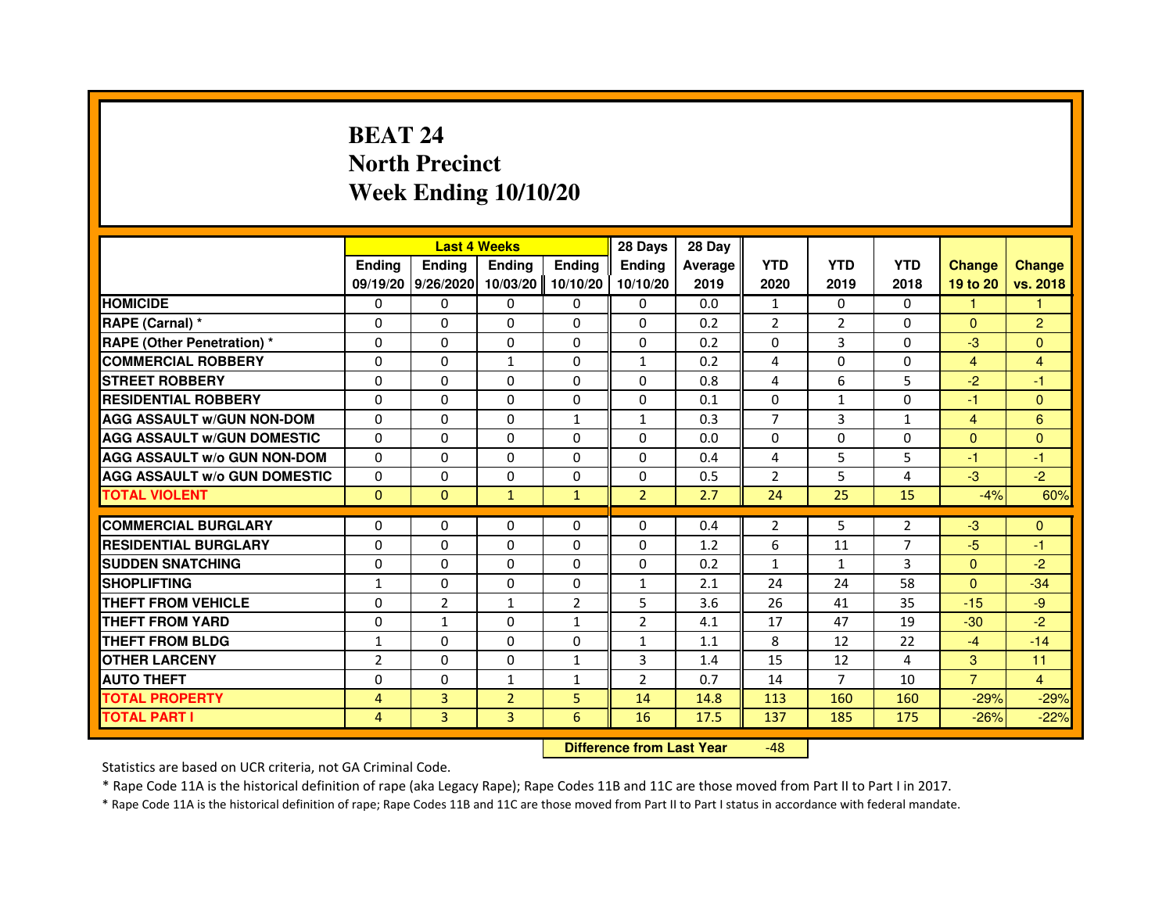# **BEAT 24 North PrecinctWeek Ending 10/10/20**

|                                     |                | <b>Last 4 Weeks</b> |                |                | 28 Days        | 28 Day  |                |                |              |                |                |
|-------------------------------------|----------------|---------------------|----------------|----------------|----------------|---------|----------------|----------------|--------------|----------------|----------------|
|                                     | <b>Endina</b>  | Ending              | <b>Endina</b>  | <b>Endina</b>  | <b>Endina</b>  | Average | <b>YTD</b>     | <b>YTD</b>     | <b>YTD</b>   | <b>Change</b>  | <b>Change</b>  |
|                                     |                | 09/19/20 9/26/2020  | 10/03/20       | 10/10/20       | 10/10/20       | 2019    | 2020           | 2019           | 2018         | 19 to 20       | vs. 2018       |
| <b>HOMICIDE</b>                     | 0              | 0                   | 0              | 0              | 0              | 0.0     | $\mathbf{1}$   | $\Omega$       | $\Omega$     | $\mathbf{1}$   | 1              |
| RAPE (Carnal) *                     | $\Omega$       | $\Omega$            | $\Omega$       | $\Omega$       | $\Omega$       | 0.2     | 2              | 2              | $\Omega$     | $\Omega$       | $\overline{2}$ |
| <b>RAPE (Other Penetration)*</b>    | $\Omega$       | $\Omega$            | $\Omega$       | $\Omega$       | $\Omega$       | 0.2     | $\Omega$       | 3              | $\Omega$     | $-3$           | $\Omega$       |
| <b>COMMERCIAL ROBBERY</b>           | 0              | 0                   | 1              | 0              | $\mathbf{1}$   | 0.2     | 4              | 0              | 0            | 4              | 4              |
| <b>STREET ROBBERY</b>               | $\Omega$       | 0                   | 0              | 0              | 0              | 0.8     | 4              | 6              | 5            | $-2$           | $-1$           |
| <b>RESIDENTIAL ROBBERY</b>          | $\Omega$       | $\Omega$            | $\Omega$       | $\Omega$       | $\Omega$       | 0.1     | $\Omega$       | $\mathbf{1}$   | $\Omega$     | $-1$           | $\Omega$       |
| <b>AGG ASSAULT W/GUN NON-DOM</b>    | $\Omega$       | $\Omega$            | $\Omega$       | $\mathbf{1}$   | $\mathbf{1}$   | 0.3     | $\overline{7}$ | $\overline{3}$ | $\mathbf{1}$ | $\overline{4}$ | 6              |
| <b>AGG ASSAULT W/GUN DOMESTIC</b>   | $\Omega$       | $\Omega$            | $\Omega$       | $\Omega$       | $\Omega$       | 0.0     | $\Omega$       | $\Omega$       | $\Omega$     | $\Omega$       | $\Omega$       |
| <b>AGG ASSAULT W/o GUN NON-DOM</b>  | $\Omega$       | 0                   | $\Omega$       | $\Omega$       | $\Omega$       | 0.4     | 4              | 5              | 5            | $-1$           | $-1$           |
| <b>AGG ASSAULT W/o GUN DOMESTIC</b> | $\Omega$       | 0                   | 0              | 0              | 0              | 0.5     | $\overline{2}$ | 5              | 4            | $-3$           | $-2$           |
| <b>TOTAL VIOLENT</b>                | $\Omega$       | $\Omega$            | $\mathbf{1}$   | $\mathbf{1}$   | $\overline{2}$ | 2.7     | 24             | 25             | 15           | $-4%$          | 60%            |
| <b>COMMERCIAL BURGLARY</b>          |                |                     |                |                |                |         |                |                |              |                |                |
| <b>RESIDENTIAL BURGLARY</b>         | $\Omega$       | 0                   | $\Omega$       | 0              | 0              | 0.4     | $\overline{2}$ | 5              | 2            | $-3$           | $\mathbf{0}$   |
|                                     | 0              | 0                   | 0              | 0              | 0              | 1.2     | 6              | 11             | 7            | $-5$           | $-1$           |
| <b>SUDDEN SNATCHING</b>             | $\Omega$       | $\Omega$            | $\Omega$       | $\Omega$       | $\Omega$       | 0.2     | $\mathbf{1}$   | $\mathbf{1}$   | 3            | $\Omega$       | $-2$           |
| <b>SHOPLIFTING</b>                  | $\mathbf{1}$   | $\Omega$            | $\Omega$       | $\Omega$       | $\mathbf{1}$   | 2.1     | 24             | 24             | 58           | $\Omega$       | $-34$          |
| <b>THEFT FROM VEHICLE</b>           | 0              | 2                   | $\mathbf{1}$   | $\overline{2}$ | 5              | 3.6     | 26             | 41             | 35           | $-15$          | -9             |
| <b>THEFT FROM YARD</b>              | $\Omega$       | $\mathbf{1}$        | $\Omega$       | $\mathbf{1}$   | $\overline{2}$ | 4.1     | 17             | 47             | 19           | $-30$          | $-2$           |
| <b>THEFT FROM BLDG</b>              | 1              | $\Omega$            | $\Omega$       | $\Omega$       | 1              | 1.1     | 8              | 12             | 22           | $-4$           | $-14$          |
| <b>OTHER LARCENY</b>                | $\overline{2}$ | $\Omega$            | $\Omega$       | $\mathbf{1}$   | 3              | 1.4     | 15             | 12             | 4            | 3              | 11             |
| <b>AUTO THEFT</b>                   | $\Omega$       | $\Omega$            | 1              | 1              | $\overline{2}$ | 0.7     | 14             | $\overline{7}$ | 10           | $\overline{7}$ | $\overline{4}$ |
| <b>TOTAL PROPERTY</b>               | 4              | 3                   | $\overline{2}$ | 5              | 14             | 14.8    | 113            | 160            | 160          | $-29%$         | $-29%$         |
| <b>TOTAL PART I</b>                 | 4              | 3                   | 3              | 6              | 16             | 17.5    | 137            | 185            | 175          | $-26%$         | $-22%$         |

 **Difference from Last Year**-48

Statistics are based on UCR criteria, not GA Criminal Code.

\* Rape Code 11A is the historical definition of rape (aka Legacy Rape); Rape Codes 11B and 11C are those moved from Part II to Part I in 2017.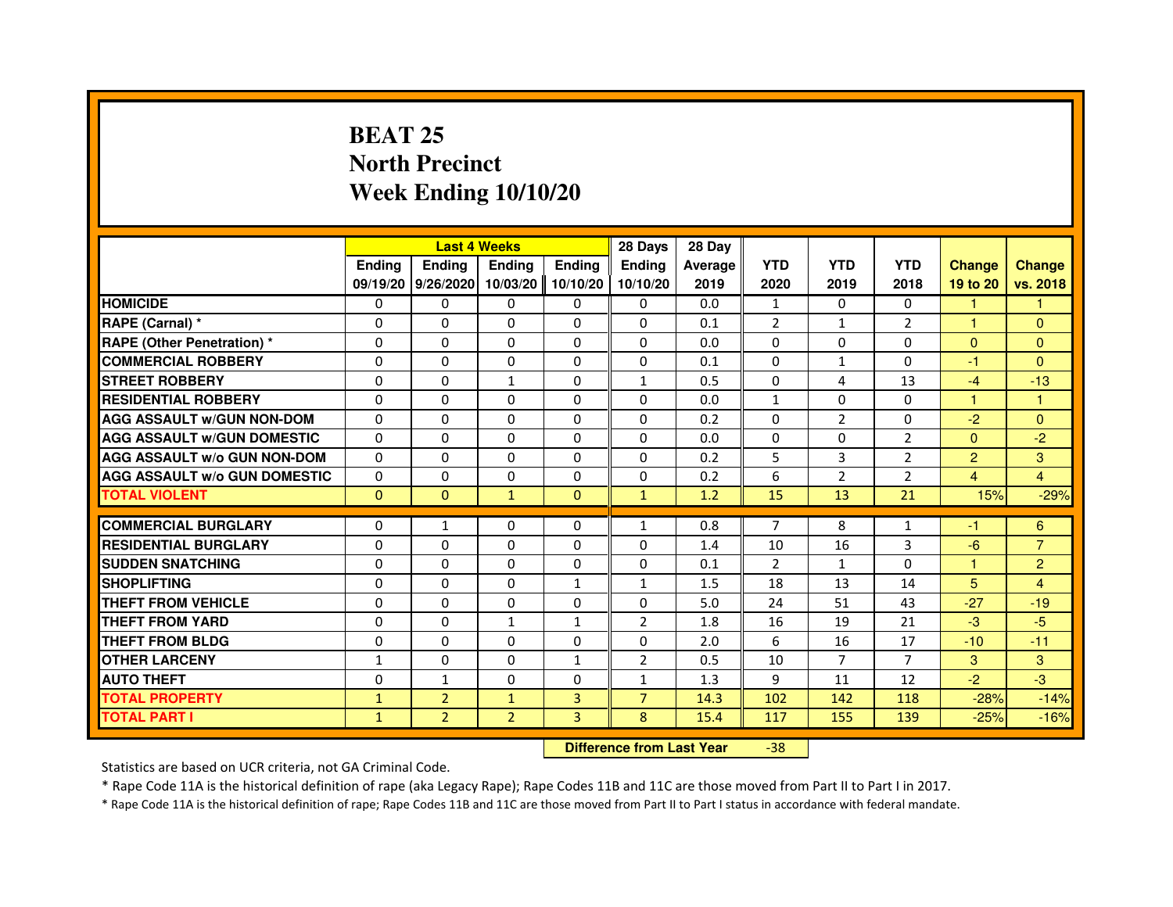## **BEAT 25 North PrecinctWeek Ending 10/10/20**

|                                     |               |                    | <b>Last 4 Weeks</b> |               | 28 Days                          | 28 Day  |                |                |                |                |                |
|-------------------------------------|---------------|--------------------|---------------------|---------------|----------------------------------|---------|----------------|----------------|----------------|----------------|----------------|
|                                     | <b>Ending</b> | <b>Ending</b>      | <b>Ending</b>       | <b>Ending</b> | <b>Ending</b>                    | Average | <b>YTD</b>     | <b>YTD</b>     | <b>YTD</b>     | <b>Change</b>  | <b>Change</b>  |
|                                     |               | 09/19/20 9/26/2020 | 10/03/20            | 10/10/20      | 10/10/20                         | 2019    | 2020           | 2019           | 2018           | 19 to 20       | vs. 2018       |
| <b>HOMICIDE</b>                     | $\Omega$      | $\Omega$           | $\Omega$            | 0             | 0                                | 0.0     | $\mathbf{1}$   | $\Omega$       | $\Omega$       | $\mathbf{1}$   | $\mathbf{1}$   |
| RAPE (Carnal) *                     | 0             | $\Omega$           | $\Omega$            | $\Omega$      | 0                                | 0.1     | $\overline{2}$ | $\mathbf{1}$   | $\overline{2}$ | 1              | $\Omega$       |
| <b>RAPE (Other Penetration) *</b>   | $\Omega$      | $\Omega$           | $\Omega$            | $\Omega$      | $\Omega$                         | 0.0     | $\Omega$       | $\Omega$       | $\Omega$       | $\Omega$       | $\overline{0}$ |
| <b>COMMERCIAL ROBBERY</b>           | 0             | $\Omega$           | $\Omega$            | $\Omega$      | $\Omega$                         | 0.1     | $\Omega$       | $\mathbf{1}$   | $\Omega$       | $-1$           | $\mathbf{0}$   |
| <b>STREET ROBBERY</b>               | 0             | $\Omega$           | $\mathbf{1}$        | $\Omega$      | $\mathbf{1}$                     | 0.5     | $\Omega$       | 4              | 13             | $-4$           | $-13$          |
| <b>RESIDENTIAL ROBBERY</b>          | 0             | $\Omega$           | 0                   | $\Omega$      | $\Omega$                         | 0.0     | $\mathbf{1}$   | $\mathbf{0}$   | $\mathbf{0}$   | 1              | 1              |
| <b>AGG ASSAULT W/GUN NON-DOM</b>    | $\Omega$      | $\Omega$           | $\Omega$            | $\Omega$      | $\Omega$                         | 0.2     | $\Omega$       | $\overline{2}$ | $\Omega$       | $-2$           | $\Omega$       |
| <b>AGG ASSAULT W/GUN DOMESTIC</b>   | $\Omega$      | $\Omega$           | $\Omega$            | $\Omega$      | $\Omega$                         | 0.0     | $\Omega$       | $\Omega$       | $\overline{2}$ | $\Omega$       | $-2$           |
| <b>AGG ASSAULT w/o GUN NON-DOM</b>  | 0             | $\mathbf{0}$       | $\mathbf{0}$        | 0             | 0                                | 0.2     | 5              | 3              | 2              | $\overline{2}$ | 3              |
| <b>AGG ASSAULT W/o GUN DOMESTIC</b> | $\Omega$      | 0                  | 0                   | 0             | $\Omega$                         | 0.2     | 6              | $\overline{2}$ | $\overline{2}$ | 4              | $\overline{4}$ |
| <b>TOTAL VIOLENT</b>                | $\mathbf 0$   | $\mathbf{0}$       | $\mathbf{1}$        | $\mathbf{0}$  | $\mathbf{1}$                     | 1.2     | 15             | 13             | 21             | 15%            | $-29%$         |
| <b>COMMERCIAL BURGLARY</b>          | 0             | $\mathbf{1}$       | 0                   | 0             | $\mathbf{1}$                     | 0.8     | 7              | 8              | $\mathbf{1}$   | -1             | 6              |
| <b>RESIDENTIAL BURGLARY</b>         | $\Omega$      | $\Omega$           | $\Omega$            | $\Omega$      | $\Omega$                         | 1.4     | 10             | 16             | 3              | $-6$           | $\overline{7}$ |
| <b>SUDDEN SNATCHING</b>             | $\Omega$      | $\Omega$           | $\Omega$            | $\Omega$      | $\Omega$                         | 0.1     | $\mathfrak{p}$ | $\mathbf{1}$   | $\Omega$       | $\mathbf{1}$   | $\overline{2}$ |
| <b>SHOPLIFTING</b>                  | 0             | 0                  | 0                   | 1             | 1                                | 1.5     | 18             | 13             | 14             | 5              | 4              |
| THEFT FROM VEHICLE                  | $\Omega$      | $\Omega$           | 0                   | $\Omega$      | 0                                | 5.0     | 24             | 51             | 43             | $-27$          | $-19$          |
| <b>THEFT FROM YARD</b>              | 0             | 0                  | $\mathbf{1}$        | $\mathbf{1}$  | $\overline{2}$                   | 1.8     | 16             | 19             | 21             | $-3$           | $-5$           |
| <b>THEFT FROM BLDG</b>              | $\Omega$      | $\Omega$           | $\Omega$            | $\Omega$      | $\Omega$                         | 2.0     | 6              | 16             | 17             | $-10$          | $-11$          |
| <b>OTHER LARCENY</b>                | 1             | $\Omega$           | $\Omega$            | $\mathbf{1}$  | $\overline{2}$                   | 0.5     | 10             | $\overline{7}$ | 7              | 3              | 3              |
| <b>AUTO THEFT</b>                   | $\Omega$      | $\mathbf{1}$       | $\Omega$            | $\Omega$      | $\mathbf{1}$                     | 1.3     | 9              | 11             | 12             | $-2$           | $-3$           |
| <b>TOTAL PROPERTY</b>               | $\mathbf{1}$  | $\overline{2}$     | $\mathbf{1}$        | 3             | $\overline{7}$                   | 14.3    | 102            | 142            | 118            | $-28%$         | $-14%$         |
| <b>TOTAL PART I</b>                 | $\mathbf{1}$  | $\overline{2}$     | $\overline{2}$      | 3             | 8                                | 15.4    | 117            | 155            | 139            | $-25%$         | $-16%$         |
|                                     |               |                    |                     |               | <b>Difference from Last Year</b> |         | $-38$          |                |                |                |                |

Statistics are based on UCR criteria, not GA Criminal Code.

\* Rape Code 11A is the historical definition of rape (aka Legacy Rape); Rape Codes 11B and 11C are those moved from Part II to Part I in 2017.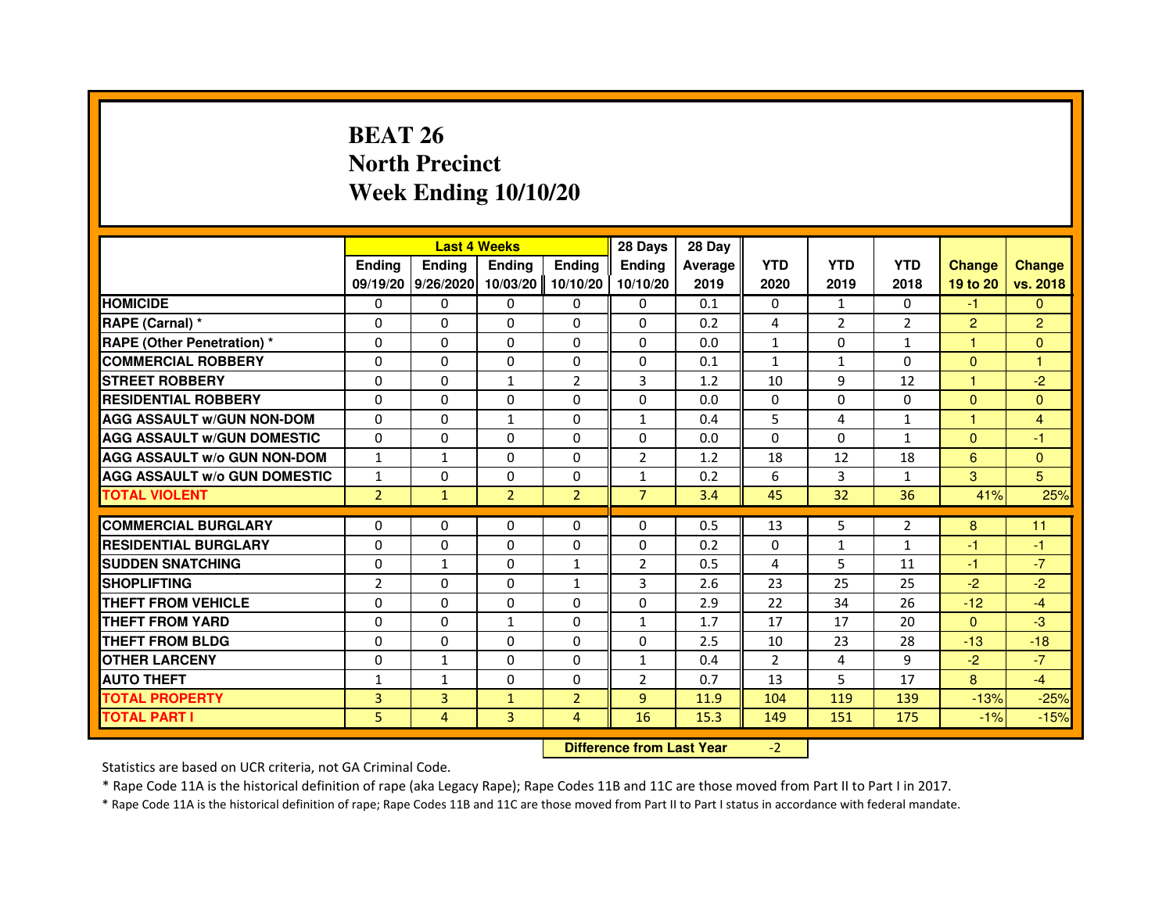# **BEAT 26 North PrecinctWeek Ending 10/10/20**

|                                     |                | <b>Last 4 Weeks</b>         |                                  |                | 28 Days        | 28 Day  |                |                |                |                |                         |
|-------------------------------------|----------------|-----------------------------|----------------------------------|----------------|----------------|---------|----------------|----------------|----------------|----------------|-------------------------|
|                                     | <b>Ending</b>  | <b>Ending</b>               | <b>Ending</b>                    | <b>Ending</b>  | Ending         | Average | <b>YTD</b>     | <b>YTD</b>     | <b>YTD</b>     | <b>Change</b>  | <b>Change</b>           |
|                                     |                | 09/19/20 9/26/2020 10/03/20 |                                  | 10/10/20       | 10/10/20       | 2019    | 2020           | 2019           | 2018           | 19 to 20       | vs. 2018                |
| <b>HOMICIDE</b>                     | $\Omega$       | $\Omega$                    | $\Omega$                         | 0              | 0              | 0.1     | 0              | $\mathbf{1}$   | $\Omega$       | $-1$           | $\Omega$                |
| RAPE (Carnal) *                     | 0              | 0                           | 0                                | 0              | 0              | 0.2     | 4              | $\overline{2}$ | $\overline{2}$ | $\overline{2}$ | $\overline{c}$          |
| RAPE (Other Penetration) *          | $\Omega$       | $\Omega$                    | $\Omega$                         | $\Omega$       | $\Omega$       | 0.0     | $\mathbf{1}$   | $\Omega$       | $\mathbf{1}$   | 1              | $\overline{0}$          |
| <b>COMMERCIAL ROBBERY</b>           | $\Omega$       | $\Omega$                    | $\Omega$                         | $\Omega$       | 0              | 0.1     | $\mathbf{1}$   | $\mathbf{1}$   | $\Omega$       | $\mathbf{0}$   | 1                       |
| <b>STREET ROBBERY</b>               | $\Omega$       | $\Omega$                    | $\mathbf{1}$                     | $\overline{2}$ | 3              | 1.2     | 10             | 9              | 12             | $\mathbf{1}$   | $-2$                    |
| <b>RESIDENTIAL ROBBERY</b>          | 0              | 0                           | 0                                | 0              | 0              | 0.0     | 0              | $\Omega$       | $\mathbf{0}$   | $\overline{0}$ | $\overline{0}$          |
| <b>AGG ASSAULT w/GUN NON-DOM</b>    | $\Omega$       | $\Omega$                    | $\mathbf{1}$                     | $\Omega$       | $\mathbf{1}$   | 0.4     | 5              | 4              | $\mathbf{1}$   | $\overline{1}$ | $\overline{\mathbf{4}}$ |
| <b>AGG ASSAULT W/GUN DOMESTIC</b>   | $\Omega$       | $\Omega$                    | $\Omega$                         | $\Omega$       | $\Omega$       | 0.0     | $\Omega$       | $\Omega$       | $\mathbf{1}$   | $\mathbf{0}$   | $-1$                    |
| <b>AGG ASSAULT W/o GUN NON-DOM</b>  | $\mathbf{1}$   | $\mathbf{1}$                | $\Omega$                         | $\Omega$       | $\overline{2}$ | 1.2     | 18             | 12             | 18             | 6              | $\overline{0}$          |
| <b>AGG ASSAULT w/o GUN DOMESTIC</b> | $\mathbf{1}$   | $\Omega$                    | 0                                | $\Omega$       | $\mathbf{1}$   | 0.2     | 6              | 3              | $\mathbf{1}$   | 3              | 5                       |
| <b>TOTAL VIOLENT</b>                | $\overline{2}$ | $\mathbf{1}$                | $\overline{2}$                   | $\overline{2}$ | $\overline{7}$ | 3.4     | 45             | 32             | 36             | 41%            | 25%                     |
| <b>COMMERCIAL BURGLARY</b>          | 0              | 0                           | 0                                | 0              | 0              | 0.5     | 13             | 5              | $\overline{2}$ | 8              | 11                      |
| <b>RESIDENTIAL BURGLARY</b>         | $\Omega$       | $\Omega$                    | $\Omega$                         | $\Omega$       | 0              | 0.2     | 0              | $\mathbf{1}$   | $\mathbf{1}$   | $-1$           | $-1$                    |
| <b>SUDDEN SNATCHING</b>             | $\Omega$       | $\mathbf{1}$                | $\Omega$                         | $\mathbf{1}$   | $\overline{2}$ | 0.5     | 4              | 5              | 11             | $-1$           | $-7$                    |
| <b>SHOPLIFTING</b>                  | $\overline{2}$ | $\Omega$                    | 0                                | $\mathbf{1}$   | 3              | 2.6     | 23             | 25             | 25             | $-2$           | $-2$                    |
| <b>THEFT FROM VEHICLE</b>           | 0              | 0                           | 0                                | $\Omega$       | 0              | 2.9     | 22             | 34             | 26             | $-12$          | $-4$                    |
| <b>THEFT FROM YARD</b>              | $\Omega$       | $\Omega$                    | $\mathbf{1}$                     | $\Omega$       | $\mathbf{1}$   | 1.7     | 17             | 17             | 20             | $\Omega$       | $-3$                    |
| <b>THEFT FROM BLDG</b>              | $\Omega$       | $\Omega$                    | $\Omega$                         | $\Omega$       | $\Omega$       | 2.5     | 10             | 23             | 28             | $-13$          | $-18$                   |
| <b>OTHER LARCENY</b>                | 0              | $\mathbf{1}$                | 0                                | 0              | 1              | 0.4     | $\overline{2}$ | 4              | 9              | $-2$           | $-7$                    |
| <b>AUTO THEFT</b>                   | $\mathbf{1}$   | $\mathbf{1}$                | $\Omega$                         | $\Omega$       | $\overline{2}$ | 0.7     | 13             | 5              | 17             | 8              | $-4$                    |
| <b>TOTAL PROPERTY</b>               | 3              | 3                           | $\mathbf{1}$                     | $\overline{2}$ | $\overline{9}$ | 11.9    | 104            | 119            | 139            | $-13%$         | $-25%$                  |
| <b>TOTAL PART I</b>                 | 5              | $\overline{4}$              | 3                                | 4              | 16             | 15.3    | 149            | 151            | 175            | $-1%$          | $-15%$                  |
|                                     |                |                             | <b>Difference from Last Year</b> |                | $-2$           |         |                |                |                |                |                         |

 **Difference from Last Year**

Statistics are based on UCR criteria, not GA Criminal Code.

\* Rape Code 11A is the historical definition of rape (aka Legacy Rape); Rape Codes 11B and 11C are those moved from Part II to Part I in 2017.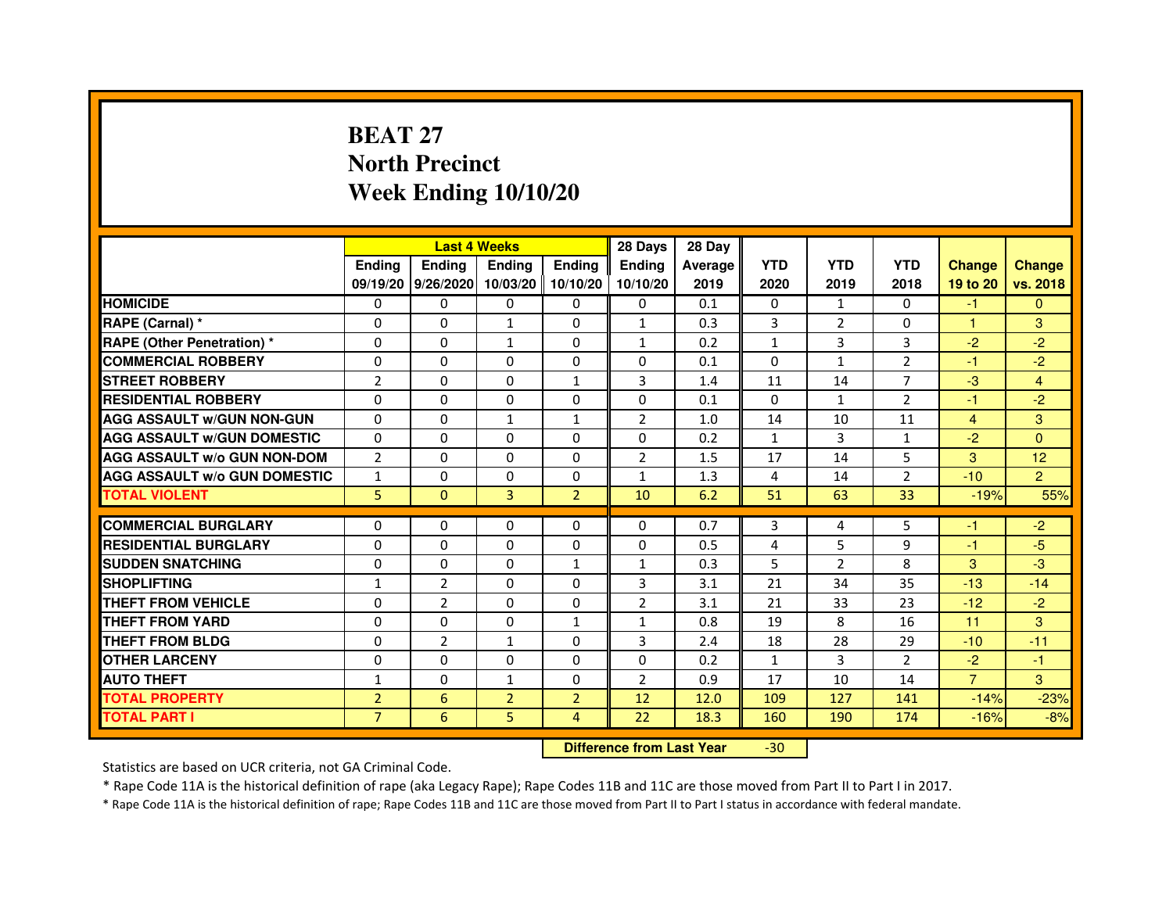# **BEAT 27 North PrecinctWeek Ending 10/10/20**

|                                     |                | <b>Last 4 Weeks</b> |                |                | 28 Days        | 28 Day  |              |                |                |                |                |
|-------------------------------------|----------------|---------------------|----------------|----------------|----------------|---------|--------------|----------------|----------------|----------------|----------------|
|                                     | <b>Ending</b>  | <b>Endina</b>       | <b>Endina</b>  | Ending         | <b>Endina</b>  | Average | <b>YTD</b>   | <b>YTD</b>     | <b>YTD</b>     | <b>Change</b>  | <b>Change</b>  |
|                                     |                | 09/19/20 9/26/2020  | 10/03/20       | 10/10/20       | 10/10/20       | 2019    | 2020         | 2019           | 2018           | 19 to 20       | vs. 2018       |
| <b>HOMICIDE</b>                     | 0              | $\mathbf{0}$        | 0              | 0              | 0              | 0.1     | $\mathbf{0}$ | 1              | $\mathbf{0}$   | $-1$           | $\mathbf{0}$   |
| RAPE (Carnal) *                     | $\Omega$       | $\Omega$            | $\mathbf{1}$   | $\Omega$       | $\mathbf{1}$   | 0.3     | 3            | $\overline{2}$ | $\Omega$       | $\mathbf{1}$   | 3              |
| RAPE (Other Penetration) *          | 0              | $\Omega$            | $\mathbf{1}$   | $\Omega$       | $\mathbf{1}$   | 0.2     | $\mathbf{1}$ | 3              | 3              | $-2$           | $-2$           |
| <b>COMMERCIAL ROBBERY</b>           | 0              | 0                   | 0              | 0              | 0              | 0.1     | $\Omega$     | $\mathbf{1}$   | 2              | $-1$           | $-2$           |
| <b>STREET ROBBERY</b>               | $\overline{2}$ | 0                   | 0              | 1              | 3              | 1.4     | 11           | 14             | 7              | $-3$           | $\overline{4}$ |
| <b>RESIDENTIAL ROBBERY</b>          | 0              | $\Omega$            | $\Omega$       | $\Omega$       | $\Omega$       | 0.1     | $\Omega$     | $\mathbf{1}$   | $\overline{2}$ | $-1$           | $-2$           |
| <b>AGG ASSAULT W/GUN NON-GUN</b>    | $\Omega$       | $\mathbf 0$         | $\mathbf{1}$   | $\mathbf{1}$   | $\overline{2}$ | 1.0     | 14           | 10             | 11             | $\overline{4}$ | 3              |
| <b>AGG ASSAULT W/GUN DOMESTIC</b>   | 0              | 0                   | 0              | 0              | 0              | 0.2     | $\mathbf{1}$ | 3              | $\mathbf{1}$   | $-2$           | $\Omega$       |
| <b>AGG ASSAULT W/o GUN NON-DOM</b>  | $\overline{2}$ | 0                   | 0              | $\Omega$       | $\overline{2}$ | 1.5     | 17           | 14             | 5              | 3              | 12             |
| <b>AGG ASSAULT W/o GUN DOMESTIC</b> | $\mathbf{1}$   | $\Omega$            | 0              | $\Omega$       | $\mathbf{1}$   | 1.3     | 4            | 14             | $\overline{2}$ | $-10$          | $\overline{2}$ |
| <b>TOTAL VIOLENT</b>                | 5              | $\mathbf{0}$        | 3              | $\overline{2}$ | 10             | 6.2     | 51           | 63             | 33             | $-19%$         | 55%            |
|                                     |                |                     |                |                |                |         |              |                |                |                |                |
| <b>COMMERCIAL BURGLARY</b>          | 0              | 0                   | 0              | 0              | $\Omega$       | 0.7     | 3            | 4              | 5              | -1             | $-2$           |
| <b>RESIDENTIAL BURGLARY</b>         | 0              | $\Omega$            | 0              | $\Omega$       | 0              | 0.5     | 4            | 5              | 9              | $-1$           | -5             |
| <b>SUDDEN SNATCHING</b>             | 0              | 0                   | 0              | $\mathbf{1}$   | $\mathbf{1}$   | 0.3     | 5            | $\overline{2}$ | 8              | 3              | -3             |
| <b>SHOPLIFTING</b>                  | $\mathbf{1}$   | $\overline{2}$      | $\Omega$       | $\Omega$       | 3              | 3.1     | 21           | 34             | 35             | $-13$          | $-14$          |
| <b>THEFT FROM VEHICLE</b>           | 0              | $\overline{2}$      | $\Omega$       | $\Omega$       | $\overline{2}$ | 3.1     | 21           | 33             | 23             | $-12$          | $-2$           |
| <b>THEFT FROM YARD</b>              | $\Omega$       | $\Omega$            | $\Omega$       | $\mathbf{1}$   | $\mathbf{1}$   | 0.8     | 19           | 8              | 16             | 11             | 3              |
| <b>THEFT FROM BLDG</b>              | 0              | $\overline{2}$      | 1              | 0              | 3              | 2.4     | 18           | 28             | 29             | $-10$          | $-11$          |
| <b>OTHER LARCENY</b>                | 0              | 0                   | $\Omega$       | $\Omega$       | $\Omega$       | 0.2     | $\mathbf{1}$ | 3              | $\mathcal{P}$  | $-2$           | $-1$           |
| <b>AUTO THEFT</b>                   | 1              | 0                   | 1              | $\Omega$       | $\overline{2}$ | 0.9     | 17           | 10             | 14             | $\overline{7}$ | 3              |
| <b>TOTAL PROPERTY</b>               | $\overline{2}$ | 6                   | $\overline{2}$ | $\overline{2}$ | 12             | 12.0    | 109          | 127            | 141            | $-14%$         | $-23%$         |
| <b>TOTAL PART I</b>                 | $\overline{7}$ | 6                   | 5              | $\overline{4}$ | 22             | 18.3    | 160          | 190            | 174            | $-16%$         | $-8%$          |

 **Difference from Last Year**-30

Statistics are based on UCR criteria, not GA Criminal Code.

\* Rape Code 11A is the historical definition of rape (aka Legacy Rape); Rape Codes 11B and 11C are those moved from Part II to Part I in 2017.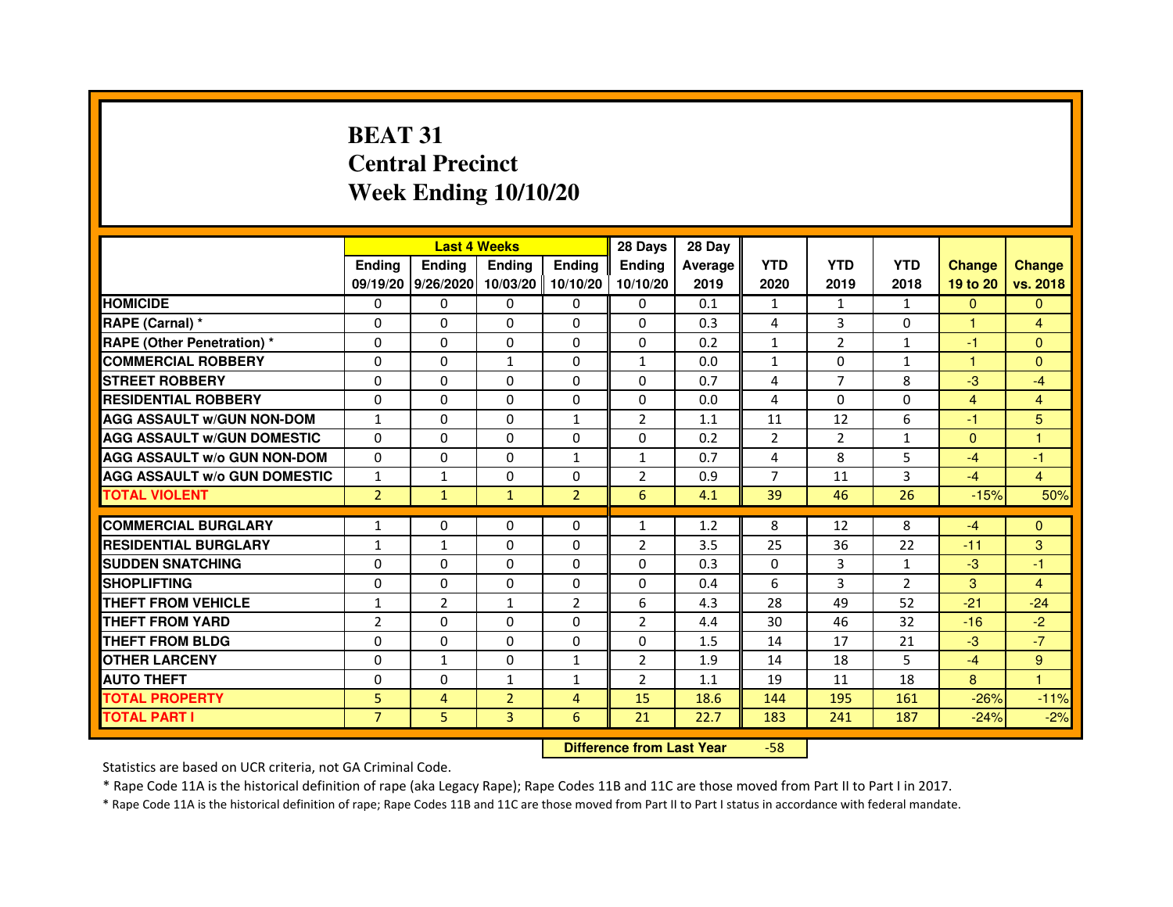# **BEAT 31 Central PrecinctWeek Ending 10/10/20**

|                                     |                | <b>Last 4 Weeks</b> |                     |                | 28 Days        | 28 Day  |                |                |                |                |                |
|-------------------------------------|----------------|---------------------|---------------------|----------------|----------------|---------|----------------|----------------|----------------|----------------|----------------|
|                                     | <b>Endina</b>  | Ending              | <b>Endina</b>       | <b>Ending</b>  | <b>Endina</b>  | Average | <b>YTD</b>     | <b>YTD</b>     | <b>YTD</b>     | <b>Change</b>  | <b>Change</b>  |
|                                     |                | 09/19/20 9/26/2020  | 10/03/20   10/10/20 |                | 10/10/20       | 2019    | 2020           | 2019           | 2018           | 19 to 20       | vs. 2018       |
| <b>HOMICIDE</b>                     | 0              | 0                   | $\mathbf{0}$        | 0              | 0              | 0.1     | 1              | $\mathbf{1}$   | $\mathbf{1}$   | $\mathbf{0}$   | $\mathbf{0}$   |
| RAPE (Carnal) *                     | $\Omega$       | $\Omega$            | $\Omega$            | $\Omega$       | $\Omega$       | 0.3     | 4              | 3              | $\Omega$       | $\mathbf{1}$   | $\overline{4}$ |
| <b>RAPE (Other Penetration)*</b>    | $\Omega$       | $\Omega$            | $\Omega$            | $\Omega$       | 0              | 0.2     | $\mathbf{1}$   | $\overline{2}$ | $\mathbf{1}$   | $-1$           | $\Omega$       |
| <b>COMMERCIAL ROBBERY</b>           | 0              | 0                   | $\mathbf{1}$        | 0              | 1              | 0.0     | $\mathbf{1}$   | 0              | 1              | 1              | $\Omega$       |
| <b>STREET ROBBERY</b>               | 0              | 0                   | 0                   | 0              | 0              | 0.7     | 4              | $\overline{7}$ | 8              | $-3$           | $-4$           |
| <b>RESIDENTIAL ROBBERY</b>          | $\Omega$       | $\Omega$            | $\Omega$            | 0              | 0              | 0.0     | 4              | $\Omega$       | $\Omega$       | $\overline{4}$ | $\overline{4}$ |
| <b>AGG ASSAULT w/GUN NON-DOM</b>    | $\mathbf{1}$   | $\Omega$            | $\Omega$            | $\mathbf{1}$   | $\overline{2}$ | 1.1     | 11             | 12             | 6              | $-1$           | 5              |
| <b>AGG ASSAULT w/GUN DOMESTIC</b>   | $\Omega$       | $\Omega$            | $\Omega$            | $\Omega$       | 0              | 0.2     | $\overline{2}$ | $\overline{2}$ | $\mathbf{1}$   | $\Omega$       | 1              |
| <b>AGG ASSAULT W/o GUN NON-DOM</b>  | $\Omega$       | 0                   | $\Omega$            | $\mathbf{1}$   | 1              | 0.7     | 4              | 8              | 5              | $-4$           | $-1$           |
| <b>AGG ASSAULT W/o GUN DOMESTIC</b> | $\mathbf{1}$   | 1                   | $\Omega$            | 0              | $\overline{2}$ | 0.9     | $\overline{7}$ | 11             | 3              | $-4$           | $\overline{4}$ |
| <b>TOTAL VIOLENT</b>                | $\overline{2}$ | $\mathbf{1}$        | $\mathbf{1}$        | $\overline{2}$ | 6              | 4.1     | 39             | 46             | 26             | $-15%$         | 50%            |
|                                     |                |                     |                     |                |                |         |                |                |                |                |                |
| <b>COMMERCIAL BURGLARY</b>          | 1              | $\Omega$            | 0                   | $\Omega$       | 1              | 1.2     | 8              | 12             | 8              | $-4$           | $\Omega$       |
| <b>RESIDENTIAL BURGLARY</b>         | $\mathbf{1}$   | $\mathbf{1}$        | $\Omega$            | 0              | $\overline{2}$ | 3.5     | 25             | 36             | 22             | $-11$          | 3              |
| <b>SUDDEN SNATCHING</b>             | $\Omega$       | $\Omega$            | $\Omega$            | 0              | 0              | 0.3     | 0              | 3              | $\mathbf{1}$   | $-3$           | $-1$           |
| <b>SHOPLIFTING</b>                  | $\Omega$       | 0                   | $\Omega$            | 0              | 0              | 0.4     | 6              | 3              | $\overline{2}$ | 3              | 4              |
| <b>THEFT FROM VEHICLE</b>           | $\mathbf{1}$   | $\overline{2}$      | $\mathbf{1}$        | $\overline{2}$ | 6              | 4.3     | 28             | 49             | 52             | $-21$          | $-24$          |
| <b>THEFT FROM YARD</b>              | $\overline{2}$ | $\Omega$            | $\Omega$            | $\Omega$       | $\mathfrak{p}$ | 4.4     | 30             | 46             | 32             | $-16$          | $-2$           |
| <b>THEFT FROM BLDG</b>              | 0              | 0                   | 0                   | 0              | 0              | 1.5     | 14             | 17             | 21             | $-3$           | $-7$           |
| <b>OTHER LARCENY</b>                | $\Omega$       | $\mathbf{1}$        | $\Omega$            | $\mathbf{1}$   | 2              | 1.9     | 14             | 18             | 5              | $-4$           | 9              |
| <b>AUTO THEFT</b>                   | $\Omega$       | 0                   | $\mathbf{1}$        | $\mathbf{1}$   | $\overline{2}$ | 1.1     | 19             | 11             | 18             | 8              | $\mathbf{1}$   |
| <b>TOTAL PROPERTY</b>               | 5              | 4                   | $\overline{2}$      | $\overline{4}$ | 15             | 18.6    | 144            | 195            | 161            | $-26%$         | $-11%$         |
| <b>TOTAL PART I</b>                 | $\overline{7}$ | 5                   | 3                   | 6              | 21             | 22.7    | 183            | 241            | 187            | $-24%$         | $-2%$          |

 **Difference from Last Year**-58

Statistics are based on UCR criteria, not GA Criminal Code.

\* Rape Code 11A is the historical definition of rape (aka Legacy Rape); Rape Codes 11B and 11C are those moved from Part II to Part I in 2017.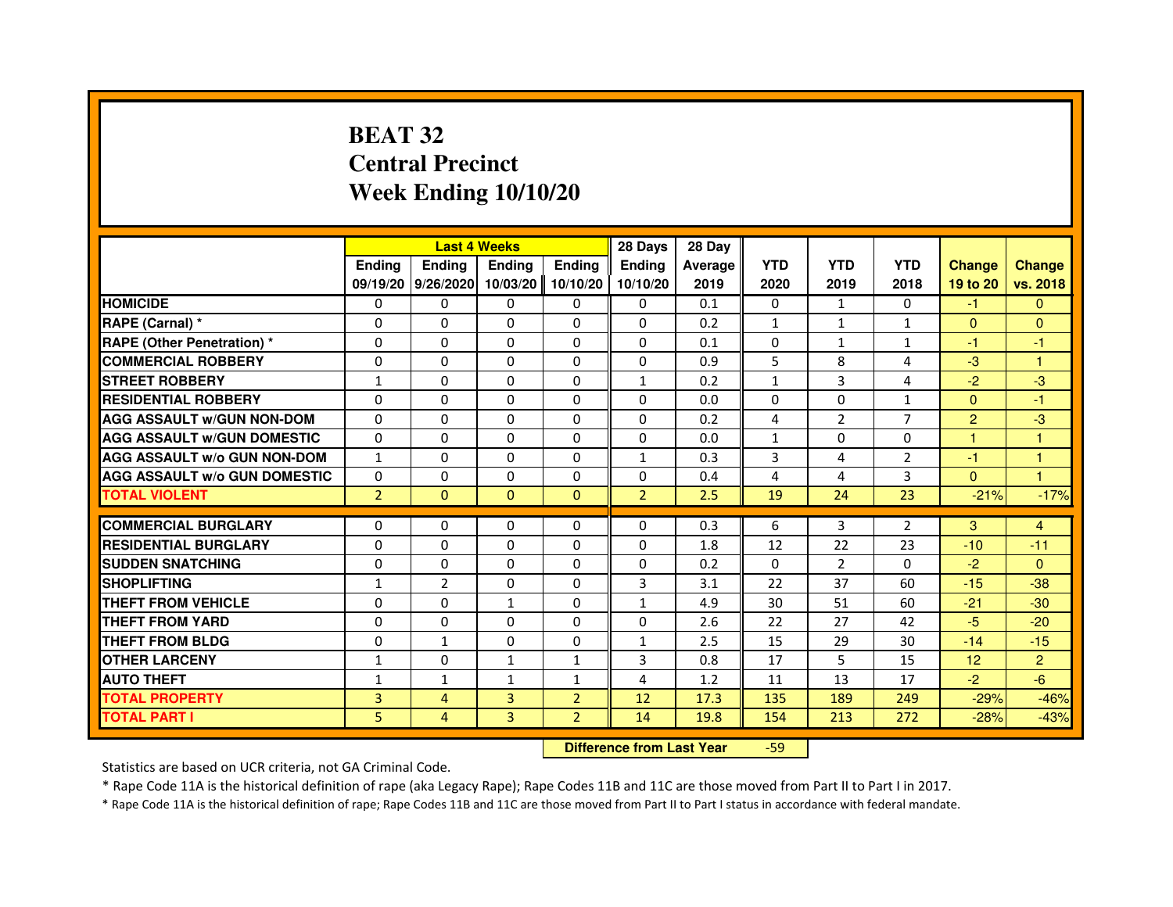## **BEAT 32 Central PrecinctWeek Ending 10/10/20**

|                                     |                | <b>Last 4 Weeks</b>         |                                  |                | 28 Days        | 28 Day  |              |                |                |                |                      |
|-------------------------------------|----------------|-----------------------------|----------------------------------|----------------|----------------|---------|--------------|----------------|----------------|----------------|----------------------|
|                                     | <b>Ending</b>  | <b>Ending</b>               | <b>Ending</b>                    | <b>Ending</b>  | <b>Ending</b>  | Average | <b>YTD</b>   | <b>YTD</b>     | <b>YTD</b>     | <b>Change</b>  | <b>Change</b>        |
|                                     |                | 09/19/20 9/26/2020 10/03/20 |                                  | 10/10/20       | 10/10/20       | 2019    | 2020         | 2019           | 2018           | 19 to 20       | vs. 2018             |
| <b>HOMICIDE</b>                     | 0              | $\Omega$                    | $\mathbf{0}$                     | 0              | 0              | 0.1     | $\mathbf{0}$ | $\mathbf{1}$   | 0              | $-1$           | $\mathbf{0}$         |
| RAPE (Carnal) *                     | 0              | 0                           | 0                                | 0              | 0              | 0.2     | $\mathbf{1}$ | 1              | $\mathbf{1}$   | $\mathbf{0}$   | $\mathbf{0}$         |
| <b>RAPE (Other Penetration) *</b>   | $\Omega$       | $\Omega$                    | 0                                | $\Omega$       | $\mathbf{0}$   | 0.1     | $\mathbf{0}$ | 1              | $\mathbf{1}$   | $-1$           | -1                   |
| <b>COMMERCIAL ROBBERY</b>           | 0              | $\Omega$                    | $\Omega$                         | $\Omega$       | 0              | 0.9     | 5            | 8              | 4              | $-3$           | $\mathbf{1}$         |
| <b>STREET ROBBERY</b>               | $\mathbf{1}$   | $\Omega$                    | $\Omega$                         | $\Omega$       | $\mathbf{1}$   | 0.2     | $\mathbf{1}$ | 3              | 4              | $-2$           | -3                   |
| <b>RESIDENTIAL ROBBERY</b>          | 0              | 0                           | 0                                | 0              | $\Omega$       | 0.0     | 0            | 0              | $\mathbf{1}$   | $\overline{0}$ | $-1$                 |
| <b>AGG ASSAULT W/GUN NON-DOM</b>    | $\Omega$       | $\Omega$                    | 0                                | $\Omega$       | $\Omega$       | 0.2     | 4            | $\overline{2}$ | $\overline{7}$ | $\overline{2}$ | $-3$                 |
| <b>AGG ASSAULT W/GUN DOMESTIC</b>   | $\Omega$       | $\Omega$                    | 0                                | $\Omega$       | $\Omega$       | 0.0     | $\mathbf{1}$ | $\Omega$       | $\Omega$       | $\mathbf{1}$   | $\mathbf{1}$         |
| <b>AGG ASSAULT W/o GUN NON-DOM</b>  | $\mathbf{1}$   | $\Omega$                    | $\Omega$                         | $\Omega$       | $\mathbf{1}$   | 0.3     | 3            | 4              | $\overline{2}$ | $-1$           | $\mathbf{1}$         |
| <b>AGG ASSAULT W/o GUN DOMESTIC</b> | 0              | $\Omega$                    | 0                                | $\Omega$       | $\Omega$       | 0.4     | 4            | 4              | 3              | $\Omega$       | $\blacktriangleleft$ |
| <b>TOTAL VIOLENT</b>                | $\overline{2}$ | $\overline{0}$              | $\mathbf{0}$                     | $\mathbf{0}$   | $\overline{2}$ | 2.5     | 19           | 24             | 23             | $-21%$         | $-17%$               |
| <b>COMMERCIAL BURGLARY</b>          | 0              | 0                           | 0                                | 0              | 0              | 0.3     | 6            | 3              | $\overline{2}$ | 3              | 4                    |
| <b>RESIDENTIAL BURGLARY</b>         | 0              | $\Omega$                    | 0                                | $\Omega$       | 0              | 1.8     | 12           | 22             | 23             | $-10$          | $-11$                |
| <b>SUDDEN SNATCHING</b>             | 0              | $\Omega$                    | $\Omega$                         | $\Omega$       | $\Omega$       | 0.2     | $\Omega$     | $\overline{2}$ | $\Omega$       | $-2$           | $\mathbf{0}$         |
| <b>SHOPLIFTING</b>                  | $\mathbf{1}$   | $\overline{2}$              | 0                                | $\mathbf{0}$   | 3              | 3.1     | 22           | 37             | 60             | $-15$          | $-38$                |
| THEFT FROM VEHICLE                  | 0              | $\Omega$                    | $\mathbf{1}$                     | $\Omega$       | $\mathbf{1}$   | 4.9     | 30           | 51             | 60             | $-21$          | $-30$                |
| <b>THEFT FROM YARD</b>              | $\Omega$       | $\Omega$                    | $\Omega$                         | $\Omega$       | 0              | 2.6     | 22           | 27             | 42             | $-5$           | $-20$                |
| <b>THEFT FROM BLDG</b>              | $\Omega$       | $\mathbf{1}$                | $\Omega$                         | $\Omega$       | $\mathbf{1}$   | 2.5     | 15           | 29             | 30             | $-14$          | $-15$                |
| <b>OTHER LARCENY</b>                | 1              | $\Omega$                    | $\mathbf{1}$                     | $\mathbf{1}$   | 3              | 0.8     | 17           | 5              | 15             | 12             | $\overline{2}$       |
| <b>AUTO THEFT</b>                   | $\mathbf{1}$   | $\mathbf{1}$                | $\mathbf{1}$                     | $\mathbf{1}$   | 4              | 1.2     | 11           | 13             | 17             | $-2$           | $-6$                 |
| <b>TOTAL PROPERTY</b>               | 3              | 4                           | $\overline{3}$                   | $\overline{2}$ | 12             | 17.3    | 135          | 189            | 249            | $-29%$         | $-46%$               |
| <b>TOTAL PART I</b>                 | 5              | $\overline{4}$              | 3                                | $\overline{2}$ | 14             | 19.8    | 154          | 213            | 272            | $-28%$         | $-43%$               |
|                                     |                |                             | <b>Difference from Last Year</b> |                | $-59$          |         |              |                |                |                |                      |

 **Difference from Last Year**

Statistics are based on UCR criteria, not GA Criminal Code.

\* Rape Code 11A is the historical definition of rape (aka Legacy Rape); Rape Codes 11B and 11C are those moved from Part II to Part I in 2017.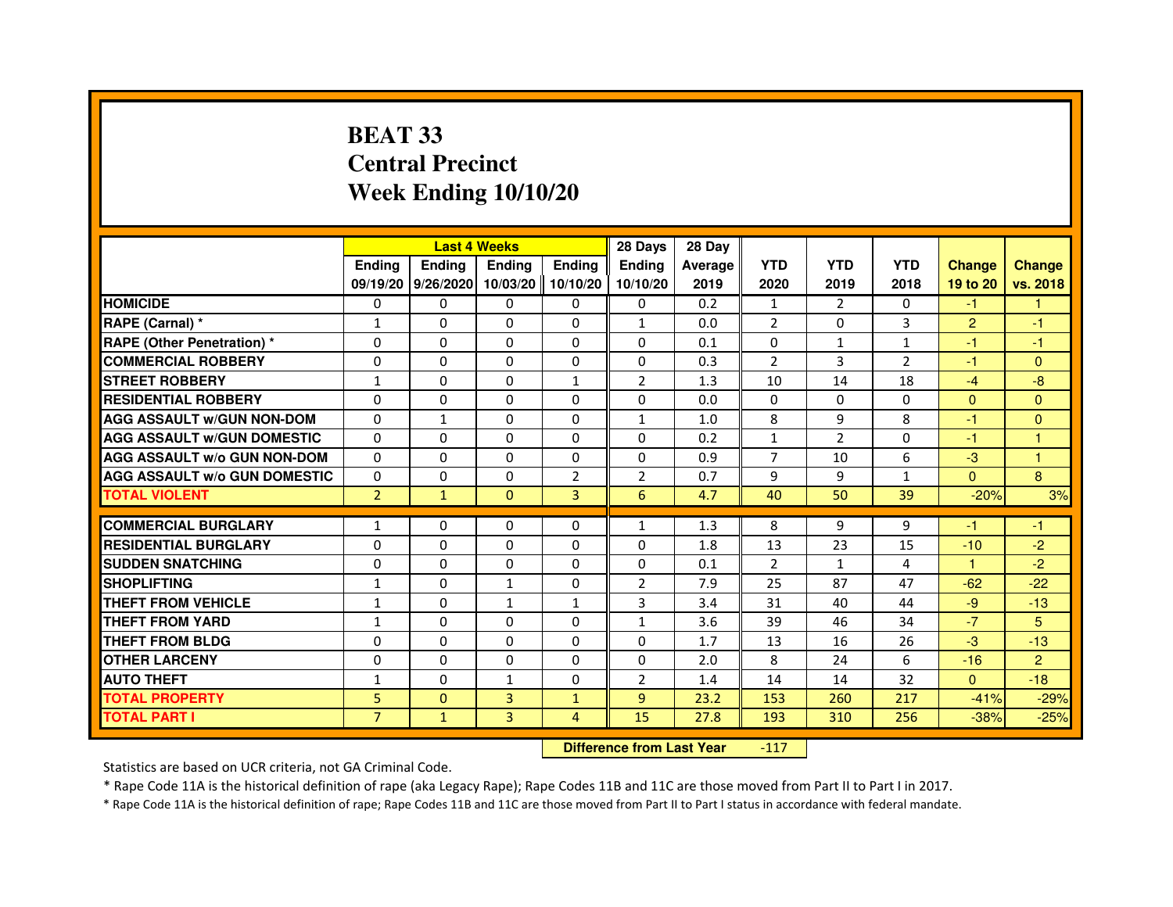# **BEAT 33 Central PrecinctWeek Ending 10/10/20**

|                                     |                | <b>Last 4 Weeks</b> |               |                   | 28 Days        | 28 Day  |                |                |              |                |                |
|-------------------------------------|----------------|---------------------|---------------|-------------------|----------------|---------|----------------|----------------|--------------|----------------|----------------|
|                                     | <b>Ending</b>  | <b>Endina</b>       | <b>Endina</b> | <b>Ending</b>     | <b>Endina</b>  | Average | <b>YTD</b>     | <b>YTD</b>     | <b>YTD</b>   | <b>Change</b>  | <b>Change</b>  |
|                                     |                | 09/19/20 9/26/2020  |               | 10/03/20 10/10/20 | 10/10/20       | 2019    | 2020           | 2019           | 2018         | 19 to 20       | vs. 2018       |
| <b>HOMICIDE</b>                     | 0              | 0                   | 0             | 0                 | 0              | 0.2     | $\mathbf{1}$   | $\overline{2}$ | 0            | $-1$           |                |
| RAPE (Carnal) *                     | $\mathbf{1}$   | $\Omega$            | $\Omega$      | $\Omega$          | $\mathbf{1}$   | 0.0     | 2              | $\Omega$       | 3            | $\overline{2}$ | $-1$           |
| <b>RAPE (Other Penetration) *</b>   | $\Omega$       | $\Omega$            | $\Omega$      | $\Omega$          | $\Omega$       | 0.1     | $\Omega$       | $\mathbf{1}$   | $\mathbf{1}$ | $-1$           | $-1$           |
| <b>COMMERCIAL ROBBERY</b>           | 0              | $\Omega$            | $\Omega$      | 0                 | $\Omega$       | 0.3     | 2              | 3              | 2            | $-1$           | $\mathbf{0}$   |
| <b>STREET ROBBERY</b>               | 1              | 0                   | 0             | 1                 | $\overline{2}$ | 1.3     | 10             | 14             | 18           | $-4$           | -8             |
| <b>RESIDENTIAL ROBBERY</b>          | 0              | 0                   | $\Omega$      | $\Omega$          | $\Omega$       | 0.0     | $\Omega$       | $\Omega$       | $\Omega$     | $\Omega$       | $\Omega$       |
| <b>AGG ASSAULT W/GUN NON-DOM</b>    | $\Omega$       | $\mathbf{1}$        | $\Omega$      | $\mathbf{0}$      | $\mathbf{1}$   | 1.0     | 8              | 9              | 8            | $-1$           | $\mathbf{0}$   |
| <b>AGG ASSAULT W/GUN DOMESTIC</b>   | $\Omega$       | 0                   | $\Omega$      | $\mathbf{0}$      | 0              | 0.2     | $\mathbf{1}$   | 2              | $\Omega$     | $-1$           | $\mathbf{1}$   |
| <b>AGG ASSAULT W/o GUN NON-DOM</b>  | $\Omega$       | $\Omega$            | $\Omega$      | 0                 | $\Omega$       | 0.9     | $\overline{7}$ | 10             | 6            | $-3$           | $\mathbf{1}$   |
| <b>AGG ASSAULT W/o GUN DOMESTIC</b> | $\Omega$       | $\Omega$            | 0             | $\overline{2}$    | $\overline{2}$ | 0.7     | 9              | 9              | $\mathbf{1}$ | $\Omega$       | 8              |
| <b>TOTAL VIOLENT</b>                | $\overline{2}$ | $\mathbf{1}$        | $\mathbf{0}$  | $\overline{3}$    | 6              | 4.7     | 40             | 50             | 39           | $-20%$         | 3%             |
|                                     |                |                     |               |                   |                |         |                |                |              |                |                |
| <b>COMMERCIAL BURGLARY</b>          | 1              | 0                   | 0             | 0                 | $\mathbf{1}$   | 1.3     | 8              | 9              | 9            | -1             | -1             |
| <b>RESIDENTIAL BURGLARY</b>         | 0              | 0                   | 0             | $\Omega$          | $\Omega$       | 1.8     | 13             | 23             | 15           | $-10$          | $-2$           |
| <b>SUDDEN SNATCHING</b>             | 0              | 0                   | $\Omega$      | 0                 | $\Omega$       | 0.1     | $\overline{2}$ | $\mathbf{1}$   | 4            | 1              | $-2$           |
| <b>SHOPLIFTING</b>                  | $\mathbf{1}$   | 0                   | $\mathbf{1}$  | $\Omega$          | $\overline{2}$ | 7.9     | 25             | 87             | 47           | $-62$          | $-22$          |
| <b>THEFT FROM VEHICLE</b>           | 1              | $\Omega$            | $\mathbf{1}$  | $\mathbf{1}$      | 3              | 3.4     | 31             | 40             | 44           | $-9$           | $-13$          |
| <b>THEFT FROM YARD</b>              | $\mathbf{1}$   | $\Omega$            | $\Omega$      | $\Omega$          | $\mathbf{1}$   | 3.6     | 39             | 46             | 34           | $-7$           | 5              |
| THEFT FROM BLDG                     | 0              | 0                   | 0             | 0                 | 0              | 1.7     | 13             | 16             | 26           | $-3$           | $-13$          |
| <b>OTHER LARCENY</b>                | 0              | 0                   | $\Omega$      | $\Omega$          | $\Omega$       | 2.0     | 8              | 24             | 6            | $-16$          | $\overline{2}$ |
| <b>AUTO THEFT</b>                   | 1              | $\mathbf 0$         | $\mathbf{1}$  | $\Omega$          | $\overline{2}$ | 1.4     | 14             | 14             | 32           | $\Omega$       | $-18$          |
| <b>TOTAL PROPERTY</b>               | 5              | $\mathbf{0}$        | 3             | $\mathbf{1}$      | 9              | 23.2    | 153            | 260            | 217          | $-41%$         | $-29%$         |
| <b>TOTAL PART I</b>                 | $\overline{7}$ | $\mathbf{1}$        | 3             | 4                 | 15             | 27.8    | 193            | 310            | 256          | $-38%$         | $-25%$         |

 **Difference from Last Year**-117

Statistics are based on UCR criteria, not GA Criminal Code.

\* Rape Code 11A is the historical definition of rape (aka Legacy Rape); Rape Codes 11B and 11C are those moved from Part II to Part I in 2017.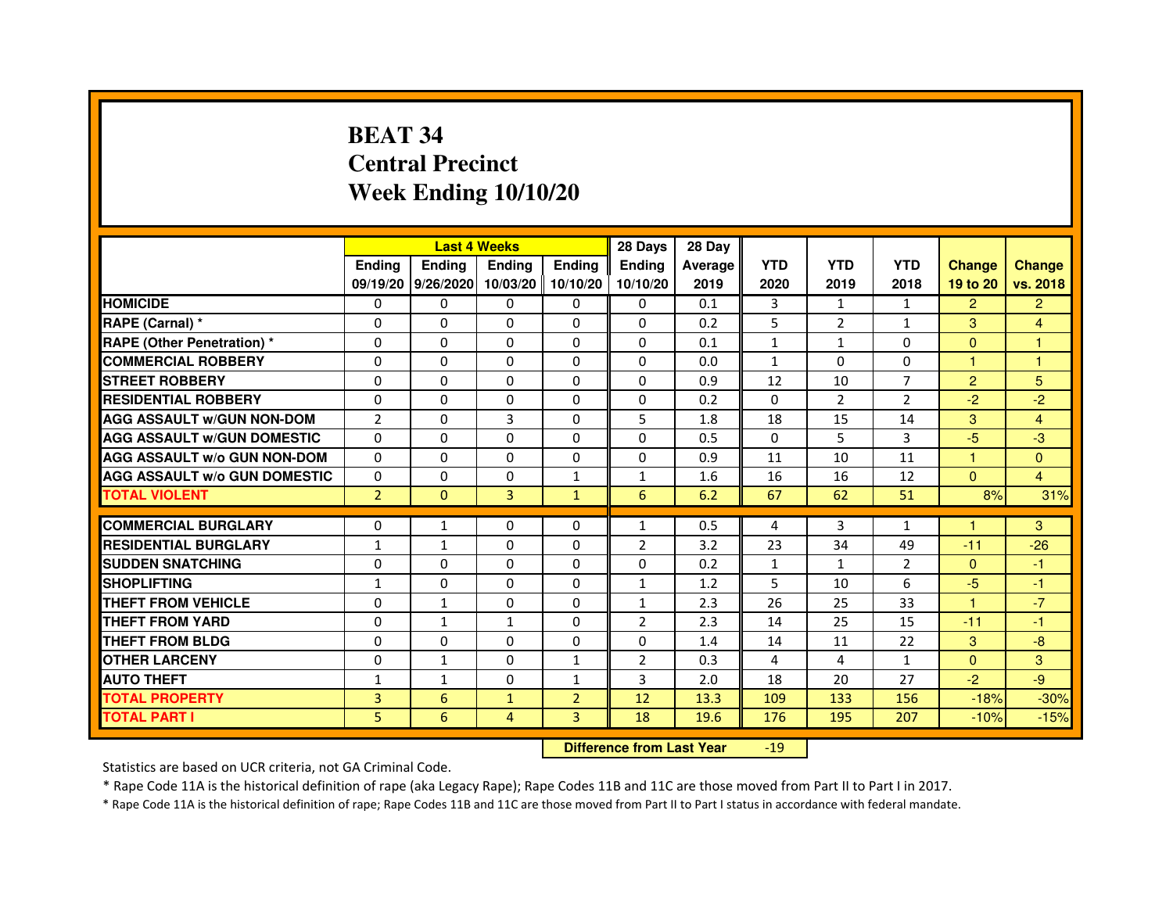# **BEAT 34 Central PrecinctWeek Ending 10/10/20**

|                                     |                | <b>Last 4 Weeks</b> |                     |                | 28 Days        | 28 Day  |                |                |                |                |                |
|-------------------------------------|----------------|---------------------|---------------------|----------------|----------------|---------|----------------|----------------|----------------|----------------|----------------|
|                                     | <b>Endina</b>  | <b>Ending</b>       | <b>Endina</b>       | <b>Endina</b>  | <b>Endina</b>  | Average | <b>YTD</b>     | <b>YTD</b>     | <b>YTD</b>     | <b>Change</b>  | <b>Change</b>  |
|                                     |                | 09/19/20 9/26/2020  | 10/03/20   10/10/20 |                | 10/10/20       | 2019    | 2020           | 2019           | 2018           | 19 to 20       | vs. 2018       |
| <b>HOMICIDE</b>                     | 0              | 0                   | 0                   | 0              | 0              | 0.1     | 3              | $\mathbf{1}$   | $\mathbf{1}$   | $\overline{2}$ | $\overline{2}$ |
| RAPE (Carnal) *                     | $\Omega$       | $\Omega$            | $\Omega$            | $\Omega$       | $\Omega$       | 0.2     | 5              | $\overline{2}$ | $\mathbf{1}$   | 3              | $\overline{4}$ |
| <b>RAPE (Other Penetration) *</b>   | $\Omega$       | $\Omega$            | $\Omega$            | $\Omega$       | $\Omega$       | 0.1     | $\mathbf{1}$   | $\mathbf{1}$   | $\Omega$       | $\Omega$       | $\mathbf{1}$   |
| <b>COMMERCIAL ROBBERY</b>           | 0              | $\Omega$            | 0                   | 0              | 0              | 0.0     | $\mathbf{1}$   | 0              | 0              | 1              | 1              |
| <b>STREET ROBBERY</b>               | $\Omega$       | $\Omega$            | $\Omega$            | 0              | 0              | 0.9     | 12             | 10             | $\overline{7}$ | $\overline{2}$ | 5              |
| <b>RESIDENTIAL ROBBERY</b>          | $\Omega$       | $\Omega$            | $\Omega$            | $\Omega$       | 0              | 0.2     | $\Omega$       | $\overline{2}$ | $\overline{2}$ | $-2$           | $-2$           |
| <b>AGG ASSAULT w/GUN NON-DOM</b>    | $\overline{2}$ | $\Omega$            | 3                   | $\Omega$       | 5              | 1.8     | 18             | 15             | 14             | 3              | 4              |
| <b>AGG ASSAULT W/GUN DOMESTIC</b>   | $\Omega$       | $\Omega$            | $\Omega$            | $\Omega$       | $\Omega$       | 0.5     | $\Omega$       | 5              | 3              | $-5$           | -3             |
| <b>AGG ASSAULT W/o GUN NON-DOM</b>  | $\Omega$       | 0                   | $\Omega$            | 0              | $\Omega$       | 0.9     | 11             | 10             | 11             | 1              | $\Omega$       |
| <b>AGG ASSAULT W/o GUN DOMESTIC</b> | 0              | 0                   | 0                   | $\mathbf{1}$   | $\mathbf{1}$   | 1.6     | 16             | 16             | 12             | $\mathbf{0}$   | 4              |
| <b>TOTAL VIOLENT</b>                | $\overline{2}$ | $\Omega$            | 3                   | $\mathbf{1}$   | 6              | 6.2     | 67             | 62             | 51             | 8%             | 31%            |
|                                     |                |                     |                     |                |                |         |                |                |                |                |                |
| <b>COMMERCIAL BURGLARY</b>          | 0              | $\mathbf{1}$        | 0                   | 0              | 1              | 0.5     | 4              | 3              | $\mathbf{1}$   | 1              | 3              |
| <b>RESIDENTIAL BURGLARY</b>         | $\mathbf{1}$   | $\mathbf{1}$        | 0                   | 0              | $\overline{2}$ | 3.2     | 23             | 34             | 49             | $-11$          | $-26$          |
| <b>SUDDEN SNATCHING</b>             | $\Omega$       | $\Omega$            | $\Omega$            | $\Omega$       | $\Omega$       | 0.2     | $\mathbf{1}$   | $\mathbf{1}$   | $\overline{2}$ | $\Omega$       | $-1$           |
| <b>SHOPLIFTING</b>                  | $\mathbf{1}$   | $\Omega$            | $\Omega$            | $\Omega$       | $\mathbf{1}$   | 1.2     | 5              | 10             | 6              | $-5$           | $-1$           |
| <b>THEFT FROM VEHICLE</b>           | 0              | $\mathbf{1}$        | 0                   | 0              | $\mathbf{1}$   | 2.3     | 26             | 25             | 33             | $\mathbf{1}$   | $-7$           |
| <b>THEFT FROM YARD</b>              | $\Omega$       | $\mathbf{1}$        | $\mathbf{1}$        | $\Omega$       | $\overline{2}$ | 2.3     | 14             | 25             | 15             | $-11$          | $-1$           |
| <b>THEFT FROM BLDG</b>              | $\Omega$       | $\Omega$            | $\Omega$            | 0              | 0              | 1.4     | 14             | 11             | 22             | 3              | $-8$           |
| <b>OTHER LARCENY</b>                | $\Omega$       | 1                   | 0                   | $\mathbf{1}$   | $\overline{2}$ | 0.3     | $\overline{a}$ | 4              | 1              | $\Omega$       | 3              |
| <b>AUTO THEFT</b>                   | $\mathbf{1}$   | 1                   | 0                   | $\mathbf{1}$   | 3              | 2.0     | 18             | 20             | 27             | $-2$           | -9             |
| <b>TOTAL PROPERTY</b>               | 3              | 6                   | $\mathbf{1}$        | $\overline{2}$ | 12             | 13.3    | 109            | 133            | 156            | $-18%$         | $-30%$         |
| <b>TOTAL PART I</b>                 | 5              | 6                   | 4                   | 3              | 18             | 19.6    | 176            | 195            | 207            | $-10%$         | $-15%$         |

 **Difference from Last Year**-19

Statistics are based on UCR criteria, not GA Criminal Code.

\* Rape Code 11A is the historical definition of rape (aka Legacy Rape); Rape Codes 11B and 11C are those moved from Part II to Part I in 2017.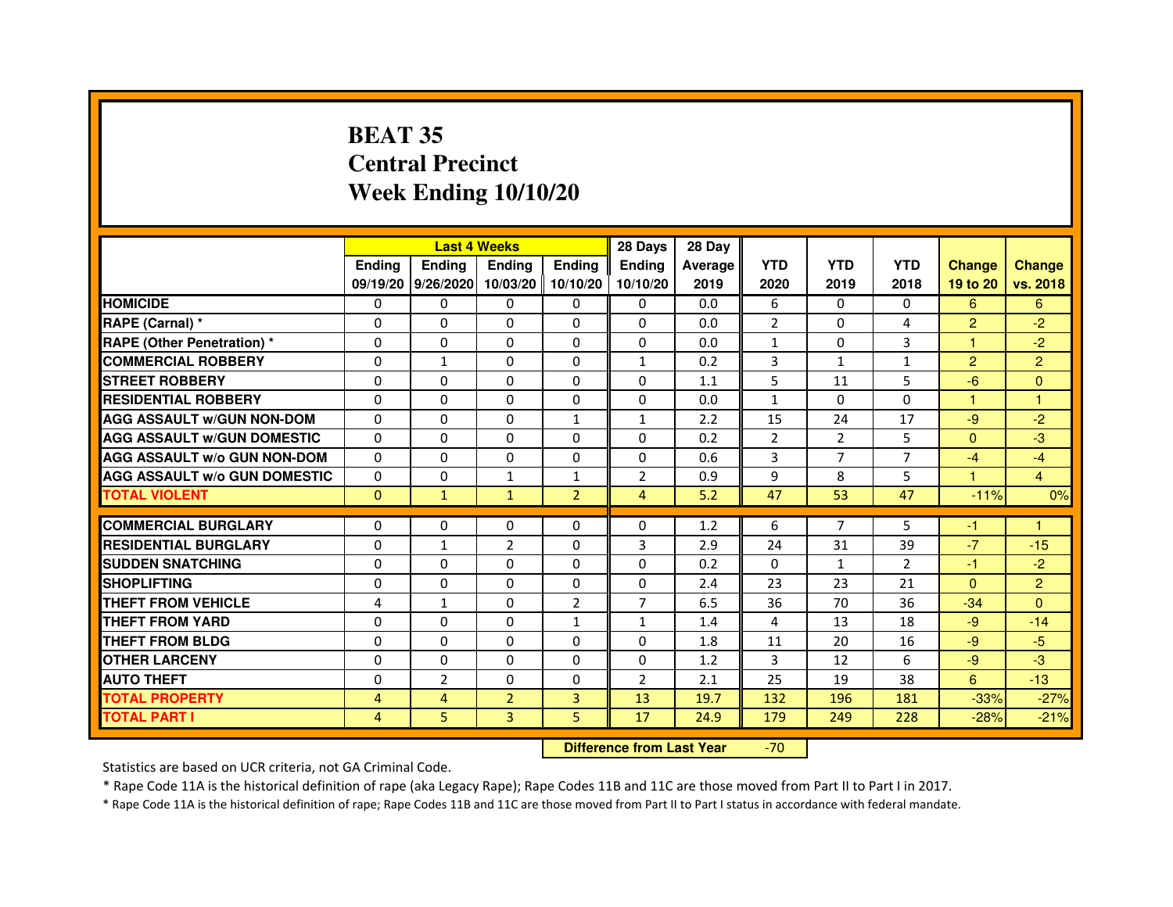# **BEAT 35 Central PrecinctWeek Ending 10/10/20**

|                                     |               | <b>Last 4 Weeks</b> |                     |                | 28 Days        | 28 Day  |                |                |                |                |                |
|-------------------------------------|---------------|---------------------|---------------------|----------------|----------------|---------|----------------|----------------|----------------|----------------|----------------|
|                                     | <b>Endina</b> | <b>Ending</b>       | <b>Endina</b>       | <b>Ending</b>  | <b>Endina</b>  | Average | <b>YTD</b>     | <b>YTD</b>     | <b>YTD</b>     | <b>Change</b>  | <b>Change</b>  |
|                                     |               | 09/19/20 9/26/2020  | 10/03/20   10/10/20 |                | 10/10/20       | 2019    | 2020           | 2019           | 2018           | 19 to 20       | vs. 2018       |
| <b>HOMICIDE</b>                     | 0             | 0                   | $\mathbf{0}$        | 0              | 0              | 0.0     | 6              | 0              | 0              | 6              | 6              |
| RAPE (Carnal) *                     | $\Omega$      | $\Omega$            | $\Omega$            | $\Omega$       | $\Omega$       | 0.0     | $\overline{2}$ | $\Omega$       | $\overline{4}$ | $\overline{2}$ | $-2$           |
| <b>RAPE (Other Penetration)*</b>    | $\Omega$      | $\Omega$            | $\Omega$            | $\Omega$       | 0              | 0.0     | $\mathbf{1}$   | 0              | 3              | 1              | $-2$           |
| <b>COMMERCIAL ROBBERY</b>           | 0             | 1                   | 0                   | 0              | 1              | 0.2     | 3              | 1              | 1              | $\overline{2}$ | $\overline{2}$ |
| <b>STREET ROBBERY</b>               | 0             | 0                   | 0                   | 0              | 0              | 1.1     | 5              | 11             | 5              | $-6$           | $\Omega$       |
| <b>RESIDENTIAL ROBBERY</b>          | $\Omega$      | $\Omega$            | $\Omega$            | 0              | 0              | 0.0     | $\mathbf{1}$   | $\Omega$       | $\Omega$       | $\mathbf{1}$   | 1              |
| <b>AGG ASSAULT W/GUN NON-DOM</b>    | $\Omega$      | $\Omega$            | $\Omega$            | $\mathbf{1}$   | $\mathbf{1}$   | 2.2     | 15             | 24             | 17             | $-9$           | $-2$           |
| <b>AGG ASSAULT w/GUN DOMESTIC</b>   | $\Omega$      | $\Omega$            | $\Omega$            | $\Omega$       | 0              | 0.2     | $\overline{2}$ | $\overline{2}$ | 5              | $\Omega$       | -3             |
| <b>AGG ASSAULT W/o GUN NON-DOM</b>  | $\Omega$      | $\Omega$            | $\Omega$            | 0              | $\Omega$       | 0.6     | 3              | 7              | 7              | $-4$           | $-4$           |
| <b>AGG ASSAULT w/o GUN DOMESTIC</b> | $\Omega$      | $\Omega$            | $\mathbf{1}$        | $\mathbf{1}$   | $\overline{2}$ | 0.9     | 9              | 8              | 5              | 1.             | $\overline{4}$ |
| <b>TOTAL VIOLENT</b>                | $\Omega$      | $\mathbf{1}$        | $\mathbf{1}$        | $\overline{2}$ | 4              | 5.2     | 47             | 53             | 47             | $-11%$         | 0%             |
|                                     |               |                     |                     |                |                |         |                | $\overline{7}$ |                |                |                |
| <b>COMMERCIAL BURGLARY</b>          | 0             | $\Omega$            | 0                   | $\Omega$       | $\Omega$       | 1.2     | 6              |                | 5              | $-1$           | 1              |
| <b>RESIDENTIAL BURGLARY</b>         | $\Omega$      | $\mathbf{1}$        | $\overline{2}$      | 0              | 3              | 2.9     | 24             | 31             | 39             | $-7$           | $-15$          |
| <b>SUDDEN SNATCHING</b>             | $\Omega$      | $\Omega$            | 0                   | 0              | 0              | 0.2     | $\Omega$       | $\mathbf{1}$   | $\mathfrak{p}$ | $-1$           | $-2$           |
| <b>SHOPLIFTING</b>                  | $\Omega$      | 0                   | $\Omega$            | 0              | 0              | 2.4     | 23             | 23             | 21             | $\Omega$       | $\overline{2}$ |
| <b>THEFT FROM VEHICLE</b>           | 4             | $\mathbf{1}$        | $\Omega$            | $\overline{2}$ | $\overline{7}$ | 6.5     | 36             | 70             | 36             | $-34$          | $\Omega$       |
| <b>THEFT FROM YARD</b>              | 0             | $\Omega$            | $\Omega$            | $\mathbf{1}$   | 1              | 1.4     | $\overline{a}$ | 13             | 18             | $-9$           | $-14$          |
| <b>THEFT FROM BLDG</b>              | 0             | 0                   | 0                   | 0              | 0              | 1.8     | 11             | 20             | 16             | $-9$           | $-5$           |
| <b>OTHER LARCENY</b>                | $\Omega$      | $\Omega$            | $\Omega$            | $\Omega$       | 0              | 1.2     | 3              | 12             | 6              | $-9$           | $-3$           |
| <b>AUTO THEFT</b>                   | $\Omega$      | $\overline{2}$      | $\Omega$            | 0              | $\overline{2}$ | 2.1     | 25             | 19             | 38             | 6              | $-13$          |
| <b>TOTAL PROPERTY</b>               | 4             | 4                   | $\overline{2}$      | 3              | 13             | 19.7    | 132            | 196            | 181            | $-33%$         | $-27%$         |
| <b>TOTAL PART I</b>                 | 4             | 5                   | $\overline{3}$      | 5              | 17             | 24.9    | 179            | 249            | 228            | $-28%$         | $-21%$         |

 **Difference from Last Year**-70

Statistics are based on UCR criteria, not GA Criminal Code.

\* Rape Code 11A is the historical definition of rape (aka Legacy Rape); Rape Codes 11B and 11C are those moved from Part II to Part I in 2017.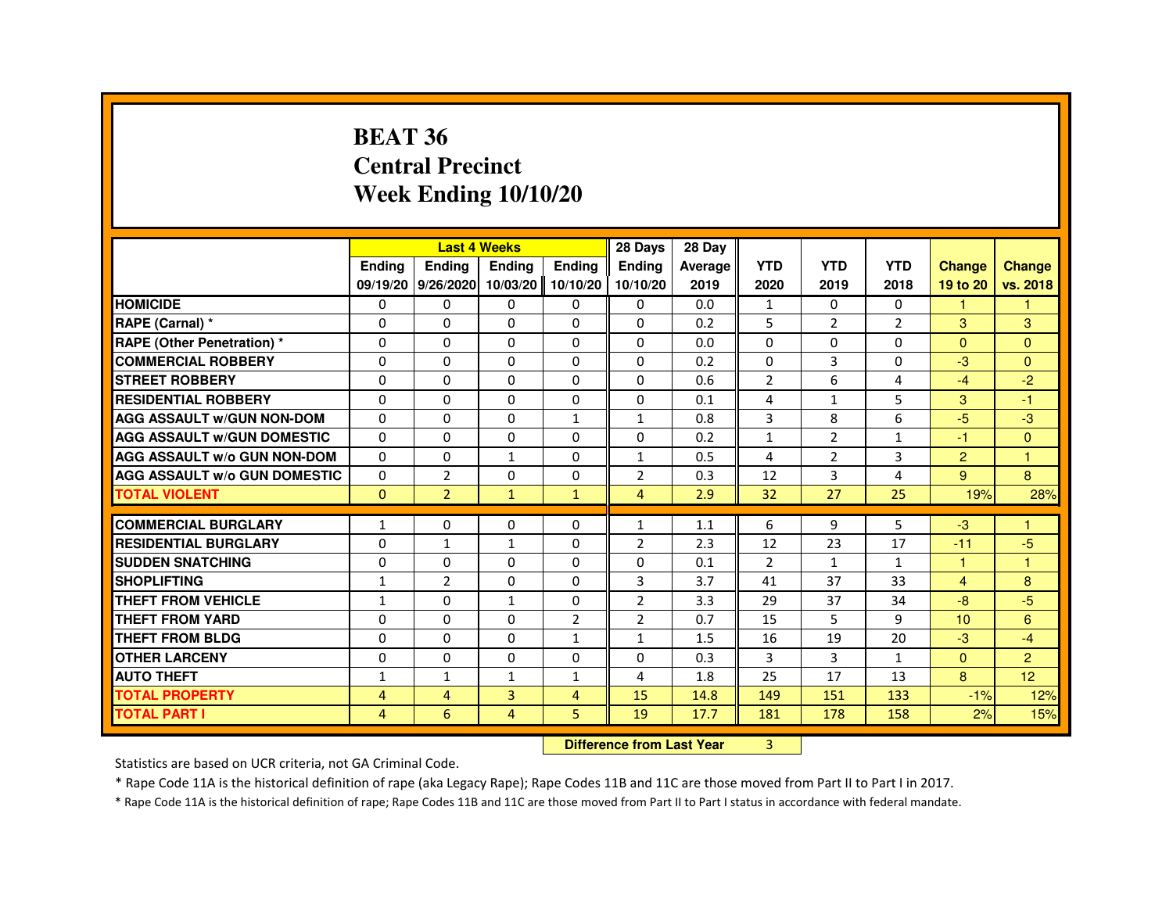#### **BEAT 36 Central PrecinctWeek Ending 10/10/20**

|                                     |               | <b>Last 4 Weeks</b> |                |                | 28 Days        | 28 Day  |                |                |                |                      |               |
|-------------------------------------|---------------|---------------------|----------------|----------------|----------------|---------|----------------|----------------|----------------|----------------------|---------------|
|                                     | <b>Endina</b> | <b>Endina</b>       | <b>Endina</b>  | <b>Endina</b>  | <b>Endina</b>  | Average | <b>YTD</b>     | <b>YTD</b>     | <b>YTD</b>     | <b>Change</b>        | <b>Change</b> |
|                                     | 09/19/20      | 9/26/2020 10/03/20  |                | 10/10/20       | 10/10/20       | 2019    | 2020           | 2019           | 2018           | 19 to 20             | vs. 2018      |
| <b>HOMICIDE</b>                     | $\Omega$      | $\Omega$            | $\mathbf{0}$   | $\mathbf{0}$   | $\Omega$       | 0.0     | $\mathbf{1}$   | $\Omega$       | $\Omega$       | $\blacktriangleleft$ | $\mathbf{1}$  |
| RAPE (Carnal) *                     | 0             | 0                   | 0              | 0              | $\Omega$       | 0.2     | 5              | $\overline{2}$ | $\overline{2}$ | 3                    | 3             |
| <b>RAPE (Other Penetration) *</b>   | 0             | 0                   | $\Omega$       | 0              | 0              | 0.0     | 0              | 0              | 0              | $\Omega$             | $\Omega$      |
| <b>COMMERCIAL ROBBERY</b>           | 0             | $\Omega$            | $\Omega$       | 0              | 0              | 0.2     | 0              | 3              | $\Omega$       | $-3$                 | $\Omega$      |
| <b>STREET ROBBERY</b>               | $\Omega$      | $\mathbf 0$         | $\Omega$       | $\Omega$       | $\Omega$       | 0.6     | $\overline{2}$ | 6              | 4              | $-4$                 | $-2$          |
| <b>RESIDENTIAL ROBBERY</b>          | $\Omega$      | $\Omega$            | $\Omega$       | $\Omega$       | $\Omega$       | 0.1     | 4              | $\mathbf{1}$   | 5              | 3                    | $-1$          |
| <b>AGG ASSAULT W/GUN NON-DOM</b>    | $\Omega$      | $\Omega$            | $\Omega$       | $\mathbf{1}$   | $\mathbf{1}$   | 0.8     | 3              | 8              | 6              | -5                   | $-3$          |
| <b>AGG ASSAULT W/GUN DOMESTIC</b>   | $\Omega$      | 0                   | 0              | 0              | 0              | 0.2     | $\mathbf{1}$   | 2              | $\mathbf{1}$   | -1                   | $\Omega$      |
| <b>AGG ASSAULT W/o GUN NON-DOM</b>  | $\Omega$      | $\Omega$            | $\mathbf{1}$   | 0              | $\mathbf{1}$   | 0.5     | 4              | $\overline{2}$ | 3              | 2                    | -1            |
| <b>AGG ASSAULT W/o GUN DOMESTIC</b> | $\Omega$      | $\overline{2}$      | $\Omega$       | $\Omega$       | $\overline{2}$ | 0.3     | 12             | 3              | 4              | 9                    | 8             |
| <b>TOTAL VIOLENT</b>                | $\mathbf{0}$  | $\overline{2}$      | $\mathbf{1}$   | $\mathbf{1}$   | $\overline{4}$ | 2.9     | 32             | 27             | 25             | 19%                  | 28%           |
|                                     |               |                     |                |                |                |         |                |                |                |                      |               |
| <b>COMMERCIAL BURGLARY</b>          | 1             | 0                   | 0              | 0              | 1              | 1.1     | 6              | 9              | 5              | -3                   |               |
| <b>RESIDENTIAL BURGLARY</b>         | 0             | $\mathbf{1}$        | $\mathbf{1}$   | 0              | 2              | 2.3     | 12             | 23             | 17             | $-11$                | $-5$          |
| <b>SUDDEN SNATCHING</b>             | $\Omega$      | 0                   | 0              | $\Omega$       | 0              | 0.1     | $\overline{2}$ | $\mathbf{1}$   | $\mathbf{1}$   | 1                    | -1            |
| <b>SHOPLIFTING</b>                  | $\mathbf{1}$  | $\overline{2}$      | $\Omega$       | $\Omega$       | 3              | 3.7     | 41             | 37             | 33             | $\overline{4}$       | 8             |
| THEFT FROM VEHICLE                  | $\mathbf{1}$  | $\Omega$            | $\mathbf{1}$   | $\Omega$       | $\overline{2}$ | 3.3     | 29             | 37             | 34             | -8                   | $-5$          |
| <b>THEFT FROM YARD</b>              | 0             | 0                   | 0              | $\overline{2}$ | $\overline{2}$ | 0.7     | 15             | 5              | 9              | 10 <sup>1</sup>      | 6             |
| THEFT FROM BLDG                     | 0             | 0                   | 0              | $\mathbf{1}$   | $\mathbf{1}$   | 1.5     | 16             | 19             | 20             | $-3$                 | $-4$          |
| <b>OTHER LARCENY</b>                | $\Omega$      | $\Omega$            | $\Omega$       | 0              | $\Omega$       | 0.3     | 3              | 3              | $\mathbf{1}$   | $\Omega$             | 2             |
| <b>AUTO THEFT</b>                   | $\mathbf{1}$  | $\mathbf{1}$        | $\mathbf{1}$   | $\mathbf{1}$   | 4              | 1.8     | 25             | 17             | 13             | 8                    | 12            |
| <b>TOTAL PROPERTY</b>               | 4             | 4                   | $\overline{3}$ | $\overline{4}$ | 15             | 14.8    | 149            | 151            | 133            | $-1%$                | 12%           |
| <b>TOTAL PART I</b>                 | 4             | 6                   | 4              | 5.             | 19             | 17.7    | 181            | 178            | 158            | 2%                   | 15%           |

#### **Difference from Last Year** 3

Statistics are based on UCR criteria, not GA Criminal Code.

\* Rape Code 11A is the historical definition of rape (aka Legacy Rape); Rape Codes 11B and 11C are those moved from Part II to Part I in 2017.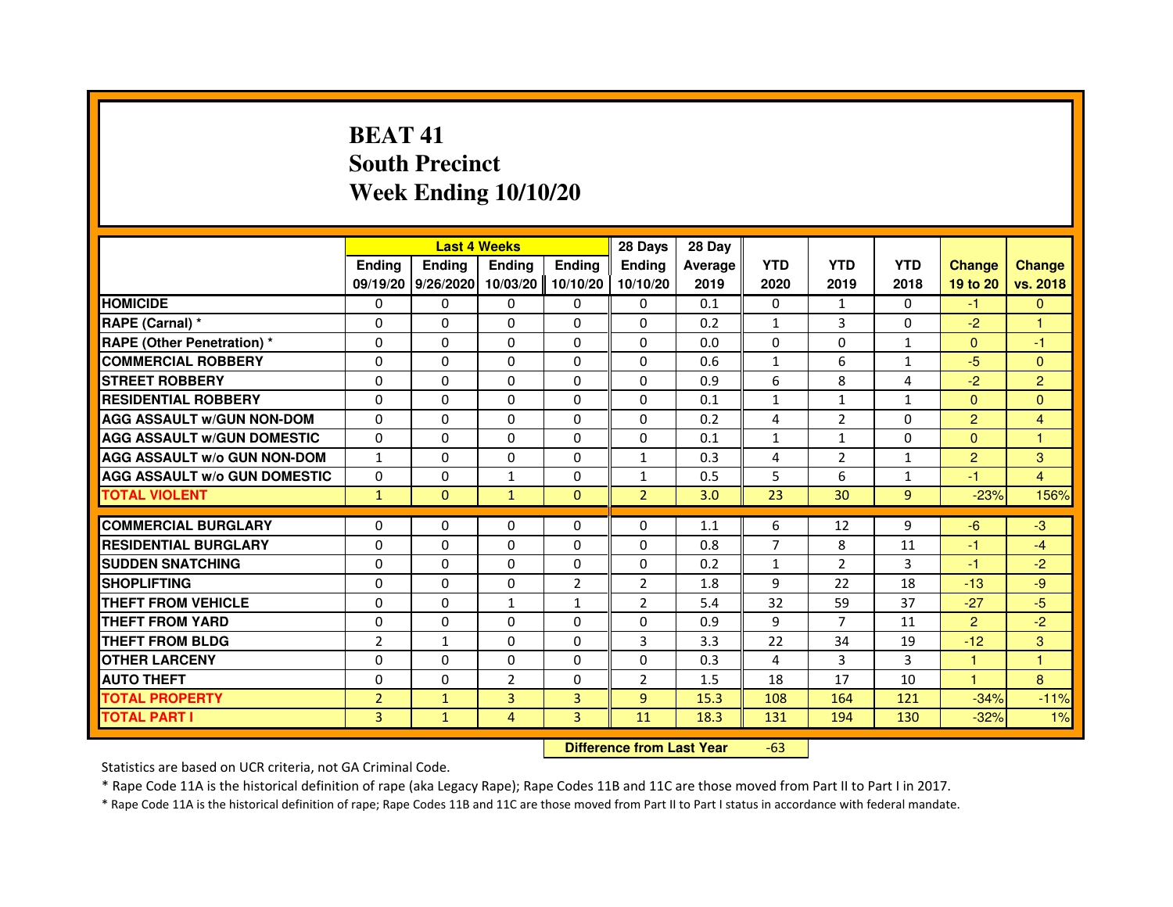# **BEAT 41 South PrecinctWeek Ending 10/10/20**

|                                     |                | <b>Last 4 Weeks</b> |                                  |                | 28 Days        | 28 Day  |                |                |              |                |                |
|-------------------------------------|----------------|---------------------|----------------------------------|----------------|----------------|---------|----------------|----------------|--------------|----------------|----------------|
|                                     | <b>Ending</b>  | <b>Endina</b>       | <b>Ending</b>                    | <b>Ending</b>  | <b>Endina</b>  | Average | <b>YTD</b>     | <b>YTD</b>     | <b>YTD</b>   | <b>Change</b>  | <b>Change</b>  |
|                                     |                | 09/19/20 9/26/2020  | 10/03/20                         | 10/10/20       | 10/10/20       | 2019    | 2020           | 2019           | 2018         | 19 to 20       | vs. 2018       |
| <b>HOMICIDE</b>                     | $\Omega$       | $\Omega$            | $\mathbf{0}$                     | $\mathbf{0}$   | $\mathbf{0}$   | 0.1     | 0              | $\mathbf{1}$   | $\Omega$     | $-1$           | $\mathbf{0}$   |
| RAPE (Carnal) *                     | 0              | 0                   | 0                                | $\Omega$       | 0              | 0.2     | 1              | 3              | 0            | $-2$           | 1              |
| <b>RAPE (Other Penetration) *</b>   | 0              | 0                   | $\Omega$                         | $\Omega$       | $\Omega$       | 0.0     | $\Omega$       | $\Omega$       | $\mathbf{1}$ | $\mathbf{0}$   | $-1$           |
| <b>COMMERCIAL ROBBERY</b>           | $\Omega$       | $\Omega$            | $\Omega$                         | $\Omega$       | $\Omega$       | 0.6     | $\mathbf{1}$   | 6              | $\mathbf{1}$ | $-5$           | $\mathbf{0}$   |
| <b>STREET ROBBERY</b>               | 0              | 0                   | 0                                | 0              | 0              | 0.9     | 6              | 8              | 4            | $-2$           | $\overline{2}$ |
| <b>RESIDENTIAL ROBBERY</b>          | $\Omega$       | $\Omega$            | 0                                | $\Omega$       | 0              | 0.1     | $\mathbf{1}$   | $\mathbf{1}$   | $\mathbf{1}$ | $\Omega$       | $\Omega$       |
| <b>AGG ASSAULT w/GUN NON-DOM</b>    | $\Omega$       | $\Omega$            | 0                                | $\Omega$       | $\Omega$       | 0.2     | 4              | $\overline{2}$ | $\Omega$     | $\overline{2}$ | 4              |
| <b>AGG ASSAULT W/GUN DOMESTIC</b>   | $\Omega$       | $\Omega$            | $\Omega$                         | $\Omega$       | $\Omega$       | 0.1     | $\mathbf{1}$   | $\mathbf{1}$   | $\Omega$     | $\Omega$       | 1              |
| <b>AGG ASSAULT w/o GUN NON-DOM</b>  | $\mathbf{1}$   | 0                   | 0                                | 0              | 1              | 0.3     | 4              | $\overline{2}$ | $\mathbf{1}$ | $\overline{2}$ | 3              |
| <b>AGG ASSAULT w/o GUN DOMESTIC</b> | $\Omega$       | 0                   | 1                                | $\Omega$       | 1              | 0.5     | 5              | 6              | $\mathbf{1}$ | $-1$           | $\overline{4}$ |
| <b>TOTAL VIOLENT</b>                | $\mathbf{1}$   | $\overline{0}$      | $\mathbf{1}$                     | $\mathbf{0}$   | $\overline{2}$ | 3.0     | 23             | 30             | 9            | $-23%$         | 156%           |
| <b>COMMERCIAL BURGLARY</b>          | 0              | 0                   | 0                                | $\mathbf{0}$   | 0              | 1.1     | 6              | 12             | 9            | $-6$           | $-3$           |
| <b>RESIDENTIAL BURGLARY</b>         | 0              | $\Omega$            | $\Omega$                         | $\Omega$       | $\Omega$       | 0.8     | $\overline{7}$ | 8              | 11           | $-1$           | $-4$           |
| <b>SUDDEN SNATCHING</b>             | $\Omega$       | $\Omega$            | $\Omega$                         | $\Omega$       | 0              | 0.2     | $\mathbf{1}$   | $\overline{2}$ | 3            | $-1$           | $-2$           |
| <b>SHOPLIFTING</b>                  | 0              | 0                   | 0                                | $\overline{2}$ | $\overline{2}$ | 1.8     | 9              | 22             | 18           | $-13$          | $-9$           |
| THEFT FROM VEHICLE                  | $\Omega$       | $\Omega$            | $\mathbf{1}$                     | $\mathbf{1}$   | $\overline{2}$ | 5.4     | 32             | 59             | 37           | $-27$          | $-5$           |
| <b>THEFT FROM YARD</b>              | 0              | 0                   | $\Omega$                         | $\Omega$       | $\Omega$       | 0.9     | 9              | $\overline{7}$ | 11           | $\overline{2}$ | $-2$           |
| <b>THEFT FROM BLDG</b>              | $\overline{2}$ | $\mathbf{1}$        | $\Omega$                         | $\Omega$       | 3              | 3.3     | 22             | 34             | 19           | $-12$          | 3              |
| <b>OTHER LARCENY</b>                | 0              | $\Omega$            | 0                                | $\Omega$       | 0              | 0.3     | 4              | 3              | 3            | $\mathbf{1}$   | 1              |
| <b>AUTO THEFT</b>                   | 0              | 0                   | $\overline{2}$                   | 0              | 2              | 1.5     | 18             | 17             | 10           | $\mathbf{1}$   | 8              |
| <b>TOTAL PROPERTY</b>               | $\overline{2}$ | $\mathbf{1}$        | $\overline{3}$                   | 3              | $\overline{9}$ | 15.3    | 108            | 164            | 121          | $-34%$         | $-11%$         |
|                                     |                |                     |                                  |                |                |         |                |                |              |                |                |
| <b>TOTAL PART I</b>                 | $\overline{3}$ | $\mathbf{1}$        | 4                                | 3              | 11             | 18.3    | 131            | 194            | 130          | $-32%$         | 1%             |
|                                     |                |                     | <b>Difference from Last Year</b> |                | $-63$          |         |                |                |              |                |                |

 **Difference from Last Year**

Statistics are based on UCR criteria, not GA Criminal Code.

\* Rape Code 11A is the historical definition of rape (aka Legacy Rape); Rape Codes 11B and 11C are those moved from Part II to Part I in 2017.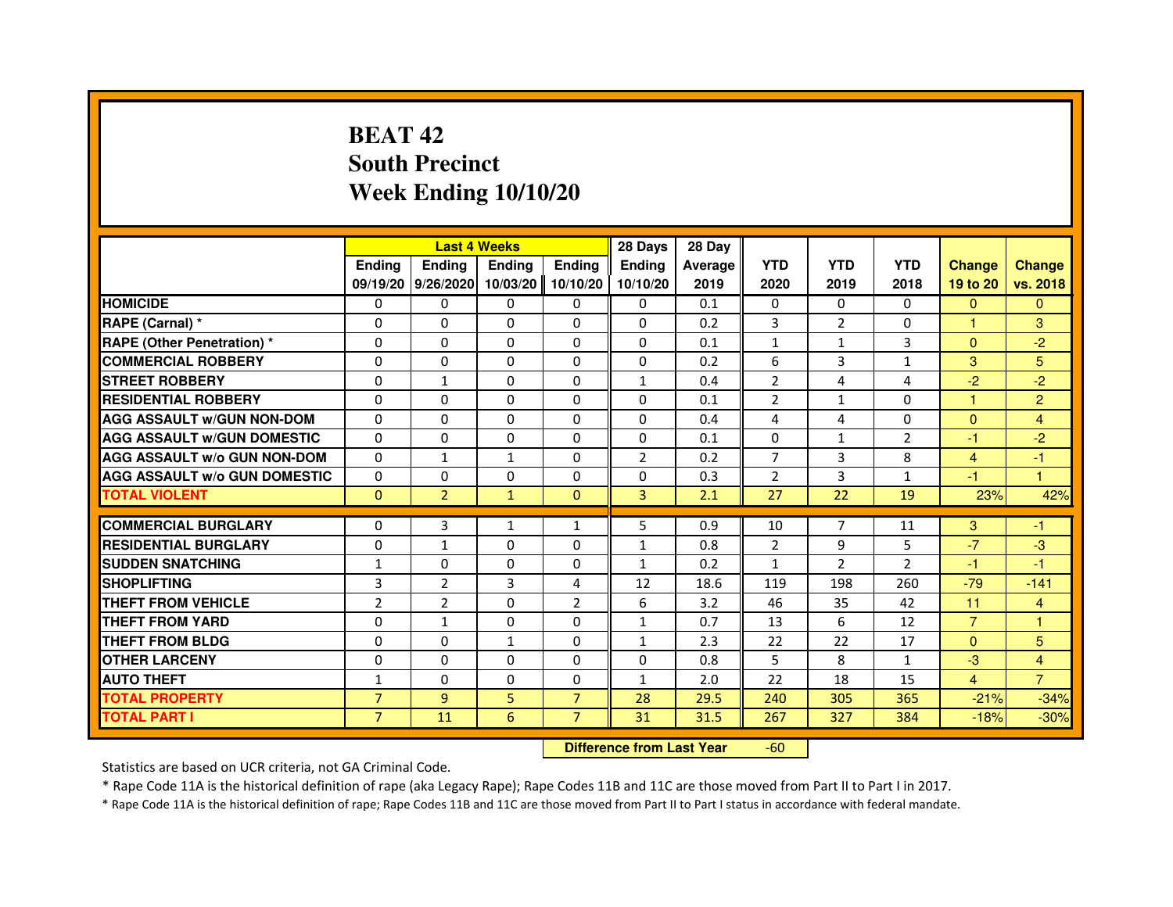# **BEAT 42 South PrecinctWeek Ending 10/10/20**

|                                     |                | <b>Last 4 Weeks</b> |               |                | 28 Days        | 28 Day  |                |                |                |                |                |
|-------------------------------------|----------------|---------------------|---------------|----------------|----------------|---------|----------------|----------------|----------------|----------------|----------------|
|                                     | <b>Endina</b>  | Ending              | <b>Endina</b> | <b>Endina</b>  | <b>Endina</b>  | Average | <b>YTD</b>     | <b>YTD</b>     | <b>YTD</b>     | <b>Change</b>  | <b>Change</b>  |
|                                     |                | 09/19/20 9/26/2020  | 10/03/20      | 10/10/20       | 10/10/20       | 2019    | 2020           | 2019           | 2018           | 19 to 20       | vs. 2018       |
| <b>HOMICIDE</b>                     | 0              | 0                   | 0             | 0              | 0              | 0.1     | 0              | $\Omega$       | $\Omega$       | $\mathbf{0}$   | $\mathbf{0}$   |
| RAPE (Carnal) *                     | $\Omega$       | $\Omega$            | $\Omega$      | $\Omega$       | $\Omega$       | 0.2     | $\overline{3}$ | 2              | $\Omega$       | $\mathbf{1}$   | 3              |
| <b>RAPE (Other Penetration)*</b>    | $\Omega$       | $\Omega$            | $\Omega$      | $\Omega$       | $\Omega$       | 0.1     | $\mathbf{1}$   | $\mathbf{1}$   | 3              | $\Omega$       | $-2$           |
| <b>COMMERCIAL ROBBERY</b>           | 0              | $\Omega$            | 0             | 0              | $\Omega$       | 0.2     | 6              | 3              | $\mathbf{1}$   | 3              | 5              |
| <b>STREET ROBBERY</b>               | $\Omega$       | $\mathbf{1}$        | $\Omega$      | 0              | $\mathbf{1}$   | 0.4     | $\overline{2}$ | 4              | 4              | $-2$           | $-2$           |
| <b>RESIDENTIAL ROBBERY</b>          | $\Omega$       | $\Omega$            | $\Omega$      | $\Omega$       | $\Omega$       | 0.1     | $\overline{2}$ | $\mathbf{1}$   | $\Omega$       | 1              | $\overline{2}$ |
| <b>AGG ASSAULT W/GUN NON-DOM</b>    | $\Omega$       | $\Omega$            | $\Omega$      | $\Omega$       | $\Omega$       | 0.4     | 4              | 4              | $\Omega$       | $\Omega$       | 4              |
| <b>AGG ASSAULT W/GUN DOMESTIC</b>   | $\Omega$       | $\Omega$            | $\Omega$      | $\Omega$       | $\Omega$       | 0.1     | $\Omega$       | $\mathbf{1}$   | $\overline{2}$ | $-1$           | $-2$           |
| <b>AGG ASSAULT W/o GUN NON-DOM</b>  | $\Omega$       | 1                   | 1             | $\Omega$       | $\overline{2}$ | 0.2     | $\overline{7}$ | 3              | 8              | 4              | $-1$           |
| <b>AGG ASSAULT W/o GUN DOMESTIC</b> | $\Omega$       | 0                   | 0             | 0              | $\Omega$       | 0.3     | $\overline{2}$ | 3              | $\mathbf{1}$   | $-1$           | 1              |
| <b>TOTAL VIOLENT</b>                | $\Omega$       | $\overline{2}$      | $\mathbf{1}$  | $\Omega$       | 3              | 2.1     | 27             | 22             | 19             | 23%            | 42%            |
|                                     |                |                     |               |                |                |         |                |                |                |                |                |
| <b>COMMERCIAL BURGLARY</b>          | $\Omega$       | 3                   | 1             | $\mathbf{1}$   | 5              | 0.9     | 10             | $\overline{7}$ | 11             | 3              | -1             |
| <b>RESIDENTIAL BURGLARY</b>         | $\Omega$       | 1                   | 0             | 0              | $\mathbf{1}$   | 0.8     | 2              | 9              | 5              | $-7$           | -3             |
| <b>SUDDEN SNATCHING</b>             | $\mathbf{1}$   | $\Omega$            | $\Omega$      | $\Omega$       | $\mathbf{1}$   | 0.2     | $\mathbf{1}$   | $\mathcal{P}$  | $\mathfrak{p}$ | $-1$           | $-1$           |
| <b>SHOPLIFTING</b>                  | 3              | $\overline{2}$      | 3             | 4              | 12             | 18.6    | 119            | 198            | 260            | $-79$          | $-141$         |
| <b>THEFT FROM VEHICLE</b>           | $\overline{2}$ | $\overline{2}$      | $\Omega$      | $\overline{2}$ | 6              | 3.2     | 46             | 35             | 42             | 11             | $\overline{4}$ |
| <b>THEFT FROM YARD</b>              | $\Omega$       | $\mathbf{1}$        | $\Omega$      | $\Omega$       | $\mathbf{1}$   | 0.7     | 13             | 6              | 12             | $\overline{7}$ | 1              |
| <b>THEFT FROM BLDG</b>              | $\Omega$       | $\Omega$            | 1             | $\Omega$       | 1              | 2.3     | 22             | 22             | 17             | $\Omega$       | 5              |
| <b>OTHER LARCENY</b>                | $\Omega$       | $\Omega$            | $\Omega$      | $\Omega$       | $\Omega$       | 0.8     | 5              | 8              | 1              | $-3$           | 4              |
| <b>AUTO THEFT</b>                   | $\mathbf{1}$   | $\Omega$            | $\Omega$      | $\Omega$       | $\mathbf{1}$   | 2.0     | 22             | 18             | 15             | $\overline{4}$ | $\overline{7}$ |
| <b>TOTAL PROPERTY</b>               | $\overline{7}$ | 9                   | 5             | $\overline{7}$ | 28             | 29.5    | 240            | 305            | 365            | $-21%$         | $-34%$         |
| <b>TOTAL PART I</b>                 | $\overline{7}$ | 11                  | 6             | $\overline{7}$ | 31             | 31.5    | 267            | 327            | 384            | $-18%$         | $-30%$         |

 **Difference from Last Year**-60

Statistics are based on UCR criteria, not GA Criminal Code.

\* Rape Code 11A is the historical definition of rape (aka Legacy Rape); Rape Codes 11B and 11C are those moved from Part II to Part I in 2017.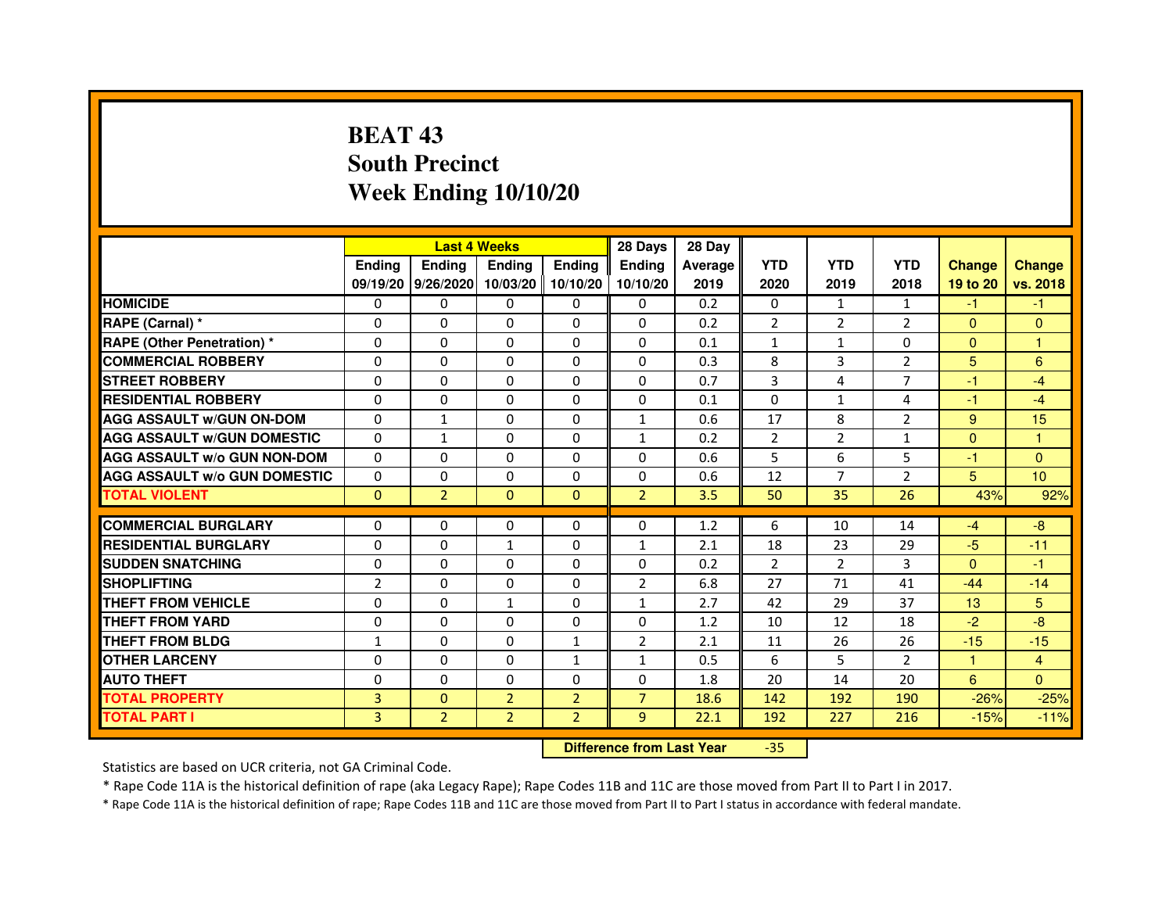# **BEAT 43 South PrecinctWeek Ending 10/10/20**

|                                     |                | <b>Last 4 Weeks</b> |                |                | 28 Days        | 28 Day  |                |               |                |               |                |
|-------------------------------------|----------------|---------------------|----------------|----------------|----------------|---------|----------------|---------------|----------------|---------------|----------------|
|                                     | <b>Endina</b>  | Ending              | <b>Endina</b>  | <b>Endina</b>  | <b>Endina</b>  | Average | <b>YTD</b>     | <b>YTD</b>    | <b>YTD</b>     | <b>Change</b> | <b>Change</b>  |
|                                     |                | 09/19/20 9/26/2020  | 10/03/20       | 10/10/20       | 10/10/20       | 2019    | 2020           | 2019          | 2018           | 19 to 20      | vs. 2018       |
| <b>HOMICIDE</b>                     | 0              | 0                   | 0              | 0              | 0              | 0.2     | $\mathbf{0}$   | $\mathbf{1}$  | $\mathbf{1}$   | -1            | -1             |
| RAPE (Carnal) *                     | $\Omega$       | $\Omega$            | $\Omega$       | $\Omega$       | $\Omega$       | 0.2     | $\overline{2}$ | 2             | $\overline{2}$ | $\Omega$      | $\Omega$       |
| <b>RAPE (Other Penetration)*</b>    | $\Omega$       | $\Omega$            | $\Omega$       | $\Omega$       | $\Omega$       | 0.1     | $\mathbf{1}$   | $\mathbf{1}$  | $\Omega$       | $\Omega$      | $\mathbf{1}$   |
| <b>COMMERCIAL ROBBERY</b>           | 0              | 0                   | 0              | 0              | 0              | 0.3     | 8              | 3             | 2              | 5             | 6              |
| <b>STREET ROBBERY</b>               | 0              | $\Omega$            | 0              | 0              | 0              | 0.7     | 3              | 4             | 7              | $-1$          | $-4$           |
| <b>RESIDENTIAL ROBBERY</b>          | 0              | $\Omega$            | 0              | $\Omega$       | $\Omega$       | 0.1     | $\Omega$       | $\mathbf{1}$  | 4              | $-1$          | $-4$           |
| <b>AGG ASSAULT w/GUN ON-DOM</b>     | $\Omega$       | $\mathbf{1}$        | $\Omega$       | $\Omega$       | $\mathbf{1}$   | 0.6     | 17             | 8             | $\overline{2}$ | 9             | 15             |
| <b>AGG ASSAULT W/GUN DOMESTIC</b>   | $\Omega$       | $\mathbf{1}$        | $\Omega$       | $\Omega$       | $\mathbf{1}$   | 0.2     | $\overline{2}$ | $\mathcal{P}$ | $\mathbf{1}$   | $\Omega$      | 1              |
| <b>AGG ASSAULT W/o GUN NON-DOM</b>  | $\Omega$       | 0                   | $\Omega$       | $\Omega$       | $\Omega$       | 0.6     | 5              | 6             | 5              | -1            | $\Omega$       |
| <b>AGG ASSAULT W/o GUN DOMESTIC</b> | 0              | 0                   | 0              | $\mathbf{0}$   | 0              | 0.6     | 12             | 7             | $\overline{2}$ | 5             | 10             |
| <b>TOTAL VIOLENT</b>                | $\Omega$       | $\overline{2}$      | $\Omega$       | $\Omega$       | $\overline{2}$ | 3.5     | 50             | 35            | 26             | 43%           | 92%            |
|                                     |                |                     |                |                |                |         |                |               |                |               |                |
| <b>COMMERCIAL BURGLARY</b>          | 0              | 0                   | 0              | 0              | $\Omega$       | 1.2     | 6              | 10            | 14             | $-4$          | -8             |
| <b>RESIDENTIAL BURGLARY</b>         | 0              | 0                   | $\mathbf{1}$   | $\Omega$       | $\mathbf{1}$   | 2.1     | 18             | 23            | 29             | $-5$          | $-11$          |
| <b>SUDDEN SNATCHING</b>             | 0              | $\Omega$            | $\Omega$       | $\Omega$       | $\Omega$       | 0.2     | $\overline{2}$ | 2             | 3              | $\Omega$      | $-1$           |
| <b>SHOPLIFTING</b>                  | $\overline{2}$ | $\Omega$            | $\Omega$       | $\mathbf{0}$   | $\overline{2}$ | 6.8     | 27             | 71            | 41             | $-44$         | $-14$          |
| <b>THEFT FROM VEHICLE</b>           | 0              | $\Omega$            | $\mathbf{1}$   | $\mathbf{0}$   | $\mathbf{1}$   | 2.7     | 42             | 29            | 37             | 13            | 5              |
| <b>THEFT FROM YARD</b>              | $\Omega$       | 0                   | $\Omega$       | $\Omega$       | $\Omega$       | 1.2     | 10             | 12            | 18             | $-2$          | $-8$           |
| <b>THEFT FROM BLDG</b>              | 1              | $\Omega$            | 0              | 1              | $\overline{2}$ | 2.1     | 11             | 26            | 26             | $-15$         | $-15$          |
| <b>OTHER LARCENY</b>                | 0              | 0                   | $\Omega$       | $\mathbf{1}$   | $\mathbf{1}$   | 0.5     | 6              | 5             | $\mathfrak{p}$ | 1             | $\overline{4}$ |
| <b>AUTO THEFT</b>                   | 0              | 0                   | 0              | 0              | $\Omega$       | 1.8     | 20             | 14            | 20             | 6             | $\Omega$       |
| <b>TOTAL PROPERTY</b>               | 3              | $\mathbf{0}$        | $\overline{2}$ | $\overline{2}$ | $\overline{7}$ | 18.6    | 142            | 192           | 190            | $-26%$        | $-25%$         |
| <b>TOTAL PART I</b>                 | 3              | $\overline{2}$      | $\overline{2}$ | $\overline{2}$ | 9              | 22.1    | 192            | 227           | 216            | $-15%$        | $-11%$         |

 **Difference from Last Year**-35

Statistics are based on UCR criteria, not GA Criminal Code.

\* Rape Code 11A is the historical definition of rape (aka Legacy Rape); Rape Codes 11B and 11C are those moved from Part II to Part I in 2017.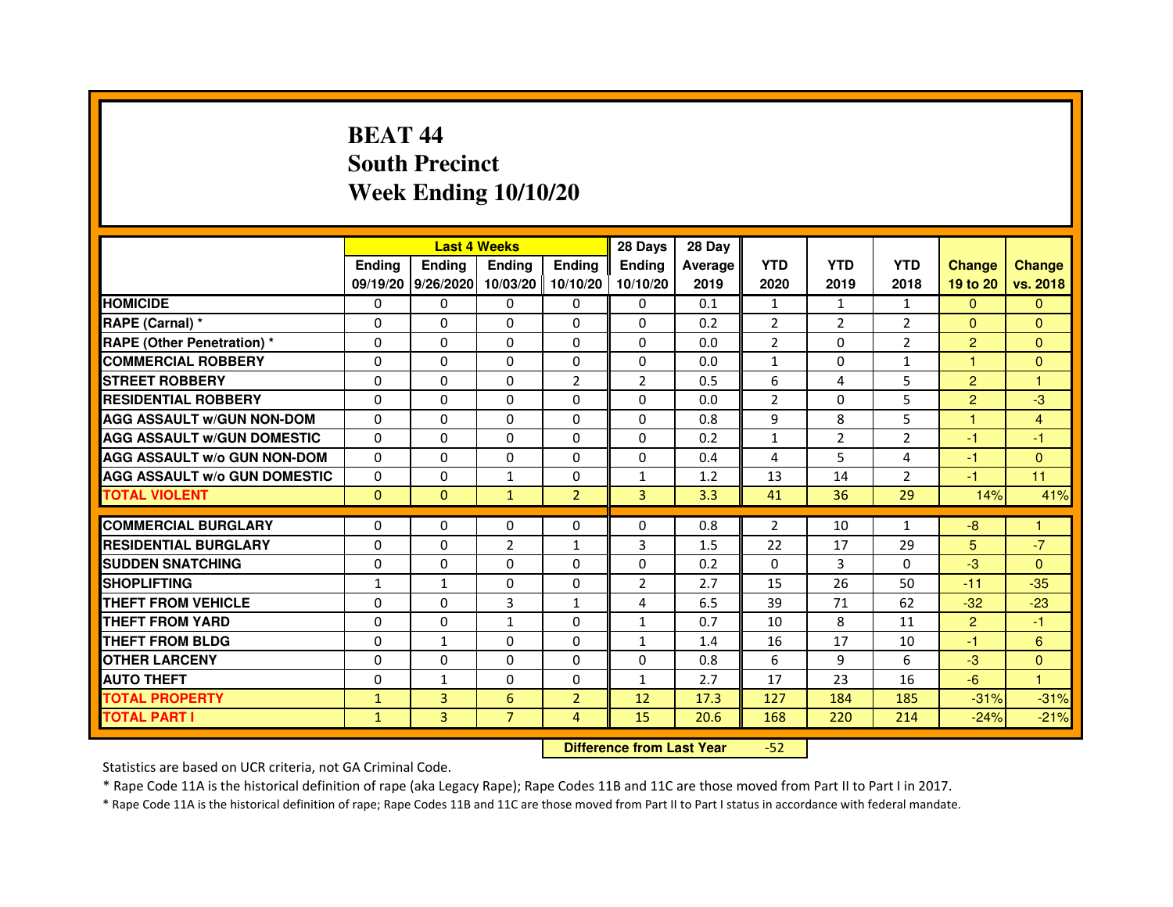# **BEAT 44 South PrecinctWeek Ending 10/10/20**

|                                     |               | <b>Last 4 Weeks</b> |                                  |                | 28 Days       | 28 Day  |                |                |                |                |               |
|-------------------------------------|---------------|---------------------|----------------------------------|----------------|---------------|---------|----------------|----------------|----------------|----------------|---------------|
|                                     | <b>Ending</b> | <b>Ending</b>       | <b>Ending</b>                    | <b>Ending</b>  | <b>Ending</b> | Average | <b>YTD</b>     | <b>YTD</b>     | <b>YTD</b>     | <b>Change</b>  | <b>Change</b> |
|                                     |               | 09/19/20 9/26/2020  | 10/03/20                         | 10/10/20       | 10/10/20      | 2019    | 2020           | 2019           | 2018           | 19 to 20       | vs. 2018      |
| <b>HOMICIDE</b>                     | 0             | $\Omega$            | $\Omega$                         | $\Omega$       | 0             | 0.1     | $\mathbf{1}$   | $\mathbf{1}$   | $\mathbf{1}$   | $\Omega$       | $\Omega$      |
| RAPE (Carnal) *                     | 0             | $\Omega$            | 0                                | $\Omega$       | $\mathbf{0}$  | 0.2     | $\overline{2}$ | $\overline{2}$ | $\overline{2}$ | $\Omega$       | $\mathbf{0}$  |
| <b>RAPE (Other Penetration) *</b>   | $\mathbf 0$   | 0                   | $\Omega$                         | $\Omega$       | $\Omega$      | 0.0     | $\overline{2}$ | $\Omega$       | $\overline{2}$ | $\overline{2}$ | $\Omega$      |
| <b>COMMERCIAL ROBBERY</b>           | $\mathbf 0$   | $\mathbf{0}$        | $\Omega$                         | $\mathbf{0}$   | $\mathbf{0}$  | 0.0     | $\mathbf{1}$   | $\mathbf{0}$   | $\mathbf{1}$   | $\mathbf{1}$   | $\Omega$      |
| <b>STREET ROBBERY</b>               | $\Omega$      | $\Omega$            | $\Omega$                         | $\overline{2}$ | 2             | 0.5     | 6              | 4              | 5              | $\overline{2}$ | $\mathbf{1}$  |
| <b>RESIDENTIAL ROBBERY</b>          | 0             | $\Omega$            | 0                                | $\Omega$       | $\Omega$      | 0.0     | $\overline{2}$ | $\Omega$       | 5              | $\overline{2}$ | $-3$          |
| <b>AGG ASSAULT W/GUN NON-DOM</b>    | $\Omega$      | 0                   | $\Omega$                         | $\Omega$       | $\Omega$      | 0.8     | 9              | 8              | 5              | $\mathbf{1}$   | 4             |
| <b>AGG ASSAULT W/GUN DOMESTIC</b>   | $\Omega$      | $\Omega$            | $\Omega$                         | $\Omega$       | $\Omega$      | 0.2     | $\mathbf{1}$   | $\overline{2}$ | $\overline{2}$ | $-1$           | $-1$          |
| <b>AGG ASSAULT W/o GUN NON-DOM</b>  | $\Omega$      | 0                   | 0                                | 0              | 0             | 0.4     | 4              | 5              | 4              | $-1$           | $\mathbf{0}$  |
| <b>AGG ASSAULT W/o GUN DOMESTIC</b> | $\Omega$      | 0                   | 1                                | $\mathbf{0}$   | $\mathbf{1}$  | 1.2     | 13             | 14             | $\overline{2}$ | $-1$           | 11            |
| <b>TOTAL VIOLENT</b>                | $\mathbf{0}$  | $\mathbf{0}$        | $\mathbf{1}$                     | $\overline{2}$ | 3             | 3.3     | 41             | 36             | 29             | 14%            | 41%           |
| <b>COMMERCIAL BURGLARY</b>          | 0             | 0                   | 0                                | 0              | 0             | 0.8     | $\overline{2}$ | 10             | $\mathbf{1}$   | $-8$           | 1             |
| <b>RESIDENTIAL BURGLARY</b>         | $\Omega$      | $\Omega$            | $\overline{2}$                   | $\mathbf{1}$   | 3             | 1.5     | 22             | 17             | 29             | 5              | $-7$          |
| <b>SUDDEN SNATCHING</b>             | 0             | 0                   | $\Omega$                         | $\Omega$       | $\Omega$      | 0.2     | $\Omega$       | 3              | $\Omega$       | $-3$           | $\Omega$      |
| <b>SHOPLIFTING</b>                  | 1             | $\mathbf{1}$        | 0                                | $\mathbf{0}$   | 2             | 2.7     | 15             | 26             | 50             | $-11$          | $-35$         |
| THEFT FROM VEHICLE                  | 0             | $\Omega$            | 3                                | $\mathbf{1}$   | 4             | 6.5     | 39             | 71             | 62             | $-32$          | $-23$         |
| THEFT FROM YARD                     | $\mathbf 0$   | 0                   | 1                                | 0              | $\mathbf{1}$  | 0.7     | 10             | 8              | 11             | $\overline{2}$ | $-1$          |
| <b>THEFT FROM BLDG</b>              | 0             | $\mathbf{1}$        | 0                                | $\Omega$       | $\mathbf{1}$  | 1.4     | 16             | 17             | 10             | $-1$           | 6             |
| <b>OTHER LARCENY</b>                | 0             | $\Omega$            | 0                                | $\Omega$       | $\Omega$      | 0.8     | 6              | 9              | 6              | $-3$           | $\Omega$      |
| <b>AUTO THEFT</b>                   | $\Omega$      | $\mathbf{1}$        | $\Omega$                         | $\Omega$       | $\mathbf{1}$  | 2.7     | 17             | 23             | 16             | $-6$           | $\mathbf{1}$  |
| <b>TOTAL PROPERTY</b>               | $\mathbf{1}$  | 3                   | 6                                | $\overline{2}$ | 12            | 17.3    | 127            | 184            | 185            | $-31%$         | $-31%$        |
| <b>TOTAL PART I</b>                 | $\mathbf{1}$  | 3                   | $\overline{7}$                   | $\overline{4}$ | 15            | 20.6    | 168            | 220            | 214            | $-24%$         | $-21%$        |
|                                     |               |                     | <b>Difference from Last Year</b> |                | $-52$         |         |                |                |                |                |               |

 **Difference from Last Year**

Statistics are based on UCR criteria, not GA Criminal Code.

\* Rape Code 11A is the historical definition of rape (aka Legacy Rape); Rape Codes 11B and 11C are those moved from Part II to Part I in 2017.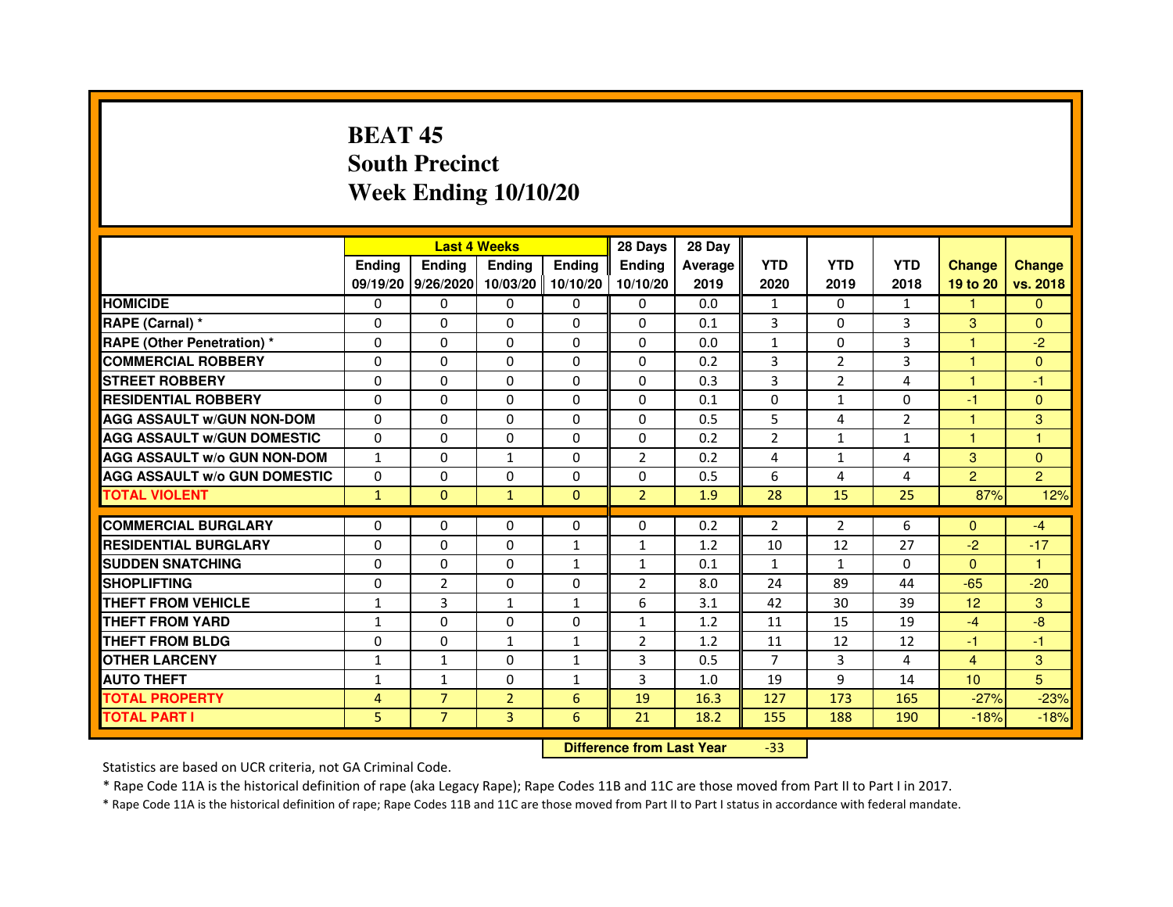# **BEAT 45 South PrecinctWeek Ending 10/10/20**

|                                     |                | <b>Last 4 Weeks</b> |                |               | 28 Days                          | 28 Day  |                |                |              |                  |                |
|-------------------------------------|----------------|---------------------|----------------|---------------|----------------------------------|---------|----------------|----------------|--------------|------------------|----------------|
|                                     | <b>Ending</b>  | <b>Ending</b>       | <b>Ending</b>  | <b>Ending</b> | <b>Ending</b>                    | Average | <b>YTD</b>     | <b>YTD</b>     | <b>YTD</b>   | <b>Change</b>    | <b>Change</b>  |
|                                     |                | 09/19/20 9/26/2020  | 10/03/20       | 10/10/20      | 10/10/20                         | 2019    | 2020           | 2019           | 2018         | 19 to 20         | vs. 2018       |
| <b>HOMICIDE</b>                     | 0              | $\Omega$            | $\Omega$       | $\Omega$      | 0                                | 0.0     | $\mathbf{1}$   | $\Omega$       | $\mathbf{1}$ | 1.               | $\Omega$       |
| RAPE (Carnal) *                     | 0              | $\Omega$            | 0              | $\Omega$      | $\mathbf{0}$                     | 0.1     | 3              | $\mathbf{0}$   | 3            | 3                | $\Omega$       |
| <b>RAPE (Other Penetration) *</b>   | $\mathbf 0$    | 0                   | $\Omega$       | $\Omega$      | $\Omega$                         | 0.0     | $\mathbf{1}$   | $\Omega$       | 3            | $\mathbf{1}$     | $-2$           |
| <b>COMMERCIAL ROBBERY</b>           | $\mathbf 0$    | $\mathbf{0}$        | $\Omega$       | $\mathbf{0}$  | $\mathbf{0}$                     | 0.2     | 3              | 2              | 3            | $\mathbf{1}$     | $\Omega$       |
| <b>STREET ROBBERY</b>               | $\Omega$       | $\Omega$            | $\Omega$       | $\Omega$      | $\Omega$                         | 0.3     | 3              | $\overline{2}$ | 4            | $\mathbf{1}$     | $-1$           |
| <b>RESIDENTIAL ROBBERY</b>          | 0              | $\Omega$            | 0              | $\Omega$      | $\Omega$                         | 0.1     | $\Omega$       | $\mathbf{1}$   | $\Omega$     | $-1$             | $\Omega$       |
| <b>AGG ASSAULT W/GUN NON-DOM</b>    | $\Omega$       | 0                   | $\Omega$       | $\Omega$      | $\Omega$                         | 0.5     | 5              | $\overline{4}$ | 2            | $\mathbf{1}$     | $\overline{3}$ |
| <b>AGG ASSAULT W/GUN DOMESTIC</b>   | $\Omega$       | $\Omega$            | $\Omega$       | $\Omega$      | $\Omega$                         | 0.2     | $\overline{2}$ | $\mathbf{1}$   | $\mathbf{1}$ | $\mathbf{1}$     | $\mathbf{1}$   |
| <b>AGG ASSAULT W/o GUN NON-DOM</b>  | $\mathbf{1}$   | 0                   | 1              | $\mathbf{0}$  | $\overline{2}$                   | 0.2     | 4              | $\mathbf{1}$   | 4            | 3                | $\mathbf{0}$   |
| <b>AGG ASSAULT W/o GUN DOMESTIC</b> | $\Omega$       | 0                   | 0              | $\mathbf{0}$  | 0                                | 0.5     | 6              | 4              | 4            | $\overline{2}$   | $\overline{2}$ |
| <b>TOTAL VIOLENT</b>                | $\mathbf{1}$   | $\mathbf{0}$        | $\mathbf{1}$   | $\mathbf{0}$  | $\overline{2}$                   | 1.9     | 28             | 15             | 25           | 87%              | 12%            |
| <b>COMMERCIAL BURGLARY</b>          | 0              | 0                   | 0              | 0             | 0                                | 0.2     | $\overline{2}$ | 2              | 6            | $\mathbf{0}$     | $-4$           |
| <b>RESIDENTIAL BURGLARY</b>         | $\Omega$       | $\Omega$            | $\Omega$       | $\mathbf{1}$  | 1                                | 1.2     | 10             | 12             | 27           | $-2$             | $-17$          |
| <b>SUDDEN SNATCHING</b>             | $\Omega$       | 0                   | $\Omega$       | $\mathbf{1}$  | $\mathbf{1}$                     | 0.1     | $\mathbf{1}$   | $\mathbf{1}$   | $\Omega$     | $\Omega$         | $\mathbf{1}$   |
| <b>SHOPLIFTING</b>                  | 0              | $\overline{2}$      | 0              | $\mathbf{0}$  | 2                                | 8.0     | 24             | 89             | 44           | $-65$            | $-20$          |
| THEFT FROM VEHICLE                  | $\mathbf{1}$   | 3                   | $\mathbf{1}$   | $\mathbf{1}$  | 6                                | 3.1     | 42             | 30             | 39           | 12               | 3              |
| THEFT FROM YARD                     | $\mathbf{1}$   | $\mathbf 0$         | $\Omega$       | 0             | $\mathbf{1}$                     | 1.2     | 11             | 15             | 19           | $-4$             | $-8$           |
| <b>THEFT FROM BLDG</b>              | 0              | $\Omega$            | $\mathbf{1}$   | $\mathbf{1}$  | $\overline{2}$                   | 1.2     | 11             | 12             | 12           | $-1$             | $-1$           |
| <b>OTHER LARCENY</b>                | $\mathbf{1}$   | $\mathbf{1}$        | 0              | $\mathbf{1}$  | 3                                | 0.5     | $\overline{7}$ | 3              | 4            | $\overline{4}$   | 3              |
| <b>AUTO THEFT</b>                   | $\mathbf{1}$   | $\mathbf{1}$        | $\Omega$       | $\mathbf{1}$  | 3                                | 1.0     | 19             | 9              | 14           | 10 <sup>10</sup> | 5              |
| <b>TOTAL PROPERTY</b>               | $\overline{4}$ | $\overline{7}$      | $\overline{2}$ | 6             | 19                               | 16.3    | 127            | 173            | 165          | $-27%$           | $-23%$         |
| <b>TOTAL PART I</b>                 | 5              | $\overline{7}$      | $\overline{3}$ | 6             | 21                               | 18.2    | 155            | 188            | 190          | $-18%$           | $-18%$         |
|                                     |                |                     |                |               | <b>Difference from Last Year</b> |         | $-33$          |                |              |                  |                |

 **Difference from Last Year**

Statistics are based on UCR criteria, not GA Criminal Code.

\* Rape Code 11A is the historical definition of rape (aka Legacy Rape); Rape Codes 11B and 11C are those moved from Part II to Part I in 2017.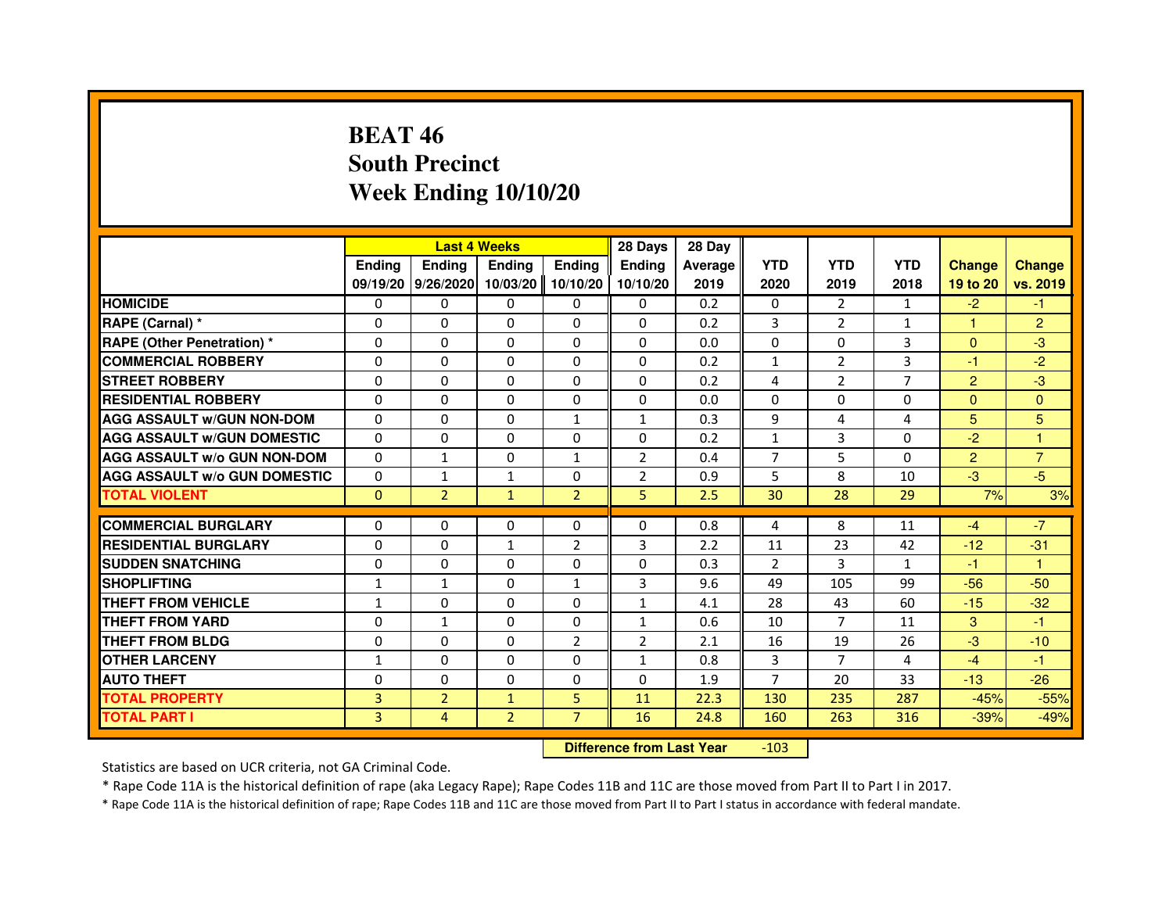## **BEAT 46 South PrecinctWeek Ending 10/10/20**

|                                     |               | <b>Last 4 Weeks</b>         |                |                | 28 Days        | 28 Day  |                |                |                |                |                |
|-------------------------------------|---------------|-----------------------------|----------------|----------------|----------------|---------|----------------|----------------|----------------|----------------|----------------|
|                                     | <b>Endina</b> | Ending                      | Ending         | Ending         | Ending         | Average | <b>YTD</b>     | <b>YTD</b>     | <b>YTD</b>     | <b>Change</b>  | <b>Change</b>  |
|                                     |               | 09/19/20 9/26/2020 10/03/20 |                | 10/10/20       | 10/10/20       | 2019    | 2020           | 2019           | 2018           | 19 to 20       | vs. 2019       |
| <b>HOMICIDE</b>                     | 0             | $\Omega$                    | 0              | 0              | 0              | 0.2     | 0              | $\overline{2}$ | 1              | $-2$           | $-1$           |
| RAPE (Carnal) *                     | $\Omega$      | $\Omega$                    | $\Omega$       | $\Omega$       | $\Omega$       | 0.2     | 3              | 2              | $\mathbf{1}$   | $\mathbf{1}$   | $\overline{2}$ |
| <b>RAPE (Other Penetration) *</b>   | $\Omega$      | $\Omega$                    | $\Omega$       | $\Omega$       | $\Omega$       | 0.0     | $\Omega$       | $\Omega$       | 3              | $\Omega$       | $-3$           |
| <b>COMMERCIAL ROBBERY</b>           | $\Omega$      | $\Omega$                    | $\Omega$       | $\Omega$       | $\Omega$       | 0.2     | $\mathbf{1}$   | 2              | 3              | $-1$           | $-2$           |
| <b>STREET ROBBERY</b>               | $\Omega$      | $\Omega$                    | $\Omega$       | $\Omega$       | $\Omega$       | 0.2     | 4              | $\overline{2}$ | $\overline{7}$ | 2              | $-3$           |
| <b>RESIDENTIAL ROBBERY</b>          | 0             | $\Omega$                    | $\Omega$       | $\Omega$       | $\Omega$       | 0.0     | $\Omega$       | 0              | 0              | $\Omega$       | $\mathbf{0}$   |
| <b>AGG ASSAULT W/GUN NON-DOM</b>    | $\Omega$      | $\Omega$                    | $\Omega$       | $\mathbf{1}$   | $\mathbf{1}$   | 0.3     | 9              | 4              | 4              | 5              | 5              |
| <b>AGG ASSAULT W/GUN DOMESTIC</b>   | 0             | 0                           | 0              | 0              | 0              | 0.2     | $\mathbf{1}$   | 3              | 0              | $-2$           | 1              |
| <b>AGG ASSAULT W/o GUN NON-DOM</b>  | $\Omega$      | 1                           | 0              | 1              | 2              | 0.4     | $\overline{7}$ | 5              | 0              | $\overline{2}$ | 7              |
| <b>AGG ASSAULT W/o GUN DOMESTIC</b> | $\Omega$      | 1                           | $\mathbf{1}$   | $\Omega$       | $\overline{2}$ | 0.9     | 5              | 8              | 10             | $-3$           | $-5$           |
| <b>TOTAL VIOLENT</b>                | $\mathbf{0}$  | $\overline{2}$              | $\mathbf{1}$   | $\overline{2}$ | 5              | 2.5     | 30             | 28             | 29             | 7%             | 3%             |
|                                     |               |                             |                |                |                |         |                |                |                |                |                |
| <b>COMMERCIAL BURGLARY</b>          | 0             | 0                           | 0              | 0              | 0              | 0.8     | 4              | 8              | 11             | $-4$           | $-7$           |
| <b>RESIDENTIAL BURGLARY</b>         | $\Omega$      | $\Omega$                    | 1              | $\overline{2}$ | 3              | 2.2     | 11             | 23             | 42             | $-12$          | $-31$          |
| <b>SUDDEN SNATCHING</b>             | 0             | $\Omega$                    | 0              | $\Omega$       | $\Omega$       | 0.3     | $\overline{2}$ | 3              | $\mathbf{1}$   | $-1$           | 1              |
| <b>SHOPLIFTING</b>                  | 1             | $\mathbf{1}$                | $\Omega$       | $\mathbf{1}$   | 3              | 9.6     | 49             | 105            | 99             | $-56$          | $-50$          |
| THEFT FROM VEHICLE                  | 1             | $\Omega$                    | $\Omega$       | $\Omega$       | $\mathbf{1}$   | 4.1     | 28             | 43             | 60             | $-15$          | $-32$          |
| <b>THEFT FROM YARD</b>              | $\Omega$      | $\mathbf{1}$                | $\Omega$       | $\Omega$       | $\mathbf{1}$   | 0.6     | 10             | $\overline{7}$ | 11             | 3              | $-1$           |
| <b>THEFT FROM BLDG</b>              | $\Omega$      | $\Omega$                    | $\Omega$       | $\overline{2}$ | $\overline{2}$ | 2.1     | 16             | 19             | 26             | $-3$           | $-10$          |
| <b>OTHER LARCENY</b>                | $\mathbf{1}$  | $\Omega$                    | $\Omega$       | $\Omega$       | $\mathbf{1}$   | 0.8     | $\overline{3}$ | $\overline{7}$ | 4              | $-4$           | $-1$           |
| <b>AUTO THEFT</b>                   | $\Omega$      | $\Omega$                    | $\Omega$       | $\Omega$       | $\Omega$       | 1.9     | $\overline{7}$ | 20             | 33             | $-13$          | $-26$          |
| <b>TOTAL PROPERTY</b>               | 3             | $\overline{2}$              | $\mathbf{1}$   | 5              | 11             | 22.3    | 130            | 235            | 287            | $-45%$         | $-55%$         |
| <b>TOTAL PART I</b>                 | 3             | $\overline{4}$              | $\overline{2}$ | $\overline{7}$ | 16             | 24.8    | 160            | 263            | 316            | $-39%$         | $-49%$         |

 **Difference from Last Year**-103

Statistics are based on UCR criteria, not GA Criminal Code.

\* Rape Code 11A is the historical definition of rape (aka Legacy Rape); Rape Codes 11B and 11C are those moved from Part II to Part I in 2017.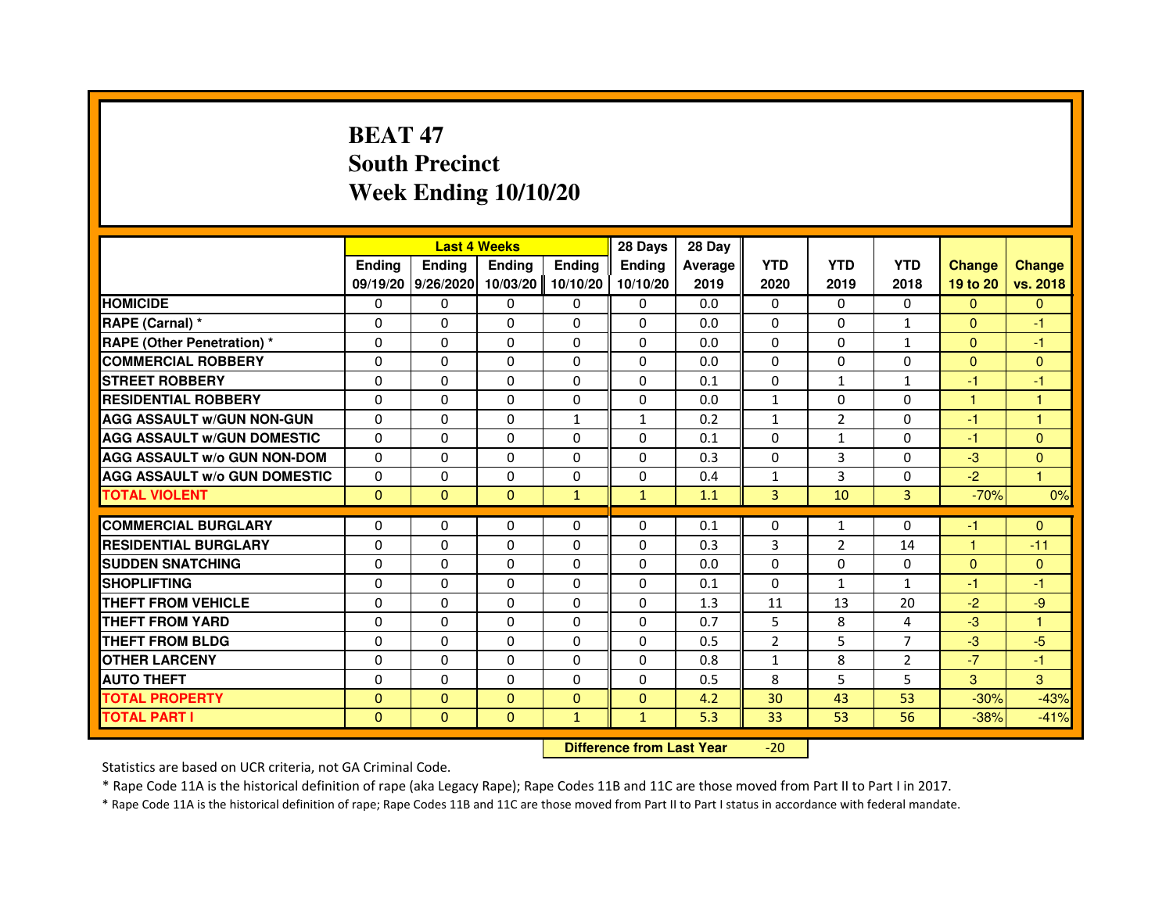# **BEAT 47 South PrecinctWeek Ending 10/10/20**

|                                     |               | <b>Last 4 Weeks</b> |                                  |              | 28 Days      | 28 Day  |                |                |                |               |               |
|-------------------------------------|---------------|---------------------|----------------------------------|--------------|--------------|---------|----------------|----------------|----------------|---------------|---------------|
|                                     | <b>Ending</b> | <b>Ending</b>       | Ending                           | Ending       | Ending       | Average | <b>YTD</b>     | <b>YTD</b>     | <b>YTD</b>     | <b>Change</b> | <b>Change</b> |
|                                     |               | 09/19/20 9/26/2020  | 10/03/20                         | 10/10/20     | 10/10/20     | 2019    | 2020           | 2019           | 2018           | 19 to 20      | vs. 2018      |
| <b>HOMICIDE</b>                     | 0             | $\Omega$            | 0                                | $\mathbf{0}$ | $\mathbf{0}$ | 0.0     | $\Omega$       | 0              | $\Omega$       | $\mathbf{0}$  | $\mathbf{0}$  |
| RAPE (Carnal) *                     | 0             | 0                   | 0                                | 0            | 0            | 0.0     | 0              | 0              | $\mathbf{1}$   | $\mathbf{0}$  | $-1$          |
| RAPE (Other Penetration) *          | $\Omega$      | $\Omega$            | $\Omega$                         | $\Omega$     | $\Omega$     | 0.0     | $\Omega$       | $\Omega$       | $\mathbf{1}$   | $\Omega$      | $-1$          |
| <b>COMMERCIAL ROBBERY</b>           | 0             | $\Omega$            | $\Omega$                         | $\Omega$     | 0            | 0.0     | $\Omega$       | $\Omega$       | $\Omega$       | $\Omega$      | $\mathbf{0}$  |
| <b>STREET ROBBERY</b>               | $\Omega$      | $\Omega$            | $\Omega$                         | $\Omega$     | $\Omega$     | 0.1     | $\Omega$       | $\mathbf{1}$   | $\mathbf{1}$   | $-1$          | $-1$          |
| <b>RESIDENTIAL ROBBERY</b>          | 0             | 0                   | 0                                | 0            | 0            | 0.0     | 1              | 0              | $\Omega$       | $\mathbf{1}$  | 1             |
| <b>AGG ASSAULT w/GUN NON-GUN</b>    | $\Omega$      | $\Omega$            | $\Omega$                         | $\mathbf{1}$ | $\mathbf{1}$ | 0.2     | $\mathbf{1}$   | $\overline{2}$ | $\Omega$       | $-1$          | $\mathbf{1}$  |
| <b>AGG ASSAULT W/GUN DOMESTIC</b>   | $\Omega$      | $\Omega$            | $\Omega$                         | $\Omega$     | $\Omega$     | 0.1     | $\Omega$       | $\mathbf{1}$   | $\Omega$       | $-1$          | $\Omega$      |
| <b>AGG ASSAULT W/o GUN NON-DOM</b>  | $\Omega$      | $\Omega$            | $\Omega$                         | $\Omega$     | $\Omega$     | 0.3     | $\Omega$       | 3              | $\Omega$       | $-3$          | $\Omega$      |
| <b>AGG ASSAULT W/o GUN DOMESTIC</b> | $\Omega$      | $\Omega$            | 0                                | $\Omega$     | $\Omega$     | 0.4     | $\mathbf{1}$   | 3              | $\Omega$       | $-2$          | $\mathbf{1}$  |
| <b>TOTAL VIOLENT</b>                | $\mathbf{0}$  | $\mathbf{0}$        | $\mathbf 0$                      | $\mathbf{1}$ | $\mathbf{1}$ | 1.1     | 3              | 10             | 3              | $-70%$        | 0%            |
| <b>COMMERCIAL BURGLARY</b>          | 0             | 0                   | 0                                | 0            | 0            | 0.1     | 0              | $\mathbf{1}$   | 0              | $-1$          | $\mathbf{0}$  |
| <b>RESIDENTIAL BURGLARY</b>         | 0             | $\Omega$            | $\Omega$                         | $\Omega$     | 0            | 0.3     | 3              | $\overline{2}$ | 14             | $\mathbf{1}$  | $-11$         |
| <b>SUDDEN SNATCHING</b>             | $\Omega$      | $\Omega$            | $\Omega$                         | $\Omega$     | $\Omega$     | 0.0     | $\Omega$       | $\Omega$       | $\Omega$       | $\Omega$      | $\mathbf{0}$  |
| <b>SHOPLIFTING</b>                  | 0             | $\Omega$            | 0                                | $\Omega$     | 0            | 0.1     | $\Omega$       | $\mathbf{1}$   | $\mathbf{1}$   | $-1$          | $-1$          |
| <b>THEFT FROM VEHICLE</b>           | 0             | 0                   | 0                                | $\Omega$     | 0            | 1.3     | 11             | 13             | 20             | $-2$          | -9            |
| <b>THEFT FROM YARD</b>              | $\Omega$      | $\Omega$            | $\Omega$                         | $\Omega$     | $\Omega$     | 0.7     | 5              | 8              | 4              | $-3$          | $\mathbf{1}$  |
| <b>THEFT FROM BLDG</b>              | $\Omega$      | $\Omega$            | $\Omega$                         | $\Omega$     | $\Omega$     | 0.5     | $\overline{2}$ | 5              | $\overline{7}$ | $-3$          | $-5$          |
| <b>OTHER LARCENY</b>                | 0             | 0                   | 0                                | $\Omega$     | $\mathbf{0}$ | 0.8     | 1              | 8              | $\overline{2}$ | $-7$          | $-1$          |
| <b>AUTO THEFT</b>                   | $\Omega$      | $\Omega$            | $\Omega$                         | $\Omega$     | $\Omega$     | 0.5     | 8              | 5              | 5              | 3             | 3             |
| <b>TOTAL PROPERTY</b>               | $\Omega$      | $\mathbf{0}$        | $\Omega$                         | $\Omega$     | $\mathbf{0}$ | 4.2     | 30             | 43             | 53             | $-30%$        | $-43%$        |
| <b>TOTAL PART I</b>                 | $\mathbf{0}$  | $\mathbf{0}$        | $\mathbf{0}$                     | $\mathbf{1}$ | $\mathbf{1}$ | 5.3     | 33             | 53             | 56             | $-38%$        | $-41%$        |
|                                     |               |                     | <b>Difference from Last Year</b> |              | $-20$        |         |                |                |                |               |               |

 **Difference from Last Year**

Statistics are based on UCR criteria, not GA Criminal Code.

\* Rape Code 11A is the historical definition of rape (aka Legacy Rape); Rape Codes 11B and 11C are those moved from Part II to Part I in 2017.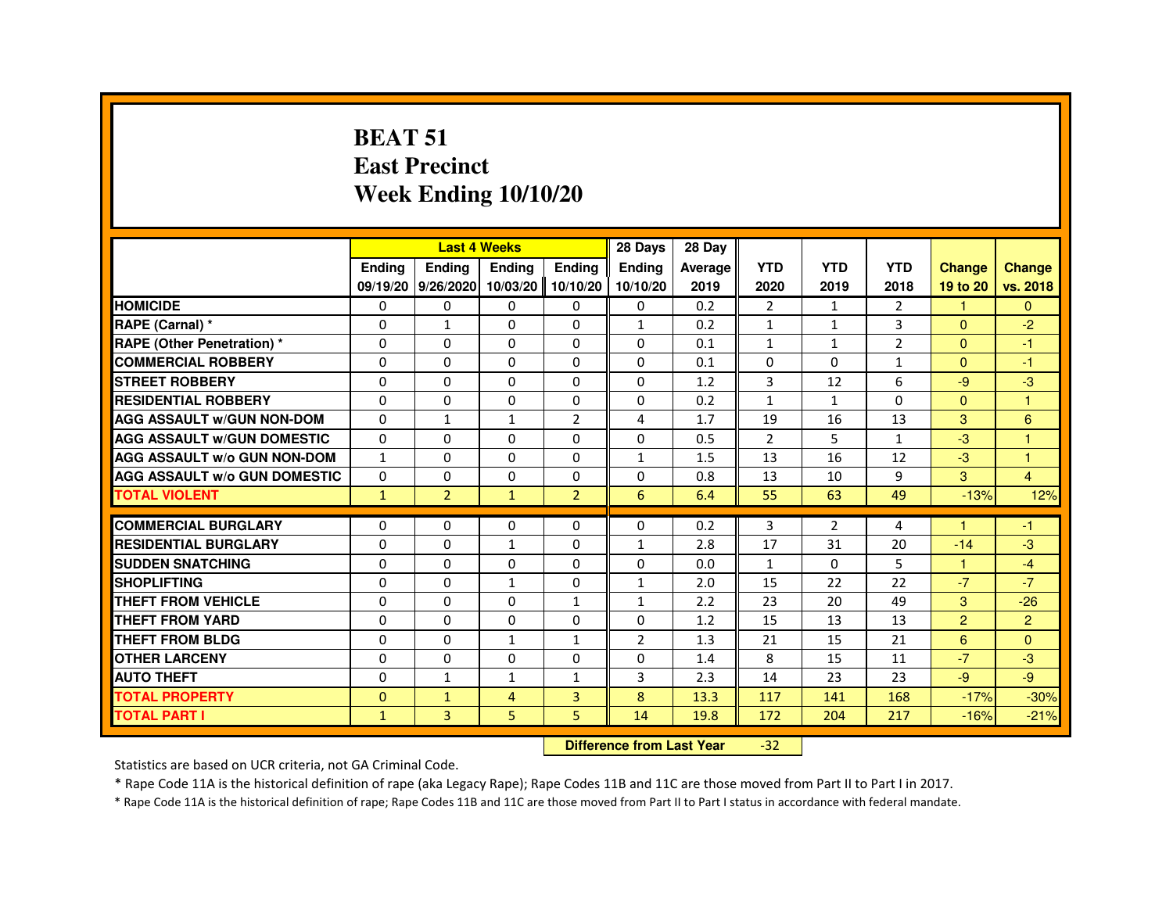#### **BEAT 51 East PrecinctWeek Ending 10/10/20**

|                                     |               | <b>Last 4 Weeks</b>                  |                                  |                | 28 Days       | 28 Day  |                |              |                |                |                |
|-------------------------------------|---------------|--------------------------------------|----------------------------------|----------------|---------------|---------|----------------|--------------|----------------|----------------|----------------|
|                                     | <b>Ending</b> | <b>Ending</b>                        | Ending                           | <b>Ending</b>  | <b>Ending</b> | Average | <b>YTD</b>     | <b>YTD</b>   | <b>YTD</b>     | <b>Change</b>  | <b>Change</b>  |
|                                     |               | 09/19/20 9/26/2020 10/03/20 10/10/20 |                                  |                | 10/10/20      | 2019    | 2020           | 2019         | 2018           | 19 to 20       | vs. 2018       |
| <b>HOMICIDE</b>                     | 0             | $\Omega$                             | $\Omega$                         | $\mathbf{0}$   | 0             | 0.2     | $\overline{2}$ | $\mathbf{1}$ | $\overline{2}$ | $\mathbf{1}$   | $\Omega$       |
| RAPE (Carnal) *                     | 0             | $\mathbf{1}$                         | 0                                | 0              | $\mathbf{1}$  | 0.2     | 1              | 1            | 3              | $\Omega$       | $-2$           |
| <b>RAPE (Other Penetration) *</b>   | 0             | 0                                    | 0                                | $\Omega$       | $\Omega$      | 0.1     | $\mathbf{1}$   | $\mathbf{1}$ | $\overline{2}$ | $\Omega$       | $-1$           |
| <b>COMMERCIAL ROBBERY</b>           | $\Omega$      | $\Omega$                             | $\Omega$                         | $\Omega$       | $\Omega$      | 0.1     | $\Omega$       | $\Omega$     | $\mathbf{1}$   | $\Omega$       | $-1$           |
| <b>STREET ROBBERY</b>               | 0             | 0                                    | $\Omega$                         | 0              | $\Omega$      | 1.2     | 3              | 12           | 6              | $-9$           | $-3$           |
| <b>RESIDENTIAL ROBBERY</b>          | 0             | 0                                    | 0                                | 0              | 0             | 0.2     | $\mathbf{1}$   | $\mathbf{1}$ | $\Omega$       | $\mathbf{0}$   | $\overline{1}$ |
| <b>AGG ASSAULT w/GUN NON-DOM</b>    | $\Omega$      | $\mathbf{1}$                         | $\mathbf{1}$                     | $\overline{2}$ | 4             | 1.7     | 19             | 16           | 13             | 3              | 6              |
| <b>AGG ASSAULT W/GUN DOMESTIC</b>   | $\Omega$      | 0                                    | $\Omega$                         | 0              | $\Omega$      | 0.5     | $\overline{2}$ | 5            | $\mathbf{1}$   | $-3$           | $\overline{1}$ |
| <b>AGG ASSAULT w/o GUN NON-DOM</b>  | 1             | 0                                    | 0                                | 0              | $\mathbf{1}$  | 1.5     | 13             | 16           | 12             | $-3$           | $\overline{1}$ |
| <b>AGG ASSAULT W/o GUN DOMESTIC</b> | $\Omega$      | 0                                    | 0                                | 0              | 0             | 0.8     | 13             | 10           | 9              | 3              | $\overline{4}$ |
| <b>TOTAL VIOLENT</b>                | $\mathbf{1}$  | $\overline{2}$                       | $\mathbf{1}$                     | $\overline{2}$ | 6             | 6.4     | 55             | 63           | 49             | $-13%$         | 12%            |
| <b>COMMERCIAL BURGLARY</b>          | 0             | 0                                    | 0                                | 0              | 0             | 0.2     | 3              | 2            | 4              |                | $-1$           |
| <b>RESIDENTIAL BURGLARY</b>         | $\Omega$      | $\Omega$                             | $\mathbf{1}$                     | $\Omega$       | $\mathbf{1}$  | 2.8     | 17             | 31           | 20             | $-14$          | $-3$           |
| <b>SUDDEN SNATCHING</b>             | 0             | $\Omega$                             | $\Omega$                         | $\Omega$       | $\Omega$      | 0.0     | $\mathbf{1}$   | $\Omega$     | 5              | $\mathbf{1}$   | $-4$           |
| <b>SHOPLIFTING</b>                  | 0             | 0                                    | 1                                | 0              | $\mathbf{1}$  | 2.0     | 15             | 22           | 22             | $-7$           | $-7$           |
| THEFT FROM VEHICLE                  | 0             | 0                                    | 0                                | $\mathbf{1}$   | $\mathbf{1}$  | 2.2     | 23             | 20           | 49             | 3              | $-26$          |
| <b>THEFT FROM YARD</b>              | $\mathbf 0$   | $\Omega$                             | $\Omega$                         | $\Omega$       | $\Omega$      | 1.2     | 15             | 13           | 13             | $\overline{2}$ | $\overline{2}$ |
| THEFT FROM BLDG                     | 0             | $\Omega$                             | $\mathbf{1}$                     | $\mathbf{1}$   | 2             | 1.3     | 21             | 15           | 21             | 6              | $\Omega$       |
| <b>OTHER LARCENY</b>                | $\Omega$      | $\Omega$                             | $\Omega$                         | $\Omega$       | $\Omega$      | 1.4     | 8              | 15           | 11             | $-7$           | $-3$           |
| <b>AUTO THEFT</b>                   | 0             | $\mathbf{1}$                         | $\mathbf{1}$                     | $\mathbf{1}$   | 3             | 2.3     | 14             | 23           | 23             | $-9$           | $-9$           |
| <b>TOTAL PROPERTY</b>               | $\Omega$      | $\mathbf{1}$                         | 4                                | $\overline{3}$ | 8             | 13.3    | 117            | 141          | 168            | $-17%$         | $-30%$         |
| <b>TOTAL PART I</b>                 | $\mathbf{1}$  | 3                                    | 5                                | 5              | 14            | 19.8    | 172            | 204          | 217            | $-16%$         | $-21%$         |
|                                     |               |                                      | <b>Difference from Last Year</b> |                | $-32$         |         |                |              |                |                |                |

 **Difference from Last Year**

Statistics are based on UCR criteria, not GA Criminal Code.

\* Rape Code 11A is the historical definition of rape (aka Legacy Rape); Rape Codes 11B and 11C are those moved from Part II to Part I in 2017.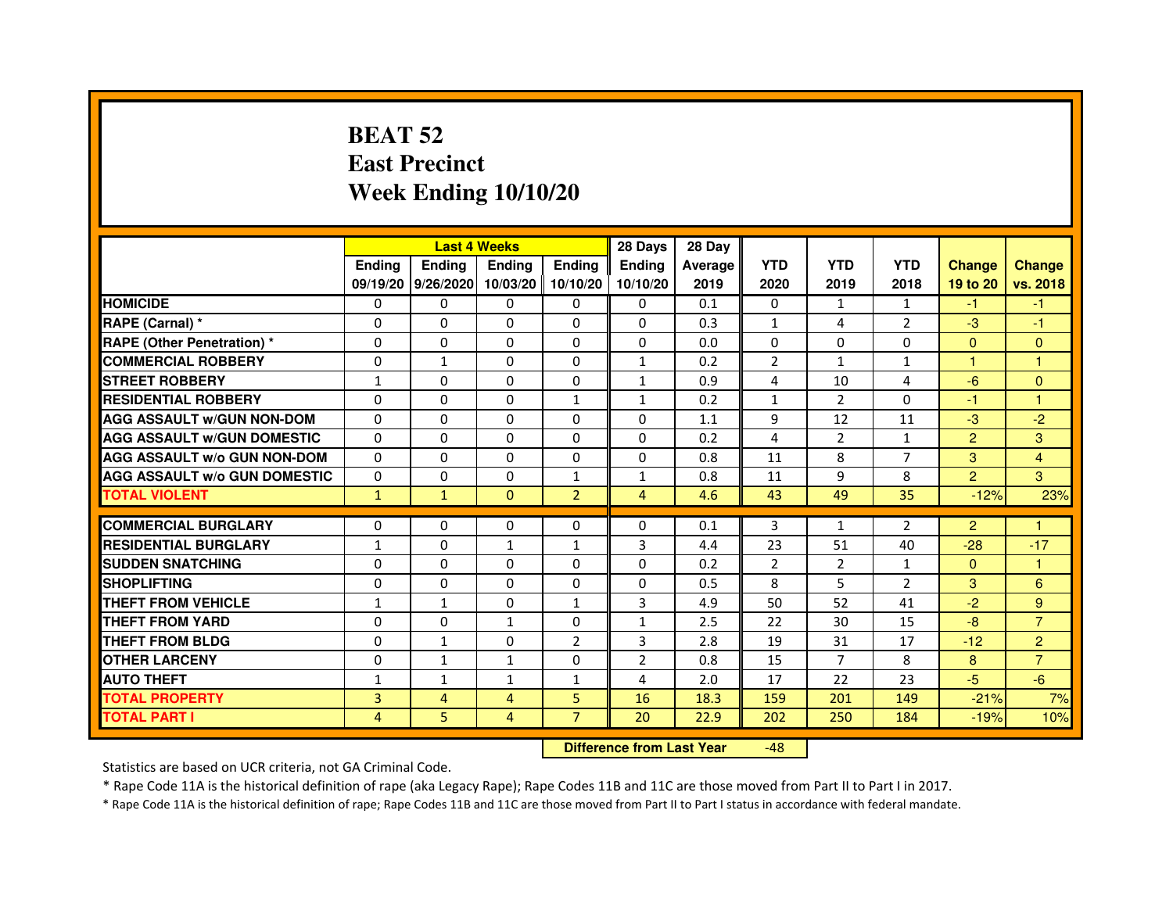# **BEAT 52 East PrecinctWeek Ending 10/10/20**

|                                     |               | <b>Last 4 Weeks</b> |                   |                | 28 Days        | 28 Day  |                |                |                |                |                |
|-------------------------------------|---------------|---------------------|-------------------|----------------|----------------|---------|----------------|----------------|----------------|----------------|----------------|
|                                     | <b>Endina</b> | <b>Ending</b>       | <b>Ending</b>     | <b>Endina</b>  | <b>Endina</b>  | Average | <b>YTD</b>     | <b>YTD</b>     | <b>YTD</b>     | <b>Change</b>  | <b>Change</b>  |
|                                     |               | 09/19/20 9/26/2020  | 10/03/20 10/10/20 |                | 10/10/20       | 2019    | 2020           | 2019           | 2018           | 19 to 20       | vs. 2018       |
| <b>HOMICIDE</b>                     | 0             | 0                   | $\mathbf{0}$      | 0              | 0              | 0.1     | $\mathbf{0}$   | $\mathbf{1}$   | $\mathbf{1}$   | -1             | -1             |
| RAPE (Carnal) *                     | $\Omega$      | $\Omega$            | $\Omega$          | $\Omega$       | $\Omega$       | 0.3     | $\mathbf{1}$   | 4              | $\overline{2}$ | $-3$           | $-1$           |
| <b>RAPE (Other Penetration) *</b>   | $\Omega$      | $\Omega$            | $\Omega$          | $\Omega$       | $\Omega$       | 0.0     | $\Omega$       | $\Omega$       | $\Omega$       | $\Omega$       | $\Omega$       |
| <b>COMMERCIAL ROBBERY</b>           | 0             | $\mathbf{1}$        | $\Omega$          | 0              | 1              | 0.2     | 2              | $\mathbf{1}$   | $\mathbf{1}$   | 1              | 1              |
| <b>STREET ROBBERY</b>               | $\mathbf{1}$  | 0                   | $\Omega$          | 0              | $\mathbf{1}$   | 0.9     | 4              | 10             | 4              | $-6$           | $\Omega$       |
| <b>RESIDENTIAL ROBBERY</b>          | $\Omega$      | $\Omega$            | $\Omega$          | $\mathbf{1}$   | $\mathbf{1}$   | 0.2     | $\mathbf{1}$   | $\overline{2}$ | $\Omega$       | $-1$           | 1              |
| <b>AGG ASSAULT w/GUN NON-DOM</b>    | $\Omega$      | 0                   | $\mathbf 0$       | 0              | 0              | 1.1     | 9              | 12             | 11             | $-3$           | $-2$           |
| <b>AGG ASSAULT W/GUN DOMESTIC</b>   | $\Omega$      | 0                   | 0                 | 0              | 0              | 0.2     | $\overline{a}$ | $\overline{2}$ | $\mathbf{1}$   | $\overline{2}$ | 3              |
| <b>AGG ASSAULT W/o GUN NON-DOM</b>  | $\Omega$      | $\Omega$            | $\Omega$          | $\Omega$       | $\Omega$       | 0.8     | 11             | 8              | 7              | 3              | $\overline{4}$ |
| <b>AGG ASSAULT W/o GUN DOMESTIC</b> | $\Omega$      | $\Omega$            | $\Omega$          | $\mathbf{1}$   | 1              | 0.8     | 11             | 9              | 8              | $\overline{2}$ | 3              |
| <b>TOTAL VIOLENT</b>                | $\mathbf{1}$  | $\mathbf{1}$        | $\Omega$          | $\overline{2}$ | 4              | 4.6     | 43             | 49             | 35             | $-12%$         | 23%            |
|                                     |               |                     |                   |                |                |         |                |                |                |                |                |
| <b>COMMERCIAL BURGLARY</b>          | $\Omega$      | $\Omega$            | $\Omega$          | $\Omega$       | $\Omega$       | 0.1     | 3              | $\mathbf{1}$   | $\overline{2}$ | $\overline{2}$ | 1              |
| <b>RESIDENTIAL BURGLARY</b>         | $\mathbf{1}$  | $\Omega$            | 1                 | 1              | 3              | 4.4     | 23             | 51             | 40             | $-28$          | $-17$          |
| <b>SUDDEN SNATCHING</b>             | 0             | $\Omega$            | 0                 | 0              | 0              | 0.2     | $\overline{2}$ | $\overline{2}$ | 1              | $\Omega$       | 1              |
| <b>SHOPLIFTING</b>                  | 0             | $\mathbf 0$         | 0                 | 0              | 0              | 0.5     | 8              | 5              | $\overline{2}$ | 3              | 6              |
| <b>THEFT FROM VEHICLE</b>           | 1             | $\mathbf{1}$        | $\Omega$          | $\mathbf{1}$   | 3              | 4.9     | 50             | 52             | 41             | $-2$           | 9              |
| <b>THEFT FROM YARD</b>              | 0             | $\Omega$            | $\mathbf{1}$      | $\Omega$       | 1              | 2.5     | 22             | 30             | 15             | $-8$           | $\overline{7}$ |
| <b>THEFT FROM BLDG</b>              | $\Omega$      | $\mathbf{1}$        | 0                 | 2              | 3              | 2.8     | 19             | 31             | 17             | $-12$          | $\overline{2}$ |
| <b>OTHER LARCENY</b>                | $\Omega$      | $\mathbf{1}$        | $\mathbf{1}$      | 0              | $\overline{2}$ | 0.8     | 15             | 7              | 8              | 8              | $\overline{7}$ |
| <b>AUTO THEFT</b>                   | 1             | 1                   | 1                 | $\mathbf{1}$   | 4              | 2.0     | 17             | 22             | 23             | $-5$           | $-6$           |
| <b>TOTAL PROPERTY</b>               | 3             | 4                   | 4                 | 5              | 16             | 18.3    | 159            | 201            | 149            | $-21%$         | 7%             |
| <b>TOTAL PART I</b>                 | 4             | 5                   | 4                 | $\overline{7}$ | 20             | 22.9    | 202            | 250            | 184            | $-19%$         | 10%            |

 **Difference from Last Year**-48

Statistics are based on UCR criteria, not GA Criminal Code.

\* Rape Code 11A is the historical definition of rape (aka Legacy Rape); Rape Codes 11B and 11C are those moved from Part II to Part I in 2017.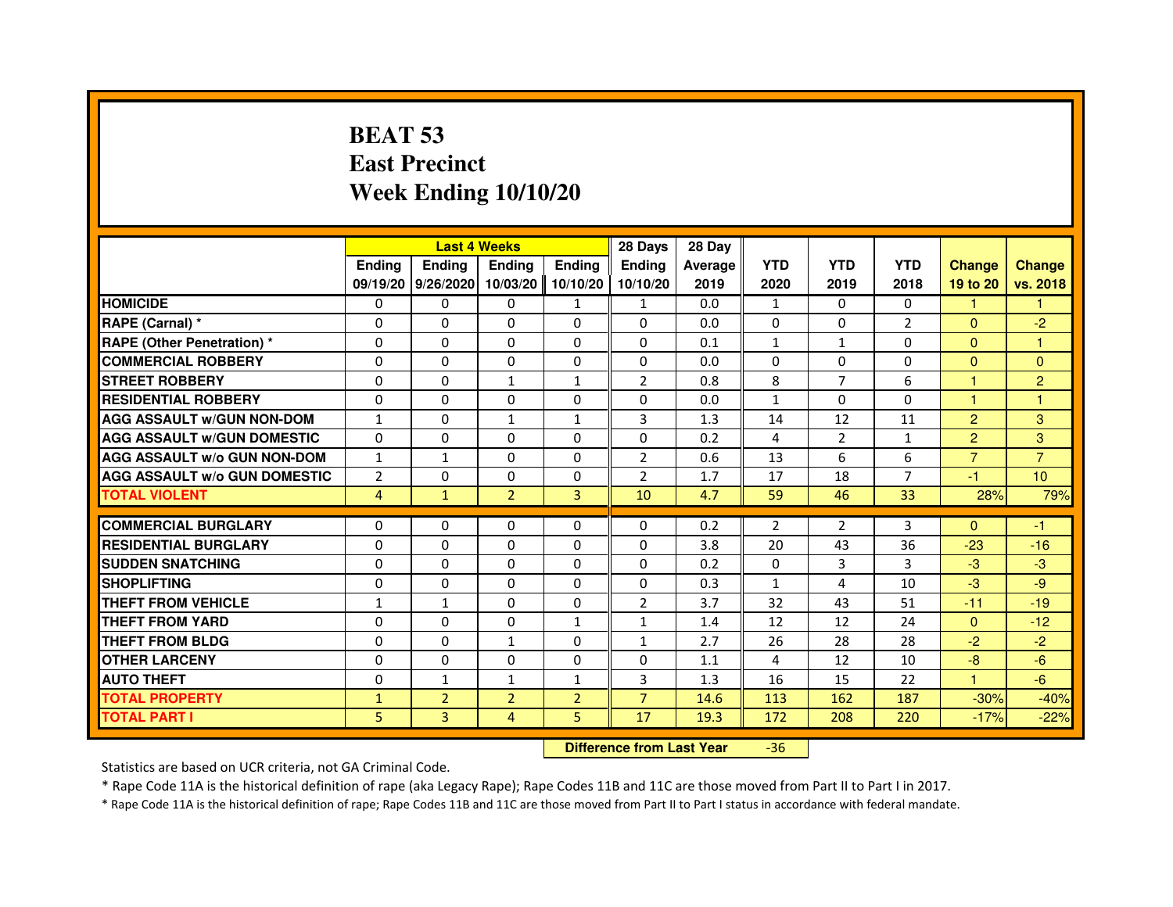# **BEAT 53 East PrecinctWeek Ending 10/10/20**

|                                     |                |                    | <b>Last 4 Weeks</b> |                | 28 Days                          | 28 Day         |                |                |                |                |                |
|-------------------------------------|----------------|--------------------|---------------------|----------------|----------------------------------|----------------|----------------|----------------|----------------|----------------|----------------|
|                                     | <b>Ending</b>  | <b>Ending</b>      | <b>Ending</b>       | <b>Ending</b>  | <b>Ending</b>                    | <b>Average</b> | <b>YTD</b>     | <b>YTD</b>     | <b>YTD</b>     | <b>Change</b>  | <b>Change</b>  |
|                                     |                | 09/19/20 9/26/2020 | 10/03/20            | 10/10/20       | 10/10/20                         | 2019           | 2020           | 2019           | 2018           | 19 to 20       | vs. 2018       |
| <b>HOMICIDE</b>                     | $\Omega$       | $\mathbf{0}$       | $\mathbf{0}$        | $\mathbf{1}$   | $\mathbf{1}$                     | 0.0            | $\mathbf{1}$   | $\Omega$       | $\Omega$       | $\mathbf{1}$   | $\mathbf{1}$   |
| RAPE (Carnal) *                     | 0              | $\Omega$           | $\Omega$            | $\Omega$       | 0                                | 0.0            | $\Omega$       | $\Omega$       | $\overline{2}$ | $\mathbf{0}$   | $-2$           |
| <b>RAPE (Other Penetration) *</b>   | $\Omega$       | $\Omega$           | $\Omega$            | $\Omega$       | $\Omega$                         | 0.1            | $\mathbf{1}$   | $\mathbf{1}$   | 0              | $\Omega$       | 1              |
| <b>COMMERCIAL ROBBERY</b>           | 0              | $\Omega$           | $\Omega$            | $\Omega$       | $\Omega$                         | 0.0            | $\Omega$       | $\Omega$       | $\Omega$       | $\mathbf{0}$   | $\mathbf{0}$   |
| <b>STREET ROBBERY</b>               | 0              | $\Omega$           | $\mathbf{1}$        | $\mathbf{1}$   | $\overline{2}$                   | 0.8            | 8              | $\overline{7}$ | 6              | $\mathbf{1}$   | $\overline{2}$ |
| <b>RESIDENTIAL ROBBERY</b>          | 0              | $\Omega$           | 0                   | $\Omega$       | $\Omega$                         | 0.0            | $\mathbf{1}$   | $\mathbf{0}$   | 0              | 1              | 1              |
| <b>AGG ASSAULT W/GUN NON-DOM</b>    | $\mathbf{1}$   | $\Omega$           | $\mathbf{1}$        | $\mathbf{1}$   | 3                                | 1.3            | 14             | 12             | 11             | $\overline{2}$ | 3              |
| <b>AGG ASSAULT W/GUN DOMESTIC</b>   | $\Omega$       | $\mathbf 0$        | $\Omega$            | $\Omega$       | $\Omega$                         | 0.2            | 4              | $\overline{2}$ | $\mathbf{1}$   | $\overline{2}$ | 3              |
| <b>AGG ASSAULT w/o GUN NON-DOM</b>  | $\mathbf{1}$   | 1                  | $\mathbf{0}$        | 0              | $\overline{2}$                   | 0.6            | 13             | 6              | 6              | $\overline{7}$ | $\overline{7}$ |
| <b>AGG ASSAULT W/o GUN DOMESTIC</b> | $\overline{2}$ | 0                  | 0                   | 0              | $\overline{2}$                   | 1.7            | 17             | 18             | $\overline{7}$ | $-1$           | 10             |
| <b>TOTAL VIOLENT</b>                | $\overline{4}$ | $\mathbf{1}$       | $\overline{2}$      | 3              | 10                               | 4.7            | 59             | 46             | 33             | 28%            | 79%            |
| <b>COMMERCIAL BURGLARY</b>          | 0              | 0                  | 0                   | $\Omega$       | 0                                | 0.2            | $\overline{2}$ | $\overline{2}$ | 3              | $\Omega$       | $-1$           |
| <b>RESIDENTIAL BURGLARY</b>         | $\Omega$       | $\Omega$           | $\Omega$            | $\Omega$       | $\Omega$                         | 3.8            | 20             | 43             | 36             | $-23$          | $-16$          |
| <b>SUDDEN SNATCHING</b>             | $\Omega$       | $\Omega$           | $\Omega$            | $\Omega$       | $\Omega$                         | 0.2            | $\Omega$       | 3              | 3              | $-3$           | $-3$           |
| <b>SHOPLIFTING</b>                  | 0              | 0                  | 0                   | 0              | 0                                | 0.3            | $\mathbf{1}$   | 4              | 10             | $-3$           | $-9$           |
| THEFT FROM VEHICLE                  | 1              | $\mathbf{1}$       | 0                   | $\Omega$       | $\overline{2}$                   | 3.7            | 32             | 43             | 51             | $-11$          | $-19$          |
| <b>THEFT FROM YARD</b>              | 0              | 0                  | $\Omega$            | $\mathbf{1}$   | $\mathbf{1}$                     | 1.4            | 12             | 12             | 24             | $\overline{0}$ | $-12$          |
| <b>THEFT FROM BLDG</b>              | $\Omega$       | $\Omega$           | $\mathbf{1}$        | $\Omega$       | $\mathbf{1}$                     | 2.7            | 26             | 28             | 28             | $-2$           | $-2$           |
| <b>OTHER LARCENY</b>                | 0              | $\Omega$           | $\Omega$            | $\Omega$       | 0                                | 1.1            | 4              | 12             | 10             | $-8$           | $-6$           |
| <b>AUTO THEFT</b>                   | $\Omega$       | $\mathbf{1}$       | $\mathbf{1}$        | $\mathbf{1}$   | $\overline{3}$                   | 1.3            | 16             | 15             | 22             | $\mathbf{1}$   | $-6$           |
| <b>TOTAL PROPERTY</b>               | $\mathbf{1}$   | $\overline{2}$     | $\overline{2}$      | $\overline{2}$ | $\overline{7}$                   | 14.6           | 113            | 162            | 187            | $-30%$         | $-40%$         |
| <b>TOTAL PART I</b>                 | 5              | 3                  | 4                   | 5              | 17                               | 19.3           | 172            | 208            | 220            | $-17%$         | $-22%$         |
|                                     |                |                    |                     |                | <b>Difference from Last Year</b> |                | $-36$          |                |                |                |                |

Statistics are based on UCR criteria, not GA Criminal Code.

\* Rape Code 11A is the historical definition of rape (aka Legacy Rape); Rape Codes 11B and 11C are those moved from Part II to Part I in 2017.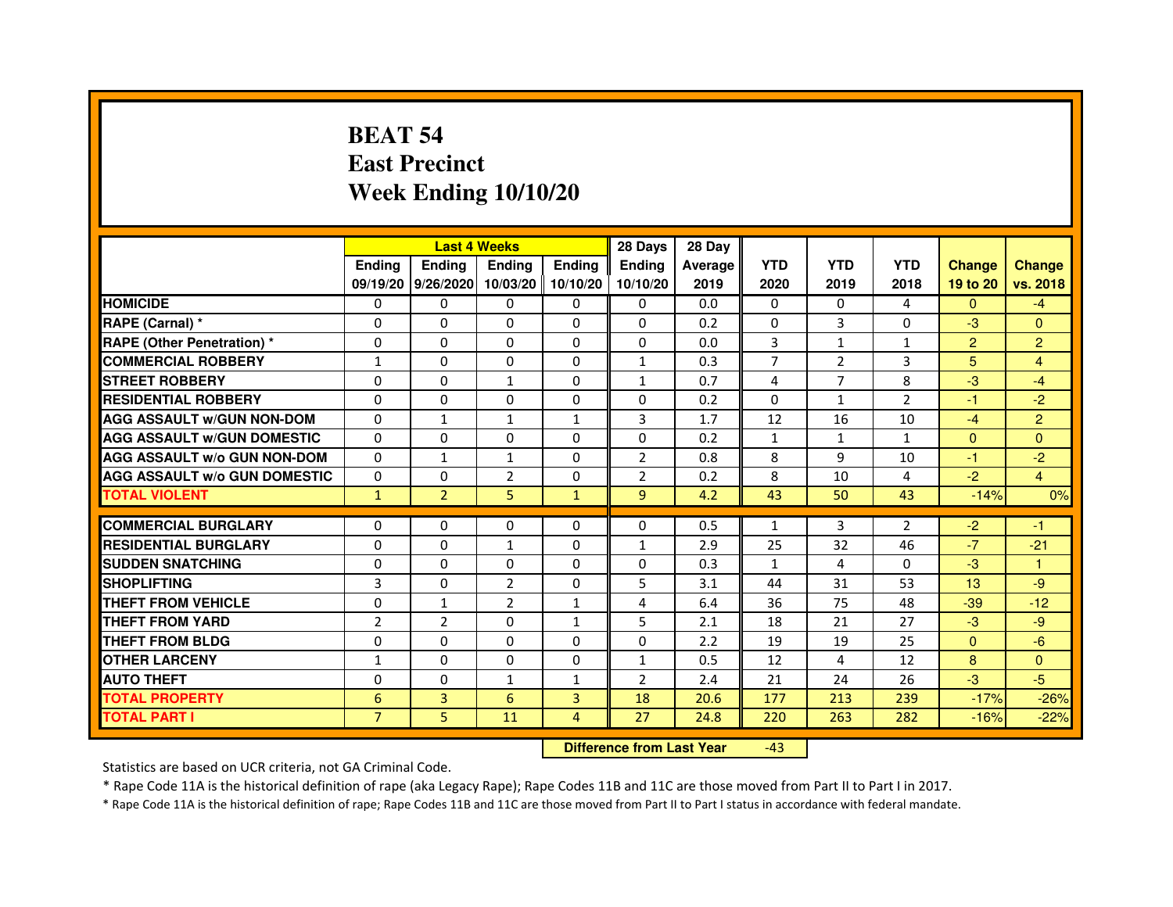# **BEAT 54 East PrecinctWeek Ending 10/10/20**

|                                     |                | <b>Last 4 Weeks</b> |                |                   | 28 Days        | 28 Day  |              |                |                |                |                |
|-------------------------------------|----------------|---------------------|----------------|-------------------|----------------|---------|--------------|----------------|----------------|----------------|----------------|
|                                     | <b>Endina</b>  | Ending              | <b>Endina</b>  | <b>Ending</b>     | <b>Endina</b>  | Average | <b>YTD</b>   | <b>YTD</b>     | <b>YTD</b>     | <b>Change</b>  | <b>Change</b>  |
|                                     |                | 09/19/20 9/26/2020  |                | 10/03/20 10/10/20 | 10/10/20       | 2019    | 2020         | 2019           | 2018           | 19 to 20       | vs. 2018       |
| <b>HOMICIDE</b>                     | 0              | 0                   | 0              | 0                 | 0              | 0.0     | $\mathbf{0}$ | $\Omega$       | 4              | $\mathbf{0}$   | $-4$           |
| RAPE (Carnal) *                     | $\Omega$       | $\Omega$            | $\Omega$       | $\Omega$          | $\Omega$       | 0.2     | $\Omega$     | $\overline{3}$ | $\Omega$       | $-3$           | $\Omega$       |
| <b>RAPE (Other Penetration) *</b>   | 0              | 0                   | $\Omega$       | $\Omega$          | $\Omega$       | 0.0     | 3            | $\mathbf{1}$   | $\mathbf{1}$   | $\overline{2}$ | $\overline{2}$ |
| <b>COMMERCIAL ROBBERY</b>           | 1              | 0                   | 0              | $\Omega$          | $\mathbf{1}$   | 0.3     | 7            | $\overline{2}$ | 3              | 5              | 4              |
| <b>STREET ROBBERY</b>               | 0              | $\Omega$            | $\mathbf{1}$   | $\Omega$          | $\mathbf{1}$   | 0.7     | 4            | 7              | 8              | $-3$           | $-4$           |
| <b>RESIDENTIAL ROBBERY</b>          | 0              | $\Omega$            | 0              | 0                 | 0              | 0.2     | 0            | $\mathbf{1}$   | $\overline{2}$ | $-1$           | $-2$           |
| <b>AGG ASSAULT W/GUN NON-DOM</b>    | $\Omega$       | $\mathbf{1}$        | $\mathbf{1}$   | $\mathbf{1}$      | 3              | 1.7     | 12           | 16             | 10             | $-4$           | $\overline{2}$ |
| <b>AGG ASSAULT W/GUN DOMESTIC</b>   | $\Omega$       | 0                   | 0              | 0                 | $\Omega$       | 0.2     | $\mathbf{1}$ | $\mathbf{1}$   | $\mathbf{1}$   | $\Omega$       | $\Omega$       |
| <b>AGG ASSAULT W/o GUN NON-DOM</b>  | $\Omega$       | $\mathbf{1}$        | 1              | 0                 | $\overline{2}$ | 0.8     | 8            | 9              | 10             | $-1$           | $-2$           |
| <b>AGG ASSAULT W/o GUN DOMESTIC</b> | $\Omega$       | 0                   | $\overline{2}$ | $\Omega$          | $\overline{2}$ | 0.2     | 8            | 10             | $\overline{4}$ | $-2$           | $\overline{4}$ |
| <b>TOTAL VIOLENT</b>                | $\mathbf{1}$   | $\overline{2}$      | 5              | $\mathbf{1}$      | $\overline{9}$ | 4.2     | 43           | 50             | 43             | $-14%$         | 0%             |
|                                     |                |                     |                |                   |                |         |              |                |                |                |                |
| <b>COMMERCIAL BURGLARY</b>          | 0              | 0                   | 0              | 0                 | $\Omega$       | 0.5     | $\mathbf{1}$ | 3              | $\overline{2}$ | $-2$           | $-1$           |
| <b>RESIDENTIAL BURGLARY</b>         | 0              | $\Omega$            | 1              | $\mathbf{0}$      | $\mathbf{1}$   | 2.9     | 25           | 32             | 46             | $-7$           | $-21$          |
| <b>SUDDEN SNATCHING</b>             | 0              | 0                   | $\Omega$       | $\Omega$          | $\Omega$       | 0.3     | $\mathbf{1}$ | 4              | $\Omega$       | $-3$           | 1              |
| <b>SHOPLIFTING</b>                  | 3              | 0                   | $\overline{2}$ | $\Omega$          | 5              | 3.1     | 44           | 31             | 53             | 13             | -9             |
| <b>THEFT FROM VEHICLE</b>           | 0              | $\mathbf{1}$        | $\overline{2}$ | $\mathbf{1}$      | 4              | 6.4     | 36           | 75             | 48             | $-39$          | $-12$          |
| <b>THEFT FROM YARD</b>              | $\overline{2}$ | $\overline{2}$      | $\Omega$       | $\mathbf{1}$      | 5              | 2.1     | 18           | 21             | 27             | $-3$           | -9             |
| <b>THEFT FROM BLDG</b>              | 0              | 0                   | 0              | 0                 | 0              | 2.2     | 19           | 19             | 25             | $\Omega$       | $-6$           |
| <b>OTHER LARCENY</b>                | 1              | 0                   | $\Omega$       | 0                 | $\mathbf{1}$   | 0.5     | 12           | 4              | 12             | 8              | $\Omega$       |
| <b>AUTO THEFT</b>                   | $\mathbf 0$    | 0                   | 1              | $\mathbf{1}$      | $\overline{2}$ | 2.4     | 21           | 24             | 26             | $-3$           | $-5$           |
| <b>TOTAL PROPERTY</b>               | 6              | 3                   | 6              | 3                 | 18             | 20.6    | 177          | 213            | 239            | $-17%$         | $-26%$         |
| <b>TOTAL PART I</b>                 | $\overline{7}$ | 5                   | 11             | $\overline{4}$    | 27             | 24.8    | 220          | 263            | 282            | $-16%$         | $-22%$         |

 **Difference from Last Year**-43

Statistics are based on UCR criteria, not GA Criminal Code.

\* Rape Code 11A is the historical definition of rape (aka Legacy Rape); Rape Codes 11B and 11C are those moved from Part II to Part I in 2017.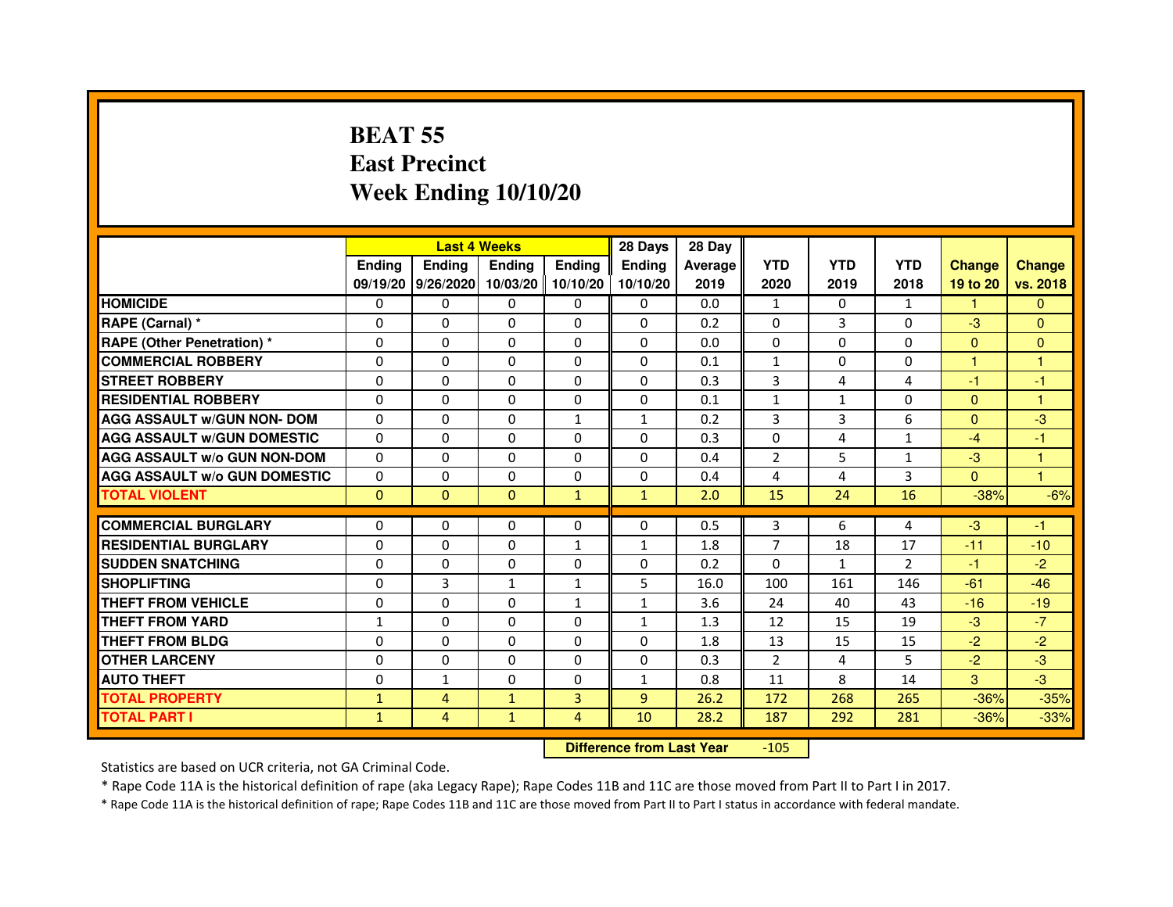# **BEAT 55 East PrecinctWeek Ending 10/10/20**

|                                     |               | <b>Last 4 Weeks</b>         |               |                | 28 Days       | 28 Day  |                |              |                |               |                         |
|-------------------------------------|---------------|-----------------------------|---------------|----------------|---------------|---------|----------------|--------------|----------------|---------------|-------------------------|
|                                     | <b>Endina</b> | <b>Endina</b>               | <b>Endina</b> | <b>Endina</b>  | <b>Endina</b> | Average | <b>YTD</b>     | <b>YTD</b>   | <b>YTD</b>     | <b>Change</b> | <b>Change</b>           |
|                                     |               | 09/19/20 9/26/2020 10/03/20 |               | 10/10/20       | 10/10/20      | 2019    | 2020           | 2019         | 2018           | 19 to 20      | vs. 2018                |
| <b>HOMICIDE</b>                     | $\Omega$      | $\Omega$                    | $\Omega$      | $\mathbf{0}$   | 0             | 0.0     | $\mathbf{1}$   | $\Omega$     | $\mathbf{1}$   | 1.            | $\Omega$                |
| RAPE (Carnal) *                     | $\Omega$      | $\Omega$                    | $\Omega$      | $\Omega$       | $\Omega$      | 0.2     | $\Omega$       | 3            | $\Omega$       | $-3$          | $\mathbf{0}$            |
| <b>RAPE (Other Penetration) *</b>   | $\Omega$      | $\Omega$                    | $\Omega$      | $\Omega$       | $\Omega$      | 0.0     | $\Omega$       | 0            | $\Omega$       | $\Omega$      | $\Omega$                |
| <b>COMMERCIAL ROBBERY</b>           | $\Omega$      | $\Omega$                    | $\Omega$      | $\Omega$       | $\Omega$      | 0.1     | $\mathbf{1}$   | 0            | $\Omega$       | 1             |                         |
| <b>STREET ROBBERY</b>               | $\Omega$      | $\Omega$                    | $\Omega$      | $\Omega$       | $\Omega$      | 0.3     | 3              | 4            | 4              | $-1$          | $-1$                    |
| <b>RESIDENTIAL ROBBERY</b>          | $\Omega$      | $\Omega$                    | 0             | 0              | 0             | 0.1     | $\mathbf{1}$   | $\mathbf{1}$ | 0              | $\mathbf{0}$  | 1                       |
| <b>AGG ASSAULT w/GUN NON- DOM</b>   | $\Omega$      | $\Omega$                    | $\Omega$      | $\mathbf{1}$   | $\mathbf{1}$  | 0.2     | 3              | 3            | 6              | $\Omega$      | $-3$                    |
| <b>AGG ASSAULT W/GUN DOMESTIC</b>   | $\Omega$      | $\Omega$                    | $\Omega$      | $\Omega$       | $\Omega$      | 0.3     | $\Omega$       | 4            | $\mathbf{1}$   | $-4$          | $-1$                    |
| <b>AGG ASSAULT w/o GUN NON-DOM</b>  | $\Omega$      | $\Omega$                    | $\Omega$      | 0              | $\Omega$      | 0.4     | $\overline{2}$ | 5            | $\mathbf{1}$   | $-3$          | 1                       |
| <b>AGG ASSAULT W/o GUN DOMESTIC</b> | $\Omega$      | $\Omega$                    | $\Omega$      | $\Omega$       | $\Omega$      | 0.4     | 4              | 4            | 3              | $\Omega$      | $\overline{\mathbf{1}}$ |
| <b>TOTAL VIOLENT</b>                | $\Omega$      | $\Omega$                    | $\Omega$      | $\mathbf{1}$   | $\mathbf{1}$  | 2.0     | 15             | 24           | 16             | $-38%$        | $-6%$                   |
|                                     |               |                             |               |                |               |         |                |              |                |               |                         |
| <b>COMMERCIAL BURGLARY</b>          | $\Omega$      | $\mathbf{0}$                | 0             | 0              | 0             | 0.5     | 3              | 6            | 4              | $-3$          | $-1$                    |
| <b>RESIDENTIAL BURGLARY</b>         | $\Omega$      | $\Omega$                    | $\Omega$      | $\mathbf{1}$   | 1             | 1.8     | $\overline{7}$ | 18           | 17             | $-11$         | $-10$                   |
| <b>SUDDEN SNATCHING</b>             | $\Omega$      | $\Omega$                    | $\Omega$      | $\Omega$       | $\Omega$      | 0.2     | $\Omega$       | $\mathbf{1}$ | $\mathfrak{p}$ | $-1$          | $-2$                    |
| <b>SHOPLIFTING</b>                  | $\Omega$      | 3                           | $\mathbf{1}$  | 1              | 5             | 16.0    | 100            | 161          | 146            | $-61$         | $-46$                   |
| THEFT FROM VEHICLE                  | $\Omega$      | $\Omega$                    | $\Omega$      | $\mathbf{1}$   | $\mathbf{1}$  | 3.6     | 24             | 40           | 43             | $-16$         | $-19$                   |
| <b>THEFT FROM YARD</b>              | $\mathbf{1}$  | $\Omega$                    | $\Omega$      | 0              | $\mathbf{1}$  | 1.3     | 12             | 15           | 19             | $-3$          | $-7$                    |
| THEFT FROM BLDG                     | $\Omega$      | $\mathbf{0}$                | $\Omega$      | 0              | 0             | 1.8     | 13             | 15           | 15             | $-2$          | $-2$                    |
| <b>OTHER LARCENY</b>                | $\Omega$      | $\Omega$                    | $\Omega$      | $\Omega$       | $\Omega$      | 0.3     | $\overline{2}$ | 4            | 5              | $-2$          | $-3$                    |
| <b>AUTO THEFT</b>                   | $\Omega$      | $\mathbf{1}$                | $\Omega$      | $\Omega$       | $\mathbf{1}$  | 0.8     | 11             | 8            | 14             | 3             | $-3$                    |
| <b>TOTAL PROPERTY</b>               | $\mathbf{1}$  | 4                           | $\mathbf{1}$  | 3              | 9             | 26.2    | 172            | 268          | 265            | $-36%$        | $-35%$                  |
| <b>TOTAL PART I</b>                 | $\mathbf{1}$  | $\overline{4}$              | $\mathbf{1}$  | $\overline{4}$ | 10            | 28.2    | 187            | 292          | 281            | $-36%$        | $-33%$                  |

 **Difference from Last Year**-105

Statistics are based on UCR criteria, not GA Criminal Code.

\* Rape Code 11A is the historical definition of rape (aka Legacy Rape); Rape Codes 11B and 11C are those moved from Part II to Part I in 2017.